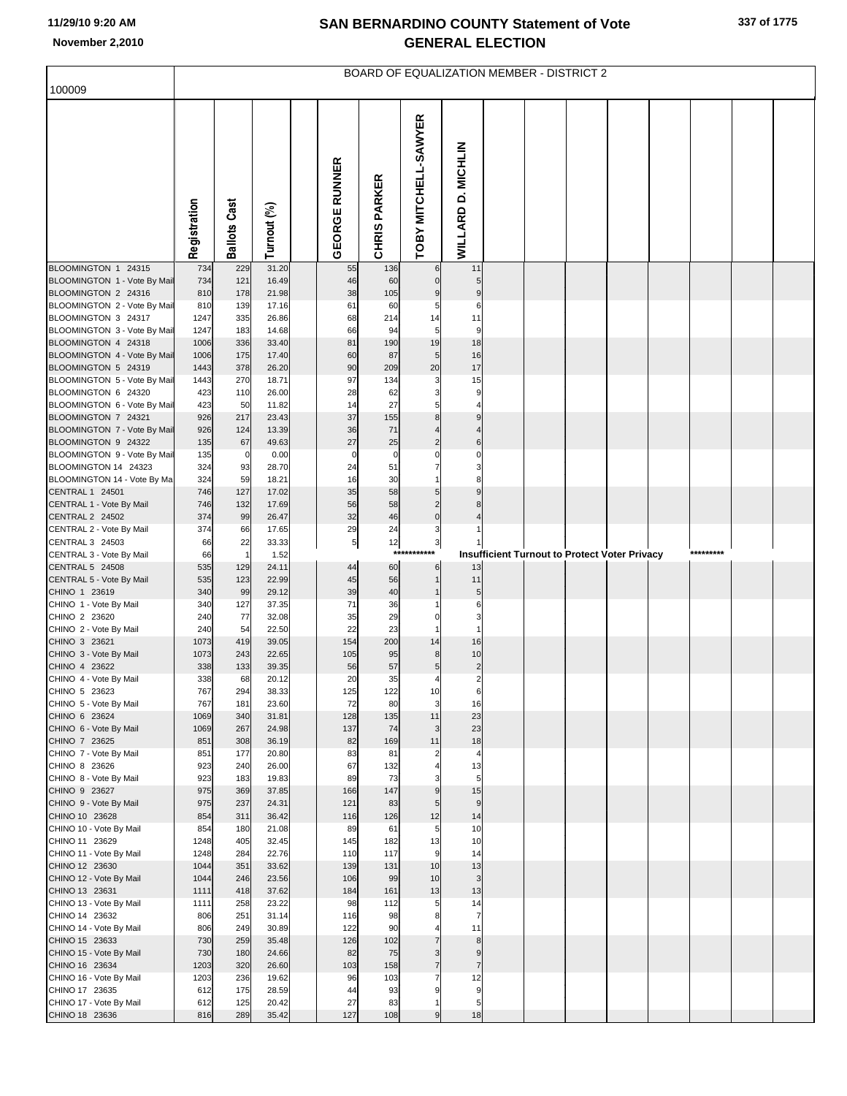| 100009                                              |              |                     |                |                          |                     | <b>BOARD OF EQUALIZATION MEMBER - DISTRICT 2</b> |                      |  |                                                      |  |           |  |
|-----------------------------------------------------|--------------|---------------------|----------------|--------------------------|---------------------|--------------------------------------------------|----------------------|--|------------------------------------------------------|--|-----------|--|
|                                                     |              |                     |                |                          |                     |                                                  |                      |  |                                                      |  |           |  |
|                                                     | Registration | <b>Ballots Cast</b> | Turnout (%)    | <b>EORGE RUNNER</b><br>ᢆ | <b>CHRIS PARKER</b> | TOBY MITCHELL-SAWYER                             | WILLARD D. MICHLIN   |  |                                                      |  |           |  |
| BLOOMINGTON 1 24315                                 | 734          | 229                 | 31.20          | 55                       | 136                 | 6                                                | 11                   |  |                                                      |  |           |  |
| BLOOMINGTON 1 - Vote By Mail<br>BLOOMINGTON 2 24316 | 734<br>810   | 121<br>178          | 16.49<br>21.98 | 46<br>38                 | 60<br>105           | $\mathbf 0$<br>9                                 | 5<br>9               |  |                                                      |  |           |  |
| BLOOMINGTON 2 - Vote By Mail                        | 810          | 139                 | 17.16          | 61                       | 60                  | 5                                                | 6                    |  |                                                      |  |           |  |
| BLOOMINGTON 3 24317                                 | 1247         | 335                 | 26.86          | 68                       | 214                 | 14                                               | 11                   |  |                                                      |  |           |  |
| BLOOMINGTON 3 - Vote By Mail                        | 1247         | 183                 | 14.68          | 66                       | 94                  | 5                                                | 9<br>18              |  |                                                      |  |           |  |
| BLOOMINGTON 4 24318<br>BLOOMINGTON 4 - Vote By Mail | 1006<br>1006 | 336<br>175          | 33.40<br>17.40 | 81<br>60                 | 190<br>87           | 19<br>5                                          | 16                   |  |                                                      |  |           |  |
| BLOOMINGTON 5 24319                                 | 1443         | 378                 | 26.20          | 90                       | 209                 | 20                                               | 17                   |  |                                                      |  |           |  |
| BLOOMINGTON 5 - Vote By Mail                        | 1443         | 270                 | 18.71          | 97                       | 134                 | 3                                                | 15                   |  |                                                      |  |           |  |
| BLOOMINGTON 6 24320                                 | 423          | 110                 | 26.00          | 28                       | 62                  | 3                                                | 9                    |  |                                                      |  |           |  |
| BLOOMINGTON 6 - Vote By Mail<br>BLOOMINGTON 7 24321 | 423<br>926   | 50<br>217           | 11.82<br>23.43 | 14<br>37                 | 27<br>155           | 5<br>8                                           | 9                    |  |                                                      |  |           |  |
| BLOOMINGTON 7 - Vote By Mail                        | 926          | 124                 | 13.39          | 36                       | 71                  |                                                  |                      |  |                                                      |  |           |  |
| BLOOMINGTON 9 24322                                 | 135          | 67                  | 49.63          | 27                       | 25                  | $\overline{c}$                                   | 6                    |  |                                                      |  |           |  |
| BLOOMINGTON 9 - Vote By Mail                        | 135          | 0                   | 0.00           | $\mathbf 0$              | $\mathbf 0$         | 0                                                |                      |  |                                                      |  |           |  |
| BLOOMINGTON 14 24323<br>BLOOMINGTON 14 - Vote By Ma | 324<br>324   | 93<br>59            | 28.70<br>18.21 | 24<br>16                 | 51<br>30            |                                                  |                      |  |                                                      |  |           |  |
| CENTRAL 1 24501                                     | 746          | 127                 | 17.02          | 35                       | 58                  | 5                                                |                      |  |                                                      |  |           |  |
| CENTRAL 1 - Vote By Mail                            | 746          | 132                 | 17.69          | 56                       | 58                  | $\overline{a}$                                   |                      |  |                                                      |  |           |  |
| <b>CENTRAL 2 24502</b>                              | 374          | 99                  | 26.47          | 32                       | 46                  | $\overline{0}$                                   |                      |  |                                                      |  |           |  |
| CENTRAL 2 - Vote By Mail<br>CENTRAL 3 24503         | 374<br>66    | 66<br>22            | 17.65<br>33.33 | 29<br>5                  | 24<br>12            | 3<br>3                                           |                      |  |                                                      |  |           |  |
| CENTRAL 3 - Vote By Mail                            | 66           | $\overline{1}$      | 1.52           |                          | $***$               |                                                  |                      |  | <b>Insufficient Turnout to Protect Voter Privacy</b> |  | ********* |  |
| CENTRAL 5 24508                                     | 535          | 129                 | 24.11          | 44                       | 60                  | 6                                                | 13                   |  |                                                      |  |           |  |
| CENTRAL 5 - Vote By Mail                            | 535          | 123                 | 22.99          | 45                       | 56                  |                                                  | 11                   |  |                                                      |  |           |  |
| CHINO 1 23619<br>CHINO 1 - Vote By Mail             | 340<br>340   | 99<br>127           | 29.12<br>37.35 | 39<br>71                 | 40<br>36            |                                                  | 5<br>6               |  |                                                      |  |           |  |
| CHINO 2 23620                                       | 240          | 77                  | 32.08          | 35                       | 29                  | $\Omega$                                         | З                    |  |                                                      |  |           |  |
| CHINO 2 - Vote By Mail                              | 240          | 54                  | 22.50          | 22                       | 23                  |                                                  |                      |  |                                                      |  |           |  |
| CHINO 3 23621                                       | 1073         | 419                 | 39.05          | 154                      | 200                 | 14                                               | 16                   |  |                                                      |  |           |  |
| CHINO 3 - Vote By Mail<br>CHINO 4 23622             | 1073<br>338  | 243<br>133          | 22.65<br>39.35 | 105<br>56                | 95<br>57            | 8<br>5                                           | 10<br>$\overline{c}$ |  |                                                      |  |           |  |
| CHINO 4 - Vote By Mail                              | 338          | 68                  | 20.12          | 20                       | 35                  | 4                                                | $\overline{2}$       |  |                                                      |  |           |  |
| CHINO 5 23623                                       | 767          | 294                 | 38.33          | 125                      | 122                 | 10                                               | 6                    |  |                                                      |  |           |  |
| CHINO 5 - Vote By Mail                              | 767          | 181                 | 23.60          | 72                       | 80                  | 3                                                | 16                   |  |                                                      |  |           |  |
| CHINO 6 23624<br>CHINO 6 - Vote By Mail             | 1069<br>1069 | 340<br>267          | 31.81<br>24.98 | 128<br>137               | 135<br>74           | 11<br>$\mathbf{3}$                               | 23<br>23             |  |                                                      |  |           |  |
| CHINO 7 23625                                       | 851          | 308                 | 36.19          | 82                       | 169                 | 11                                               | 18                   |  |                                                      |  |           |  |
| CHINO 7 - Vote By Mail                              | 851          | 177                 | 20.80          | 83                       | 81                  | $\overline{2}$                                   | $\overline{4}$       |  |                                                      |  |           |  |
| CHINO 8 23626                                       | 923          | 240                 | 26.00          | 67<br>89                 | 132<br>73           |                                                  | 13                   |  |                                                      |  |           |  |
| CHINO 8 - Vote By Mail<br>CHINO 9 23627             | 923<br>975   | 183<br>369          | 19.83<br>37.85 | 166                      | 147                 | З<br>$\boldsymbol{9}$                            | 5<br>15              |  |                                                      |  |           |  |
| CHINO 9 - Vote By Mail                              | 975          | 237                 | 24.31          | 121                      | 83                  | $\sqrt{5}$                                       | $\overline{9}$       |  |                                                      |  |           |  |
| CHINO 10 23628                                      | 854          | 311                 | 36.42          | 116                      | 126                 | 12                                               | 14                   |  |                                                      |  |           |  |
| CHINO 10 - Vote By Mail<br>CHINO 11 23629           | 854<br>1248  | 180<br>405          | 21.08<br>32.45 | 89<br>145                | 61<br>182           | 5<br>13                                          | 10<br>10             |  |                                                      |  |           |  |
| CHINO 11 - Vote By Mail                             | 1248         | 284                 | 22.76          | 110                      | 117                 | 9                                                | 14                   |  |                                                      |  |           |  |
| CHINO 12 23630                                      | 1044         | 351                 | 33.62          | 139                      | 131                 | 10                                               | 13                   |  |                                                      |  |           |  |
| CHINO 12 - Vote By Mail                             | 1044         | 246                 | 23.56          | 106                      | 99                  | 10                                               | 3                    |  |                                                      |  |           |  |
| CHINO 13 23631<br>CHINO 13 - Vote By Mail           | 1111<br>1111 | 418<br>258          | 37.62<br>23.22 | 184<br>98                | 161<br>112          | 13<br>5                                          | 13<br>14             |  |                                                      |  |           |  |
| CHINO 14 23632                                      | 806          | 251                 | 31.14          | 116                      | 98                  | 8                                                | $\overline{7}$       |  |                                                      |  |           |  |
| CHINO 14 - Vote By Mail                             | 806          | 249                 | 30.89          | 122                      | 90                  | $\overline{4}$                                   | 11                   |  |                                                      |  |           |  |
| CHINO 15 23633                                      | 730          | 259                 | 35.48          | 126                      | 102                 | $\overline{7}$                                   | 8                    |  |                                                      |  |           |  |
| CHINO 15 - Vote By Mail                             | 730          | 180<br>320          | 24.66<br>26.60 | 82<br>103                | 75                  | 3<br>$\overline{7}$                              | 9<br>$\overline{7}$  |  |                                                      |  |           |  |
| CHINO 16 23634<br>CHINO 16 - Vote By Mail           | 1203<br>1203 | 236                 | 19.62          | 96                       | 158<br>103          | $\overline{7}$                                   | 12                   |  |                                                      |  |           |  |
| CHINO 17 23635                                      | 612          | 175                 | 28.59          | 44                       | 93                  | 9                                                | 9                    |  |                                                      |  |           |  |
| CHINO 17 - Vote By Mail                             | 612          | 125                 | 20.42          | 27                       | 83                  | $\overline{1}$                                   | 5                    |  |                                                      |  |           |  |
| CHINO 18 23636                                      | 816          | 289                 | 35.42          | 127                      | 108                 | 9                                                | 18                   |  |                                                      |  |           |  |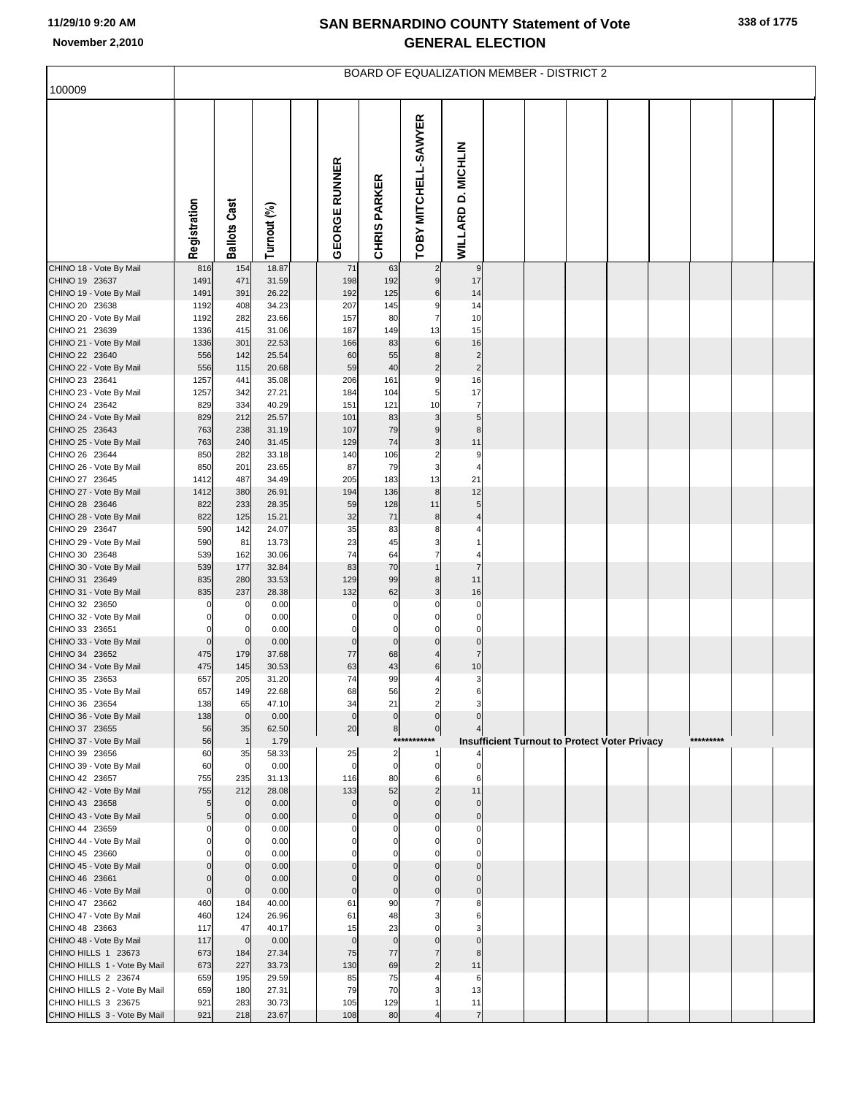| 100009                                              |                       |                     |                |                      |                            |                                  |                            |  | BOARD OF EQUALIZATION MEMBER - DISTRICT 2            |  |           |  |
|-----------------------------------------------------|-----------------------|---------------------|----------------|----------------------|----------------------------|----------------------------------|----------------------------|--|------------------------------------------------------|--|-----------|--|
|                                                     |                       |                     |                |                      |                            |                                  |                            |  |                                                      |  |           |  |
|                                                     | Registration          | <b>Ballots Cast</b> | Turnout (%)    | <b>GEORGE RUNNER</b> | <b>CHRIS PARKER</b>        | <b>OBY MITCHELL-SAWYER</b>       | WILLARD D. MICHLIN         |  |                                                      |  |           |  |
| CHINO 18 - Vote By Mail                             | 816                   | 154                 | 18.87          | 71                   | 63                         | $\overline{2}$                   | 9                          |  |                                                      |  |           |  |
| CHINO 19 23637<br>CHINO 19 - Vote By Mail           | 1491<br>1491          | 471<br>391          | 31.59<br>26.22 | 198<br>192           | 192<br>125                 | $9\,$<br>6                       | 17<br>14                   |  |                                                      |  |           |  |
| CHINO 20 23638                                      | 1192                  | 408                 | 34.23          | 207                  | 145                        | 9                                | 14                         |  |                                                      |  |           |  |
| CHINO 20 - Vote By Mail                             | 1192                  | 282                 | 23.66          | 157                  | 80                         | $\overline{7}$                   | 10                         |  |                                                      |  |           |  |
| CHINO 21 23639<br>CHINO 21 - Vote By Mail           | 1336<br>1336          | 415<br>301          | 31.06<br>22.53 | 187<br>166           | 149<br>83                  | 13<br>6                          | 15<br>16                   |  |                                                      |  |           |  |
| CHINO 22 23640                                      | 556                   | 142                 | 25.54          | 60                   | 55                         | 8                                | $\overline{2}$             |  |                                                      |  |           |  |
| CHINO 22 - Vote By Mail                             | 556                   | 115                 | 20.68          | 59                   | 40                         | $\overline{c}$                   | $\overline{2}$             |  |                                                      |  |           |  |
| CHINO 23 23641                                      | 1257                  | 441                 | 35.08          | 206                  | 161                        | 9                                | 16                         |  |                                                      |  |           |  |
| CHINO 23 - Vote By Mail<br>CHINO 24 23642           | 1257<br>829           | 342<br>334          | 27.21<br>40.29 | 184<br>151           | 104<br>121                 | 5<br>10                          | 17<br>$\overline{7}$       |  |                                                      |  |           |  |
| CHINO 24 - Vote By Mail                             | 829                   | 212                 | 25.57          | 101                  | 83                         | 3                                | 5                          |  |                                                      |  |           |  |
| CHINO 25 23643                                      | 763                   | 238                 | 31.19          | 107                  | 79                         | 9                                | 8                          |  |                                                      |  |           |  |
| CHINO 25 - Vote By Mail<br>CHINO 26 23644           | 763<br>850            | 240<br>282          | 31.45<br>33.18 | 129<br>140           | 74<br>106                  | 3<br>$\overline{\mathbf{c}}$     | 11<br>9                    |  |                                                      |  |           |  |
| CHINO 26 - Vote By Mail                             | 850                   | 201                 | 23.65          | 87                   | 79                         | 3                                | $\overline{4}$             |  |                                                      |  |           |  |
| CHINO 27 23645                                      | 1412                  | 487                 | 34.49          | 205                  | 183                        | 13                               | 21                         |  |                                                      |  |           |  |
| CHINO 27 - Vote By Mail                             | 1412                  | 380                 | 26.91          | 194                  | 136                        | 8                                | 12                         |  |                                                      |  |           |  |
| CHINO 28 23646<br>CHINO 28 - Vote By Mail           | 822<br>822            | 233<br>125          | 28.35<br>15.21 | 59<br>32             | 128<br>71                  | 11<br>8                          | $\sqrt{5}$<br>4            |  |                                                      |  |           |  |
| CHINO 29 23647                                      | 590                   | 142                 | 24.07          | 35                   | 83                         | ε                                | 4                          |  |                                                      |  |           |  |
| CHINO 29 - Vote By Mail                             | 590                   | 81                  | 13.73          | 23                   | 45                         | 3                                |                            |  |                                                      |  |           |  |
| CHINO 30 23648                                      | 539<br>539            | 162<br>177          | 30.06<br>32.84 | 74<br>83             | 64<br>70                   | 7<br>1                           | 4<br>$\overline{7}$        |  |                                                      |  |           |  |
| CHINO 30 - Vote By Mail<br>CHINO 31 23649           | 835                   | 280                 | 33.53          | 129                  | 99                         | 8                                | 11                         |  |                                                      |  |           |  |
| CHINO 31 - Vote By Mail                             | 835                   | 237                 | 28.38          | 132                  | 62                         | 3                                | 16                         |  |                                                      |  |           |  |
| CHINO 32 23650                                      |                       | C                   | 0.00           | 0                    | $\mathbf 0$                | C                                | $\mathbf 0$                |  |                                                      |  |           |  |
| CHINO 32 - Vote By Mail<br>CHINO 33 23651           | $\Omega$<br>0         | 0<br>C              | 0.00<br>0.00   | 0<br>0               | $\mathbf 0$<br>$\mathbf 0$ | $\mathbf 0$<br>$\mathbf 0$       | $\mathbf 0$<br>$\mathbf 0$ |  |                                                      |  |           |  |
| CHINO 33 - Vote By Mail                             | $\mathbf 0$           | $\mathbf 0$         | 0.00           | $\mathbf 0$          | $\mathbf 0$                | $\Omega$                         | $\mathbf 0$                |  |                                                      |  |           |  |
| CHINO 34 23652                                      | 475                   | 179                 | 37.68          | 77                   | 68                         | $\overline{4}$                   | $\overline{7}$             |  |                                                      |  |           |  |
| CHINO 34 - Vote By Mail<br>CHINO 35 23653           | 475<br>657            | 145<br>205          | 30.53<br>31.20 | 63<br>74             | 43<br>99                   | 6<br>4                           | 10<br>3                    |  |                                                      |  |           |  |
| CHINO 35 - Vote By Mail                             | 657                   | 149                 | 22.68          | 68                   | 56                         |                                  |                            |  |                                                      |  |           |  |
| CHINO 36 23654                                      | 138                   | 65                  | 47.10          | 34                   | 21                         | $\overline{2}$                   | З                          |  |                                                      |  |           |  |
| CHINO 36 - Vote By Mail                             | 138                   | $\overline{0}$      | 0.00           | $\mathbf 0$          | $\mathbf 0$                | $\mathbf 0$                      |                            |  |                                                      |  |           |  |
| CHINO 37 23655<br>CHINO 37 - Vote By Mail           | 56<br>56              | 35<br>$\mathbf{1}$  | 62.50<br>1.79  | 20                   | 8                          | $\mathbf 0$<br>*****<br>***      |                            |  | <b>Insufficient Turnout to Protect Voter Privacy</b> |  | ********* |  |
| CHINO 39 23656                                      | 60                    | 35                  | 58.33          | 25                   | $\overline{a}$             | -1                               |                            |  |                                                      |  |           |  |
| CHINO 39 - Vote By Mail                             | 60                    | $\mathbf 0$         | 0.00           | $\mathbf 0$          | $\mathbf 0$                | $\mathbf 0$                      | $\mathbf 0$                |  |                                                      |  |           |  |
| CHINO 42 23657<br>CHINO 42 - Vote By Mail           | 755<br>755            | 235<br>212          | 31.13<br>28.08 | 116<br>133           | 80<br>52                   | 6<br>$\overline{2}$              | 6<br>11                    |  |                                                      |  |           |  |
| CHINO 43 23658                                      | 5                     | $\mathbf 0$         | 0.00           | $\Omega$             | $\mathbf 0$                | $\Omega$                         | $\mathbf 0$                |  |                                                      |  |           |  |
| CHINO 43 - Vote By Mail                             | 5                     | $\mathbf 0$         | 0.00           | $\Omega$             | $\mathbf 0$                | $\mathbf 0$                      | $\mathbf 0$                |  |                                                      |  |           |  |
| CHINO 44 23659<br>CHINO 44 - Vote By Mail           | $\Omega$<br>$\Omega$  | C<br>O              | 0.00<br>0.00   |                      | $\Omega$<br>$\Omega$       | $\Omega$<br>$\Omega$             | 0<br>$\Omega$              |  |                                                      |  |           |  |
| CHINO 45 23660                                      | $\Omega$              | C                   | 0.00           |                      |                            | $\Omega$                         | $\Omega$                   |  |                                                      |  |           |  |
| CHINO 45 - Vote By Mail                             | $\Omega$              | $\Omega$            | 0.00           |                      | $\Omega$                   | $\Omega$                         | $\Omega$                   |  |                                                      |  |           |  |
| CHINO 46 23661                                      | $\Omega$              | $\Omega$            | 0.00           | $\Omega$             | $\Omega$                   | $\Omega$                         | $\Omega$                   |  |                                                      |  |           |  |
| CHINO 46 - Vote By Mail<br>CHINO 47 23662           | $\overline{0}$<br>460 | $\mathbf 0$<br>184  | 0.00<br>40.00  | $\mathbf 0$<br>61    | $\mathbf 0$<br>90          | $\mathbf 0$<br>7                 | $\mathbf 0$<br>8           |  |                                                      |  |           |  |
| CHINO 47 - Vote By Mail                             | 460                   | 124                 | 26.96          | 61                   | 48                         | 3                                | 6                          |  |                                                      |  |           |  |
| CHINO 48 23663                                      | 117                   | 47                  | 40.17          | 15                   | 23                         | $\mathcal{C}$                    | 3                          |  |                                                      |  |           |  |
| CHINO 48 - Vote By Mail                             | 117                   | $\overline{0}$      | 0.00           | $\mathbf{0}$         | $\mathbf 0$                | $\Omega$                         | $\Omega$                   |  |                                                      |  |           |  |
| CHINO HILLS 1 23673<br>CHINO HILLS 1 - Vote By Mail | 673<br>673            | 184<br>227          | 27.34<br>33.73 | 75<br>130            | 77<br>69                   | $\overline{7}$<br>$\overline{2}$ | 8<br>11                    |  |                                                      |  |           |  |
| CHINO HILLS 2 23674                                 | 659                   | 195                 | 29.59          | 85                   | 75                         | 4                                | 6                          |  |                                                      |  |           |  |
| CHINO HILLS 2 - Vote By Mail                        | 659                   | 180                 | 27.31          | 79                   | 70                         | Э                                | 13                         |  |                                                      |  |           |  |
| CHINO HILLS 3 23675                                 | 921                   | 283                 | 30.73          | 105                  | 129                        |                                  | 11                         |  |                                                      |  |           |  |
| CHINO HILLS 3 - Vote By Mail                        | 921                   | 218                 | 23.67          | 108                  | 80                         |                                  | $\overline{7}$             |  |                                                      |  |           |  |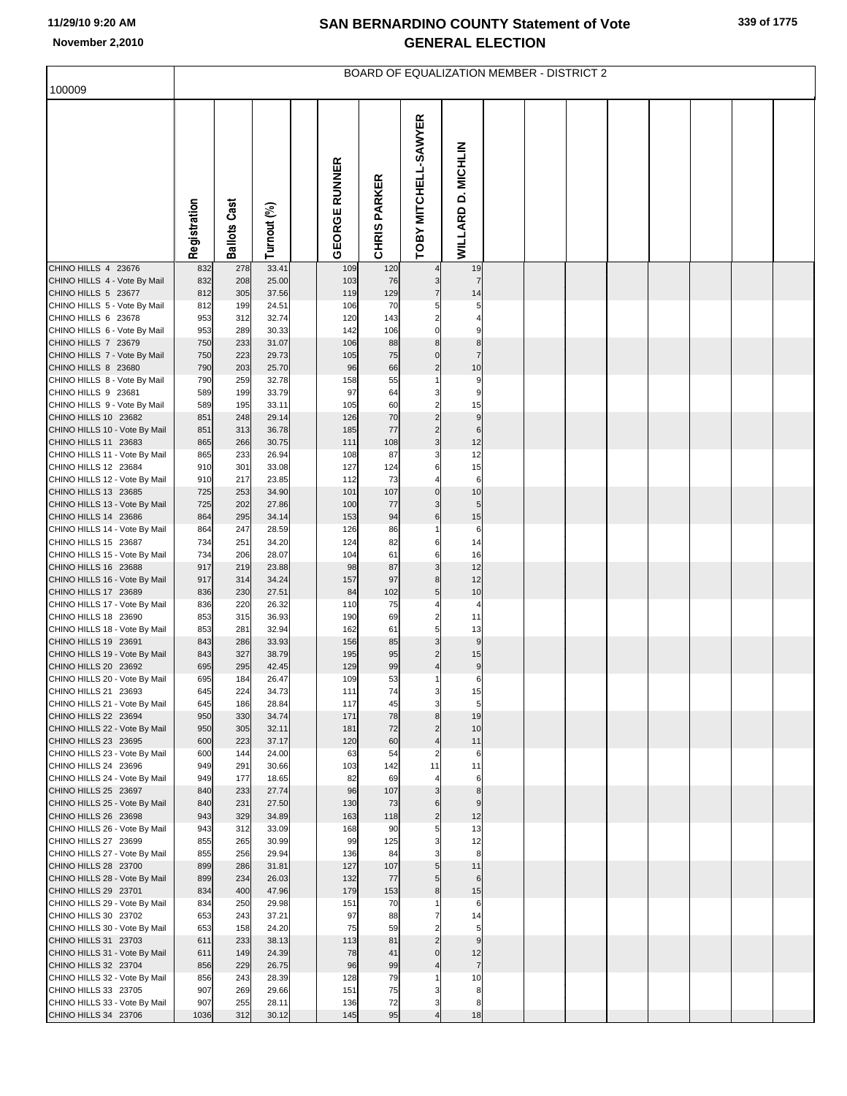| 100009                                                |              |                     |                |                      |                     |                                  |                        |  | <b>BOARD OF EQUALIZATION MEMBER - DISTRICT 2</b> |  |  |  |
|-------------------------------------------------------|--------------|---------------------|----------------|----------------------|---------------------|----------------------------------|------------------------|--|--------------------------------------------------|--|--|--|
|                                                       |              |                     |                |                      |                     |                                  |                        |  |                                                  |  |  |  |
|                                                       | Registration | <b>Ballots Cast</b> | Turnout (%)    | <b>GEORGE RUNNER</b> | <b>CHRIS PARKER</b> | TOBY MITCHELL-SAWYER             | WILLARD D. MICHLIN     |  |                                                  |  |  |  |
| CHINO HILLS 4 23676                                   | 832<br>832   | 278<br>208          | 33.41<br>25.00 | 109                  | 120                 |                                  | 19<br>$\overline{7}$   |  |                                                  |  |  |  |
| CHINO HILLS 4 - Vote By Mail<br>CHINO HILLS 5 23677   | 812          | 305                 | 37.56          | 103<br>119           | 76<br>129           | 3<br>$\overline{7}$              | 14                     |  |                                                  |  |  |  |
| CHINO HILLS 5 - Vote By Mail                          | 812          | 199                 | 24.51          | 106                  | 70                  | 5                                | 5                      |  |                                                  |  |  |  |
| CHINO HILLS 6 23678                                   | 953          | 312                 | 32.74          | 120                  | 143                 | $\overline{2}$                   |                        |  |                                                  |  |  |  |
| CHINO HILLS 6 - Vote By Mail<br>CHINO HILLS 7 23679   | 953<br>750   | 289<br>233          | 30.33<br>31.07 | 142<br>106           | 106<br>88           | $\mathbf 0$<br>8                 | 9<br>8                 |  |                                                  |  |  |  |
| CHINO HILLS 7 - Vote By Mail                          | 750          | 223                 | 29.73          | 105                  | 75                  | 0                                | $\overline{7}$         |  |                                                  |  |  |  |
| CHINO HILLS 8 23680                                   | 790          | 203                 | 25.70          | 96                   | 66                  | $\overline{c}$                   | 10                     |  |                                                  |  |  |  |
| CHINO HILLS 8 - Vote By Mail                          | 790          | 259                 | 32.78          | 158                  | 55                  | 1                                | 9                      |  |                                                  |  |  |  |
| CHINO HILLS 9 23681                                   | 589          | 199                 | 33.79          | 97                   | 64                  | 3                                | 9                      |  |                                                  |  |  |  |
| CHINO HILLS 9 - Vote By Mail<br>CHINO HILLS 10 23682  | 589<br>851   | 195<br>248          | 33.11<br>29.14 | 105<br>126           | 60<br>70            | $\overline{2}$<br>$\overline{c}$ | 15<br>9                |  |                                                  |  |  |  |
| CHINO HILLS 10 - Vote By Mail                         | 851          | 313                 | 36.78          | 185                  | 77                  | $\overline{c}$                   | 6                      |  |                                                  |  |  |  |
| CHINO HILLS 11 23683                                  | 865          | 266                 | 30.75          | 111                  | 108                 | 3                                | 12                     |  |                                                  |  |  |  |
| CHINO HILLS 11 - Vote By Mail                         | 865          | 233                 | 26.94          | 108                  | 87                  | 3                                | 12                     |  |                                                  |  |  |  |
| CHINO HILLS 12 23684<br>CHINO HILLS 12 - Vote By Mail | 910<br>910   | 301<br>217          | 33.08<br>23.85 | 127<br>112           | 124<br>73           | 6<br>4                           | 15<br>$\,6$            |  |                                                  |  |  |  |
| CHINO HILLS 13 23685                                  | 725          | 253                 | 34.90          | 101                  | 107                 | $\mathbf 0$                      | 10                     |  |                                                  |  |  |  |
| CHINO HILLS 13 - Vote By Mail                         | 725          | 202                 | 27.86          | 100                  | 77                  | 3                                | 5                      |  |                                                  |  |  |  |
| CHINO HILLS 14 23686                                  | 864          | 295                 | 34.14          | 153                  | 94                  | 6                                | 15                     |  |                                                  |  |  |  |
| CHINO HILLS 14 - Vote By Mail<br>CHINO HILLS 15 23687 | 864<br>734   | 247<br>251          | 28.59<br>34.20 | 126<br>124           | 86<br>82            | 6                                | $\,6$<br>14            |  |                                                  |  |  |  |
| CHINO HILLS 15 - Vote By Mail                         | 734          | 206                 | 28.07          | 104                  | 61                  | 6                                | 16                     |  |                                                  |  |  |  |
| CHINO HILLS 16 23688                                  | 917          | 219                 | 23.88          | 98                   | 87                  | 3                                | 12                     |  |                                                  |  |  |  |
| CHINO HILLS 16 - Vote By Mail                         | 917          | 314                 | 34.24          | 157                  | 97                  | 8                                | 12                     |  |                                                  |  |  |  |
| CHINO HILLS 17 23689                                  | 836          | 230<br>220          | 27.51          | 84<br>110            | 102                 | 5<br>4                           | 10<br>$\overline{4}$   |  |                                                  |  |  |  |
| CHINO HILLS 17 - Vote By Mail<br>CHINO HILLS 18 23690 | 836<br>853   | 315                 | 26.32<br>36.93 | 190                  | 75<br>69            | $\overline{2}$                   | 11                     |  |                                                  |  |  |  |
| CHINO HILLS 18 - Vote By Mail                         | 853          | 281                 | 32.94          | 162                  | 61                  | 5                                | 13                     |  |                                                  |  |  |  |
| CHINO HILLS 19 23691                                  | 843          | 286                 | 33.93          | 156                  | 85                  | 3                                | $9$                    |  |                                                  |  |  |  |
| CHINO HILLS 19 - Vote By Mail<br>CHINO HILLS 20 23692 | 843<br>695   | 327<br>295          | 38.79          | 195<br>129           | 95                  | $\overline{2}$                   | 15<br>$\boldsymbol{9}$ |  |                                                  |  |  |  |
| CHINO HILLS 20 - Vote By Mail                         | 695          | 184                 | 42.45<br>26.47 | 109                  | 99<br>53            |                                  | 6                      |  |                                                  |  |  |  |
| CHINO HILLS 21 23693                                  | 645          | 224                 | 34.73          | 111                  | 74                  |                                  | 15                     |  |                                                  |  |  |  |
| CHINO HILLS 21 - Vote By Mail                         | 645          | 186                 | 28.84          | 117                  | 45                  | 3                                | 5                      |  |                                                  |  |  |  |
| CHINO HILLS 22 23694<br>CHINO HILLS 22 - Vote By Mail | 950          | 330                 | 34.74          | 171                  | 78<br>72            | 8                                | 19<br>10               |  |                                                  |  |  |  |
| CHINO HILLS 23 23695                                  | 950<br>600   | 305<br>223          | 32.11<br>37.17 | 181<br>120           | 60                  | $\overline{c}$<br>$\overline{4}$ | 11                     |  |                                                  |  |  |  |
| CHINO HILLS 23 - Vote By Mail                         | 600          | 144                 | 24.00          | 63                   | 54                  | $\overline{2}$                   | $\,6$                  |  |                                                  |  |  |  |
| CHINO HILLS 24 23696                                  | 949          | 291                 | 30.66          | 103                  | 142                 | 11                               | 11                     |  |                                                  |  |  |  |
| CHINO HILLS 24 - Vote By Mail                         | 949          | 177                 | 18.65          | 82                   | 69                  |                                  | 6                      |  |                                                  |  |  |  |
| CHINO HILLS 25 23697<br>CHINO HILLS 25 - Vote By Mail | 840<br>840   | 233<br>231          | 27.74<br>27.50 | 96<br>130            | 107<br>73           | 3<br>6                           | 8<br>9                 |  |                                                  |  |  |  |
| CHINO HILLS 26 23698                                  | 943          | 329                 | 34.89          | 163                  | 118                 | $\overline{c}$                   | 12                     |  |                                                  |  |  |  |
| CHINO HILLS 26 - Vote By Mail                         | 943          | 312                 | 33.09          | 168                  | 90                  | 5                                | 13                     |  |                                                  |  |  |  |
| CHINO HILLS 27 23699                                  | 855          | 265                 | 30.99          | 99                   | 125                 | 3                                | 12                     |  |                                                  |  |  |  |
| CHINO HILLS 27 - Vote By Mail<br>CHINO HILLS 28 23700 | 855<br>899   | 256<br>286          | 29.94<br>31.81 | 136<br>127           | 84<br>107           | 3<br>5                           | 8<br>11                |  |                                                  |  |  |  |
| CHINO HILLS 28 - Vote By Mail                         | 899          | 234                 | 26.03          | 132                  | 77                  | 5                                | $6\phantom{1}6$        |  |                                                  |  |  |  |
| CHINO HILLS 29 23701                                  | 834          | 400                 | 47.96          | 179                  | 153                 | $\bf8$                           | 15                     |  |                                                  |  |  |  |
| CHINO HILLS 29 - Vote By Mail                         | 834          | 250                 | 29.98          | 151                  | 70                  |                                  | 6                      |  |                                                  |  |  |  |
| CHINO HILLS 30 23702<br>CHINO HILLS 30 - Vote By Mail | 653<br>653   | 243<br>158          | 37.21<br>24.20 | 97<br>75             | 88<br>59            | 7<br>$\overline{2}$              | 14<br>5                |  |                                                  |  |  |  |
| CHINO HILLS 31 23703                                  | 611          | 233                 | 38.13          | 113                  | 81                  | $\overline{2}$                   | $9$                    |  |                                                  |  |  |  |
| CHINO HILLS 31 - Vote By Mail                         | 611          | 149                 | 24.39          | 78                   | 41                  | $\Omega$                         | 12                     |  |                                                  |  |  |  |
| CHINO HILLS 32 23704                                  | 856          | 229                 | 26.75          | 96                   | 99                  | 4                                | 7 <sup>1</sup>         |  |                                                  |  |  |  |
| CHINO HILLS 32 - Vote By Mail                         | 856          | 243<br>269          | 28.39<br>29.66 | 128<br>151           | 79<br>75            | 3                                | 10                     |  |                                                  |  |  |  |
| CHINO HILLS 33 23705<br>CHINO HILLS 33 - Vote By Mail | 907<br>907   | 255                 | 28.11          | 136                  | 72                  | 3                                | 8<br>8                 |  |                                                  |  |  |  |
| CHINO HILLS 34 23706                                  | 1036         | 312                 | 30.12          | 145                  | 95                  |                                  | 18                     |  |                                                  |  |  |  |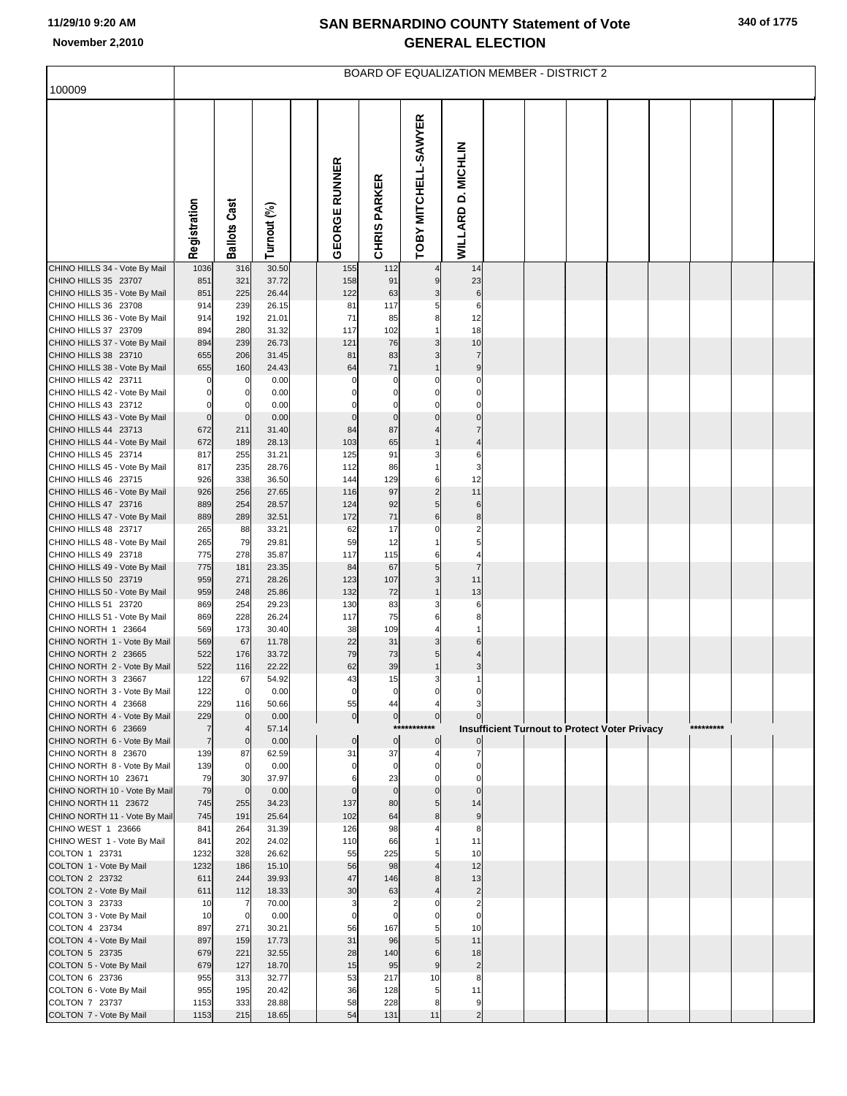|                                                       |                                  |                      |                |                      |                            | <b>BOARD OF EQUALIZATION MEMBER - DISTRICT 2</b> |                               |  |                                                      |  |           |  |
|-------------------------------------------------------|----------------------------------|----------------------|----------------|----------------------|----------------------------|--------------------------------------------------|-------------------------------|--|------------------------------------------------------|--|-----------|--|
| 100009                                                |                                  |                      |                |                      |                            |                                                  |                               |  |                                                      |  |           |  |
|                                                       | Registration                     | <b>Ballots Cast</b>  | Turnout (%)    | <b>GEORGE RUNNER</b> | <b>CHRIS PARKER</b>        | TOBY MITCHELL-SAWYER                             | WILLARD D. MICHLIN            |  |                                                      |  |           |  |
| CHINO HILLS 34 - Vote By Mail                         | 1036                             | 316                  | 30.50          | 155                  | 112                        |                                                  | 14                            |  |                                                      |  |           |  |
| CHINO HILLS 35 23707<br>CHINO HILLS 35 - Vote By Mail | 851<br>851                       | 321<br>225           | 37.72<br>26.44 | 158<br>122           | 91<br>63                   | 9<br>3                                           | 23<br>$6\phantom{1}6$         |  |                                                      |  |           |  |
| CHINO HILLS 36 23708                                  | 914                              | 239                  | 26.15          | 81                   | 117                        |                                                  | 6                             |  |                                                      |  |           |  |
| CHINO HILLS 36 - Vote By Mail                         | 914                              | 192                  | 21.01          | 71                   | 85                         | 8                                                | 12                            |  |                                                      |  |           |  |
| CHINO HILLS 37 23709                                  | 894                              | 280<br>239           | 31.32<br>26.73 | 117<br>121           | 102<br>76                  | 3                                                | 18<br>10                      |  |                                                      |  |           |  |
| CHINO HILLS 37 - Vote By Mail<br>CHINO HILLS 38 23710 | 894<br>655                       | 206                  | 31.45          | 81                   | 83                         | 3                                                | $\overline{7}$                |  |                                                      |  |           |  |
| CHINO HILLS 38 - Vote By Mail                         | 655                              | 160                  | 24.43          | 64                   | 71                         | $\overline{1}$                                   | 9                             |  |                                                      |  |           |  |
| CHINO HILLS 42 23711                                  |                                  | 0                    | 0.00           | $\mathbf 0$          | 0                          | $\Omega$                                         | $\mathbf 0$                   |  |                                                      |  |           |  |
| CHINO HILLS 42 - Vote By Mail                         | 0                                | 0                    | 0.00           | $\Omega$             | $\mathbf 0$                | $\Omega$                                         | $\mathbf 0$                   |  |                                                      |  |           |  |
| CHINO HILLS 43 23712<br>CHINO HILLS 43 - Vote By Mail | 0<br>$\mathbf 0$                 | $\mathbf 0$          | 0.00<br>0.00   | $\mathbf 0$          | 0<br>$\mathbf 0$           | $\Omega$<br>$\Omega$                             | $\mathbf 0$<br>$\Omega$       |  |                                                      |  |           |  |
| CHINO HILLS 44 23713                                  | 672                              | 211                  | 31.40          | 84                   | 87                         |                                                  | $\overline{7}$                |  |                                                      |  |           |  |
| CHINO HILLS 44 - Vote By Mail                         | 672                              | 189                  | 28.13          | 103                  | 65                         | $\overline{1}$                                   | $\overline{4}$                |  |                                                      |  |           |  |
| CHINO HILLS 45 23714                                  | 817                              | 255                  | 31.21          | 125                  | 91                         | 3                                                | 6                             |  |                                                      |  |           |  |
| CHINO HILLS 45 - Vote By Mail<br>CHINO HILLS 46 23715 | 817<br>926                       | 235<br>338           | 28.76<br>36.50 | 112<br>144           | 86<br>129                  | 6                                                | 3<br>12                       |  |                                                      |  |           |  |
| CHINO HILLS 46 - Vote By Mail                         | 926                              | 256                  | 27.65          | 116                  | 97                         | $\overline{2}$                                   | 11                            |  |                                                      |  |           |  |
| CHINO HILLS 47 23716                                  | 889                              | 254                  | 28.57          | 124                  | 92                         | 5                                                | 6                             |  |                                                      |  |           |  |
| CHINO HILLS 47 - Vote By Mail                         | 889                              | 289                  | 32.51          | 172                  | 71                         | 6                                                | 8                             |  |                                                      |  |           |  |
| CHINO HILLS 48 23717                                  | 265                              | 88                   | 33.21          | 62<br>59             | 17<br>12                   | $\Omega$                                         | $\overline{c}$<br>5           |  |                                                      |  |           |  |
| CHINO HILLS 48 - Vote By Mail<br>CHINO HILLS 49 23718 | 265<br>775                       | 79<br>278            | 29.81<br>35.87 | 117                  | 115                        | 6                                                | 4                             |  |                                                      |  |           |  |
| CHINO HILLS 49 - Vote By Mail                         | 775                              | 181                  | 23.35          | 84                   | 67                         | 5                                                | $\overline{7}$                |  |                                                      |  |           |  |
| CHINO HILLS 50 23719                                  | 959                              | 271                  | 28.26          | 123                  | 107                        | 3                                                | 11                            |  |                                                      |  |           |  |
| CHINO HILLS 50 - Vote By Mail<br>CHINO HILLS 51 23720 | 959                              | 248                  | 25.86          | 132                  | 72                         | $\overline{1}$                                   | 13                            |  |                                                      |  |           |  |
| CHINO HILLS 51 - Vote By Mail                         | 869<br>869                       | 254<br>228           | 29.23<br>26.24 | 130<br>117           | 83<br>75                   | 3<br>6                                           | 6<br>8                        |  |                                                      |  |           |  |
| CHINO NORTH 1 23664                                   | 569                              | 173                  | 30.40          | 38                   | 109                        |                                                  |                               |  |                                                      |  |           |  |
| CHINO NORTH 1 - Vote By Mail                          | 569                              | 67                   | 11.78          | 22                   | 31                         | 3                                                | 6                             |  |                                                      |  |           |  |
| CHINO NORTH 2 23665<br>CHINO NORTH 2 - Vote By Mail   | 522<br>522                       | 176                  | 33.72          | 79<br>62             | 73<br>39                   | 5                                                | 4<br>3                        |  |                                                      |  |           |  |
| CHINO NORTH 3 23667                                   | 122                              | 116<br>67            | 22.22<br>54.92 | 43                   | 15                         | 3                                                |                               |  |                                                      |  |           |  |
| CHINO NORTH 3 - Vote By Mail                          | 122                              | $\overline{0}$       | 0.00           | $\pmb{0}$            | $\pmb{0}$                  | $\mathbf 0$                                      |                               |  |                                                      |  |           |  |
| CHINO NORTH 4 23668                                   | 229                              | 116                  | 50.66          | 55                   | 44                         | $\overline{4}$                                   | 3                             |  |                                                      |  |           |  |
| CHINO NORTH 4 - Vote By Mail                          | 229                              | $\Omega$             | 0.00           | $\pmb{0}$            | $\pmb{0}$<br>***           | $\overline{0}$                                   |                               |  |                                                      |  | ********* |  |
| CHINO NORTH 6 23669<br>CHINO NORTH 6 - Vote By Mail   | $\overline{7}$<br>$\overline{7}$ | $\mathbf 0$          | 57.14<br>0.00  | $\pmb{0}$            | $\pmb{0}$                  | $\pmb{0}$                                        |                               |  | <b>Insufficient Turnout to Protect Voter Privacy</b> |  |           |  |
| CHINO NORTH 8 23670                                   | 139                              | 87                   | 62.59          | 31                   | 37                         |                                                  |                               |  |                                                      |  |           |  |
| CHINO NORTH 8 - Vote By Mail                          | 139                              | $\Omega$             | 0.00           | $\mathbf 0$          | $\mathbf 0$                | $\mathbf 0$                                      | $\Omega$                      |  |                                                      |  |           |  |
| CHINO NORTH 10 23671<br>CHINO NORTH 10 - Vote By Mail | 79<br>79                         | 30<br>$\mathbf 0$    | 37.97<br>0.00  | 6<br>$\Omega$        | 23<br>$\mathbf 0$          | $\Omega$<br>$\mathbf 0$                          | $\Omega$<br>$\Omega$          |  |                                                      |  |           |  |
| CHINO NORTH 11 23672                                  | 745                              | 255                  | 34.23          | 137                  | 80                         | 5                                                | 14                            |  |                                                      |  |           |  |
| CHINO NORTH 11 - Vote By Mail                         | 745                              | 191                  | 25.64          | 102                  | 64                         | 8                                                | 9                             |  |                                                      |  |           |  |
| CHINO WEST 1 23666                                    | 841                              | 264                  | 31.39          | 126                  | 98                         |                                                  | 8                             |  |                                                      |  |           |  |
| CHINO WEST 1 - Vote By Mail<br>COLTON 1 23731         | 841<br>1232                      | 202<br>328           | 24.02<br>26.62 | 110<br>55            | 66<br>225                  |                                                  | 11<br>10                      |  |                                                      |  |           |  |
| COLTON 1 - Vote By Mail                               | 1232                             | 186                  | 15.10          | 56                   | 98                         |                                                  | 12                            |  |                                                      |  |           |  |
| COLTON 2 23732                                        | 611                              | 244                  | 39.93          | 47                   | 146                        |                                                  | 13                            |  |                                                      |  |           |  |
| COLTON 2 - Vote By Mail                               | 611                              | 112                  | 18.33          | 30                   | 63                         |                                                  | $\overline{c}$                |  |                                                      |  |           |  |
| COLTON 3 23733<br>COLTON 3 - Vote By Mail             | 10<br>10                         | -7<br>$\overline{0}$ | 70.00<br>0.00  | 3<br>$\mathbf 0$     | $\overline{2}$<br>$\Omega$ |                                                  | $\overline{2}$<br>$\mathbf 0$ |  |                                                      |  |           |  |
| COLTON 4 23734                                        | 897                              | 271                  | 30.21          | 56                   | 167                        |                                                  | 10                            |  |                                                      |  |           |  |
| COLTON 4 - Vote By Mail                               | 897                              | 159                  | 17.73          | 31                   | 96                         | 5                                                | 11                            |  |                                                      |  |           |  |
| COLTON 5 23735                                        | 679                              | 221                  | 32.55          | 28                   | 140                        | 6                                                | 18                            |  |                                                      |  |           |  |
| COLTON 5 - Vote By Mail                               | 679                              | 127                  | 18.70          | 15                   | 95                         | 9                                                | $\overline{2}$                |  |                                                      |  |           |  |
| COLTON 6 23736<br>COLTON 6 - Vote By Mail             | 955<br>955                       | 313<br>195           | 32.77<br>20.42 | 53<br>36             | 217<br>128                 | 10<br>5                                          | 8<br>11                       |  |                                                      |  |           |  |
| COLTON 7 23737                                        | 1153                             | 333                  | 28.88          | 58                   | 228                        | 8                                                | 9                             |  |                                                      |  |           |  |
| COLTON 7 - Vote By Mail                               | 1153                             | 215                  | 18.65          | 54                   | 131                        | 11                                               | $\overline{2}$                |  |                                                      |  |           |  |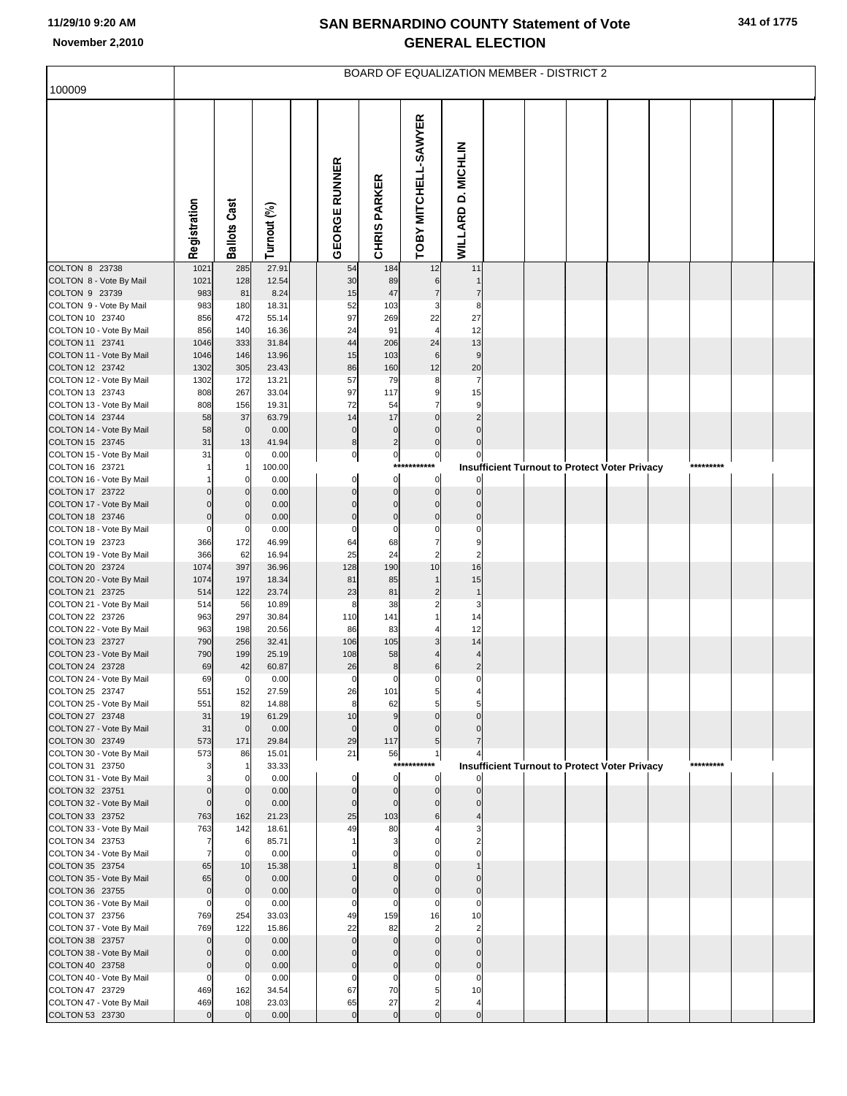|                                             |                    |                       |                |                            |                            | BOARD OF EQUALIZATION MEMBER - DISTRICT 2 |                            |  |                                                      |  |           |  |
|---------------------------------------------|--------------------|-----------------------|----------------|----------------------------|----------------------------|-------------------------------------------|----------------------------|--|------------------------------------------------------|--|-----------|--|
| 100009                                      |                    |                       |                |                            |                            |                                           |                            |  |                                                      |  |           |  |
|                                             | Registration       | <b>Ballots Cast</b>   | Turnout (%)    | <b>GEORGE RUNNER</b>       | <b>CHRIS PARKER</b>        | TOBY MITCHELL-SAWYER                      | WILLARD D. MICHLIN         |  |                                                      |  |           |  |
| COLTON 8 23738                              | 1021               | 285                   | 27.91          | 54                         | 184                        | 12                                        | 11                         |  |                                                      |  |           |  |
| COLTON 8 - Vote By Mail<br>COLTON 9 23739   | 1021<br>983        | 128<br>81             | 12.54<br>8.24  | 30<br>15                   | 89<br>47                   | 6<br>$\overline{7}$                       | $\overline{7}$             |  |                                                      |  |           |  |
| COLTON 9 - Vote By Mail                     | 983                | 180                   | 18.31          | 52                         | 103                        | 3                                         | 8                          |  |                                                      |  |           |  |
| COLTON 10 23740                             | 856                | 472                   | 55.14          | 97                         | 269                        | 22                                        | 27                         |  |                                                      |  |           |  |
| COLTON 10 - Vote By Mail                    | 856                | 140                   | 16.36          | 24                         | 91                         | $\overline{4}$                            | 12                         |  |                                                      |  |           |  |
| COLTON 11 23741                             | 1046               | 333                   | 31.84          | 44<br>15                   | 206<br>103                 | 24<br>$6\phantom{1}$                      | 13<br>$\overline{9}$       |  |                                                      |  |           |  |
| COLTON 11 - Vote By Mail<br>COLTON 12 23742 | 1046<br>1302       | 146<br>305            | 13.96<br>23.43 | 86                         | 160                        | 12                                        | 20                         |  |                                                      |  |           |  |
| COLTON 12 - Vote By Mail                    | 1302               | 172                   | 13.21          | 57                         | 79                         | 8                                         | $\overline{7}$             |  |                                                      |  |           |  |
| COLTON 13 23743                             | 808                | 267                   | 33.04          | 97                         | 117                        | 9                                         | 15                         |  |                                                      |  |           |  |
| COLTON 13 - Vote By Mail                    | 808                | 156                   | 19.31          | 72                         | 54                         | $\overline{7}$                            | 9                          |  |                                                      |  |           |  |
| COLTON 14 23744<br>COLTON 14 - Vote By Mail | 58<br>58           | 37<br>$\overline{0}$  | 63.79<br>0.00  | 14<br>$\mathbf 0$          | 17<br>$\mathbf 0$          | $\Omega$<br>$\Omega$                      | $\mathfrak{p}$             |  |                                                      |  |           |  |
| COLTON 15 23745                             | 31                 | 13                    | 41.94          | $\bf8$                     | $\overline{\mathbf{c}}$    | $\mathbf 0$                               |                            |  |                                                      |  |           |  |
| COLTON 15 - Vote By Mail                    | 31                 | $\mathbf 0$           | 0.00           | $\overline{0}$             | $\pmb{0}$                  | $\pmb{0}$                                 |                            |  |                                                      |  |           |  |
| COLTON 16 23721                             |                    |                       | 100.00         |                            | $***$                      |                                           |                            |  | <b>Insufficient Turnout to Protect Voter Privacy</b> |  | ********* |  |
| COLTON 16 - Vote By Mail<br>COLTON 17 23722 |                    |                       | 0.00           | $\overline{0}$<br>$\Omega$ | $\mathbf 0$<br>$\mathbf 0$ | $\mathbf 0$<br>$\mathbf 0$                |                            |  |                                                      |  |           |  |
| COLTON 17 - Vote By Mail                    | $\Omega$           |                       | 0.00<br>0.00   | $\Omega$                   | $\Omega$                   | $\mathbf 0$                               |                            |  |                                                      |  |           |  |
| COLTON 18 23746                             | $\mathbf 0$        | 0                     | 0.00           | $\mathbf 0$                | $\mathbf 0$                | $\mathbf 0$                               |                            |  |                                                      |  |           |  |
| COLTON 18 - Vote By Mail                    | $\mathbf 0$        | $\mathbf 0$           | 0.00           | $\mathbf 0$                | $\mathsf{C}$               | $\Omega$                                  | $\Omega$                   |  |                                                      |  |           |  |
| COLTON 19 23723                             | 366<br>366         | 172<br>62             | 46.99<br>16.94 | 64<br>25                   | 68<br>24                   | $\overline{7}$<br>$\overline{a}$          | 9<br>$\overline{2}$        |  |                                                      |  |           |  |
| COLTON 19 - Vote By Mail<br>COLTON 20 23724 | 1074               | 397                   | 36.96          | 128                        | 190                        | 10                                        | 16                         |  |                                                      |  |           |  |
| COLTON 20 - Vote By Mail                    | 1074               | 197                   | 18.34          | 81                         | 85                         | $\mathbf{1}$                              | 15                         |  |                                                      |  |           |  |
| COLTON 21 23725                             | 514                | 122                   | 23.74          | 23                         | 81                         | $\overline{2}$                            | $\overline{1}$             |  |                                                      |  |           |  |
| COLTON 21 - Vote By Mail                    | 514                | 56                    | 10.89          | 8                          | 38                         | $\overline{c}$                            | 3                          |  |                                                      |  |           |  |
| COLTON 22 23726<br>COLTON 22 - Vote By Mail | 963<br>963         | 297<br>198            | 30.84<br>20.56 | 110<br>86                  | 141<br>83                  |                                           | 14<br>12                   |  |                                                      |  |           |  |
| COLTON 23 23727                             | 790                | 256                   | 32.41          | 106                        | 105                        |                                           | 14                         |  |                                                      |  |           |  |
| COLTON 23 - Vote By Mail                    | 790                | 199                   | 25.19          | 108                        | 58                         |                                           | $\overline{4}$             |  |                                                      |  |           |  |
| COLTON 24 23728                             | 69                 | 42                    | 60.87          | 26                         | $\bf8$                     | 6                                         | $\overline{2}$             |  |                                                      |  |           |  |
| COLTON 24 - Vote By Mail<br>COLTON 25 23747 | 69<br>551          | $\overline{0}$<br>152 | 0.00<br>27.59  | $\overline{0}$<br>26       | $\mathbf 0$<br>101         | $\Omega$                                  | $\mathbf 0$                |  |                                                      |  |           |  |
| COLTON 25 - Vote By Mail                    | 551                | 82                    | 14.88          | 8                          | 62                         |                                           |                            |  |                                                      |  |           |  |
| COLTON 27 23748                             | 31                 | 19                    | 61.29          | 10                         | 9                          |                                           |                            |  |                                                      |  |           |  |
| COLTON 27 - Vote By Mail                    | 31                 | $\overline{0}$        | 0.00           | $\mathbf 0$                | $\mathbf 0$                | $\Omega$                                  |                            |  |                                                      |  |           |  |
| COLTON 30 23749<br>COLTON 30 - Vote By Mail | 573<br>573         | 171<br>86             | 29.84<br>15.01 | 29<br>21                   | 117<br>56                  | 5<br>$\mathbf{1}$                         |                            |  |                                                      |  |           |  |
| COLTON 31 23750                             |                    |                       | 33.33          |                            | ***                        |                                           |                            |  | <b>Insufficient Turnout to Protect Voter Privacy</b> |  |           |  |
| COLTON 31 - Vote By Mail                    |                    | 0                     | 0.00           | $\mathbf 0$                | $\mathbf 0$                | $\mathbf 0$                               |                            |  |                                                      |  |           |  |
| COLTON 32 23751                             |                    |                       | 0.00           | $\Omega$                   | $\Omega$                   | $\mathbf 0$                               |                            |  |                                                      |  |           |  |
| COLTON 32 - Vote By Mail<br>COLTON 33 23752 | $\mathbf 0$<br>763 | $\mathbf{0}$<br>162   | 0.00<br>21.23  | $\mathbf 0$<br>25          | $\mathbf 0$<br>103         | $\Omega$<br>6                             |                            |  |                                                      |  |           |  |
| COLTON 33 - Vote By Mail                    | 763                | 142                   | 18.61          | 49                         | 80                         |                                           |                            |  |                                                      |  |           |  |
| COLTON 34 23753                             | 7                  | 6                     | 85.71          |                            | З                          |                                           |                            |  |                                                      |  |           |  |
| COLTON 34 - Vote By Mail                    | $\overline{7}$     | $\overline{0}$        | 0.00           |                            |                            |                                           |                            |  |                                                      |  |           |  |
| COLTON 35 23754<br>COLTON 35 - Vote By Mail | 65<br>65           | 10<br>$\overline{0}$  | 15.38<br>0.00  |                            |                            |                                           |                            |  |                                                      |  |           |  |
| COLTON 36 23755                             | $\mathbf 0$        | $\mathbf{0}$          | 0.00           |                            | $\mathcal{C}$              | $\Omega$                                  | $\Omega$                   |  |                                                      |  |           |  |
| COLTON 36 - Vote By Mail                    | $\mathbf 0$        | $\mathbf 0$           | 0.00           | $\mathbf 0$                | $\mathsf{C}$               | $\Omega$                                  | $\Omega$                   |  |                                                      |  |           |  |
| COLTON 37 23756                             | 769                | 254                   | 33.03          | 49                         | 159                        | 16                                        | 10                         |  |                                                      |  |           |  |
| COLTON 37 - Vote By Mail<br>COLTON 38 23757 | 769                | 122<br>$\mathbf{0}$   | 15.86<br>0.00  | 22<br>$\Omega$             | 82<br>$\Omega$             | $\overline{2}$<br>$\Omega$                | $\overline{2}$<br>$\Omega$ |  |                                                      |  |           |  |
| COLTON 38 - Vote By Mail                    | $\Omega$           | $\mathbf{0}$          | 0.00           |                            | $\sqrt{ }$                 |                                           |                            |  |                                                      |  |           |  |
| COLTON 40 23758                             | $\mathbf 0$        |                       | 0.00           |                            | $\mathbf 0$                | $\Omega$                                  | $\Omega$                   |  |                                                      |  |           |  |
| COLTON 40 - Vote By Mail                    | $\Omega$           | $\mathbf 0$           | 0.00           | $\mathbf 0$                | $\mathbf 0$                | $\Omega$                                  | $\Omega$                   |  |                                                      |  |           |  |
| COLTON 47 23729<br>COLTON 47 - Vote By Mail | 469<br>469         | 162<br>108            | 34.54<br>23.03 | 67<br>65                   | 70<br>27                   | 5<br>$\overline{2}$                       | 10<br>4                    |  |                                                      |  |           |  |
| COLTON 53 23730                             | $\mathbf 0$        | $\Omega$              | 0.00           | $\mathbf 0$                | $\mathbf 0$                | $\Omega$                                  | $\Omega$                   |  |                                                      |  |           |  |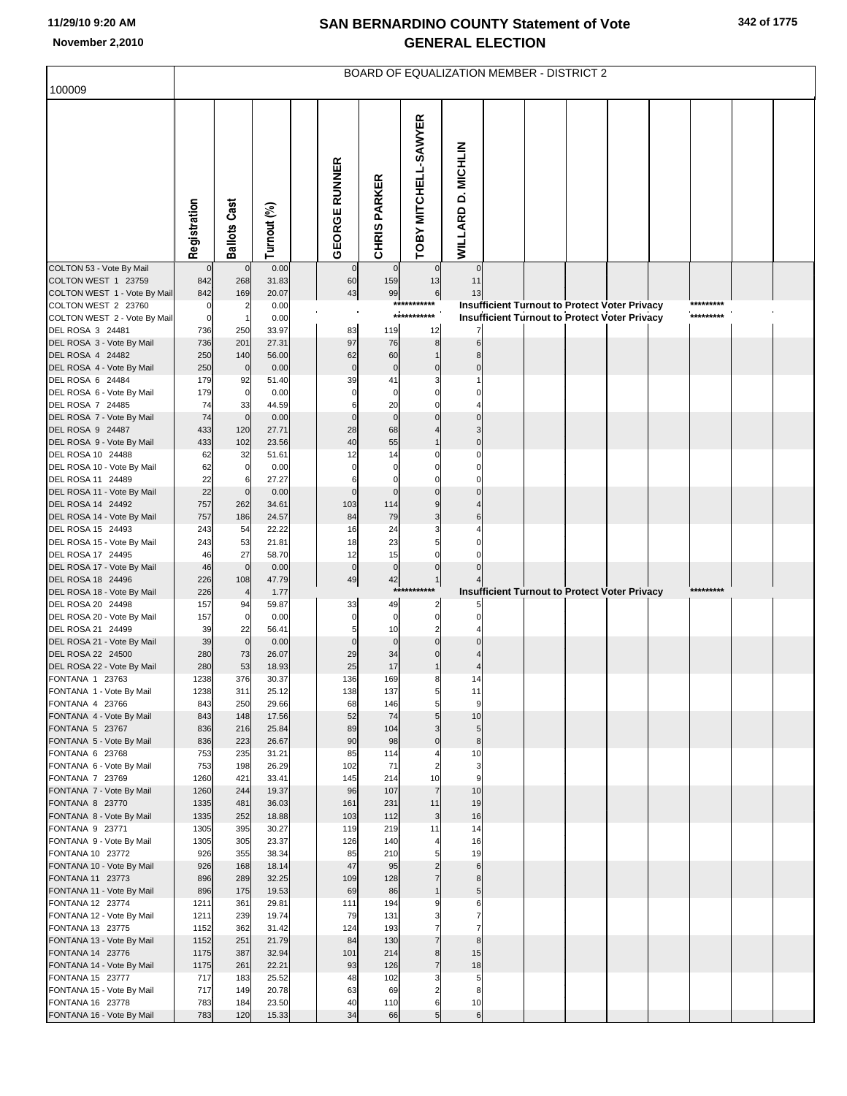|                                                     |              |                      |                |                      |                     |                      | BOARD OF EQUALIZATION MEMBER - DISTRICT 2 |  |                                                      |           |  |
|-----------------------------------------------------|--------------|----------------------|----------------|----------------------|---------------------|----------------------|-------------------------------------------|--|------------------------------------------------------|-----------|--|
| 100009                                              |              |                      |                |                      |                     |                      |                                           |  |                                                      |           |  |
|                                                     | Registration | <b>Ballots Cast</b>  | Turnout (%)    | <b>GEORGE RUNNER</b> | <b>CHRIS PARKER</b> | TOBY MITCHELL-SAWYER | WILLARD D. MICHLIN                        |  |                                                      |           |  |
| COLTON 53 - Vote By Mail                            | $\mathbf{0}$ | $\mathbf 0$          | 0.00           | $\overline{0}$       | $\mathbf 0$         | $\overline{0}$       | $\mathbf 0$                               |  |                                                      |           |  |
| COLTON WEST 1 23759<br>COLTON WEST 1 - Vote By Mail | 842<br>842   | 268<br>169           | 31.83<br>20.07 | 60<br>43             | 159<br>99           | 13<br>6              | 11<br>13                                  |  |                                                      |           |  |
| COLTON WEST 2 23760                                 | 0            | $\overline{2}$       | 0.00           |                      |                     | ***********          |                                           |  | Insufficient Turnout to Protect Voter Privacy        | ********* |  |
| COLTON WEST 2 - Vote By Mail                        | $\mathbf 0$  | -1                   | 0.00           |                      |                     | ***********          |                                           |  | <b>Insufficient Turnout to Protect Voter Privacy</b> | ********* |  |
| DEL ROSA 3 24481<br>DEL ROSA 3 - Vote By Mail       | 736<br>736   | 250<br>201           | 33.97<br>27.31 | 83<br>97             | 119<br>76           | 12<br>8 <sup>1</sup> |                                           |  |                                                      |           |  |
| DEL ROSA 4 24482                                    | 250          | 140                  | 56.00          | 62                   | 60                  |                      |                                           |  |                                                      |           |  |
| DEL ROSA 4 - Vote By Mail                           | 250          | $\mathbf 0$          | 0.00           | $\pmb{0}$            | $\pmb{0}$           | $\Omega$             |                                           |  |                                                      |           |  |
| DEL ROSA 6 24484                                    | 179          | 92                   | 51.40          | 39                   | 41                  |                      |                                           |  |                                                      |           |  |
| DEL ROSA 6 - Vote By Mail<br>DEL ROSA 7 24485       | 179<br>74    | $\overline{0}$<br>33 | 0.00<br>44.59  | $\Omega$<br>6        | $\mathbf 0$<br>20   |                      |                                           |  |                                                      |           |  |
| DEL ROSA 7 - Vote By Mail                           | 74           | $\mathbf 0$          | 0.00           | $\mathbf 0$          | $\mathbf 0$         |                      |                                           |  |                                                      |           |  |
| DEL ROSA 9 24487                                    | 433          | 120                  | 27.71          | 28                   | 68                  |                      |                                           |  |                                                      |           |  |
| DEL ROSA 9 - Vote By Mail<br>DEL ROSA 10 24488      | 433<br>62    | 102<br>32            | 23.56<br>51.61 | 40<br>12             | 55<br>14            | $\Omega$             |                                           |  |                                                      |           |  |
| DEL ROSA 10 - Vote By Mail                          | 62           | $\overline{0}$       | 0.00           |                      | C                   |                      |                                           |  |                                                      |           |  |
| DEL ROSA 11 24489                                   | 22           | 6                    | 27.27          |                      | $\Omega$            |                      |                                           |  |                                                      |           |  |
| DEL ROSA 11 - Vote By Mail                          | 22           | $\mathbf 0$          | 0.00           | $\Omega$             | $\Omega$            |                      |                                           |  |                                                      |           |  |
| DEL ROSA 14 24492<br>DEL ROSA 14 - Vote By Mail     | 757<br>757   | 262<br>186           | 34.61<br>24.57 | 103<br>84            | 114<br>79           | 9                    |                                           |  |                                                      |           |  |
| DEL ROSA 15 24493                                   | 243          | 54                   | 22.22          | 16                   | 24                  |                      |                                           |  |                                                      |           |  |
| DEL ROSA 15 - Vote By Mail                          | 243          | 53                   | 21.81          | 18                   | 23                  |                      |                                           |  |                                                      |           |  |
| DEL ROSA 17 24495                                   | 46           | 27                   | 58.70          | 12                   | 15                  |                      |                                           |  |                                                      |           |  |
| DEL ROSA 17 - Vote By Mail<br>DEL ROSA 18 24496     | 46<br>226    | $\mathbf 0$<br>108   | 0.00<br>47.79  | $\mathbf 0$<br>49    | $\pmb{0}$<br>42     |                      |                                           |  |                                                      |           |  |
| DEL ROSA 18 - Vote By Mail                          | 226          |                      | 1.77           |                      | $***$               |                      |                                           |  | Insufficient Turnout to Protect Voter Privacy        | ********* |  |
| DEL ROSA 20 24498                                   | 157          | 94                   | 59.87          | 33                   | 49                  | 2                    |                                           |  |                                                      |           |  |
| DEL ROSA 20 - Vote By Mail<br>DEL ROSA 21 24499     | 157<br>39    | $\overline{0}$<br>22 | 0.00<br>56.41  | $\mathbf 0$<br>5     | $\bf 0$<br>10       | $\mathbf 0$          |                                           |  |                                                      |           |  |
| DEL ROSA 21 - Vote By Mail                          | 39           | $\mathbf 0$          | 0.00           | $\Omega$             | $\mathbf 0$         |                      |                                           |  |                                                      |           |  |
| DEL ROSA 22 24500                                   | 280          | 73                   | 26.07          | 29                   | 34                  |                      |                                           |  |                                                      |           |  |
| DEL ROSA 22 - Vote By Mail                          | 280          | 53                   | 18.93          | 25                   | 17                  |                      |                                           |  |                                                      |           |  |
| FONTANA 1 23763<br>FONTANA 1 - Vote By Mail         | 1238<br>1238 | 376<br>311           | 30.37<br>25.12 | 136<br>138           | 169<br>137          | 8<br>$5 \mid$        | 14<br>11                                  |  |                                                      |           |  |
| FONTANA 4 23766                                     | 843          | 250                  | 29.66          | 68                   | 146                 | 5                    | 9                                         |  |                                                      |           |  |
| FONTANA 4 - Vote By Mail                            | 843          | 148                  | 17.56          | 52                   | 74                  | 5 <sub>1</sub>       | 10                                        |  |                                                      |           |  |
| FONTANA 5 23767<br>FONTANA 5 - Vote By Mail         | 836<br>836   | 216<br>223           | 25.84<br>26.67 | 89<br>90             | 104<br>98           | 3<br>$\Omega$        | 5 <sub>5</sub><br>8                       |  |                                                      |           |  |
| FONTANA 6 23768                                     | 753          | 235                  | 31.21          | 85                   | 114                 |                      | 10                                        |  |                                                      |           |  |
| FONTANA 6 - Vote By Mail                            | 753          | 198                  | 26.29          | 102                  | 71                  | $\overline{c}$       | 3                                         |  |                                                      |           |  |
| FONTANA 7 23769                                     | 1260         | 421                  | 33.41          | 145                  | 214                 | 10                   | 9                                         |  |                                                      |           |  |
| FONTANA 7 - Vote By Mail<br>FONTANA 8 23770         | 1260<br>1335 | 244<br>481           | 19.37<br>36.03 | 96<br>161            | 107<br>231          | $\overline{7}$<br>11 | 10<br>19                                  |  |                                                      |           |  |
| FONTANA 8 - Vote By Mail                            | 1335         | 252                  | 18.88          | 103                  | 112                 | $\mathbf{3}$         | 16                                        |  |                                                      |           |  |
| FONTANA 9 23771                                     | 1305         | 395                  | 30.27          | 119                  | 219                 | 11                   | 14                                        |  |                                                      |           |  |
| FONTANA 9 - Vote By Mail                            | 1305         | 305                  | 23.37          | 126                  | 140                 |                      | 16                                        |  |                                                      |           |  |
| FONTANA 10 23772<br>FONTANA 10 - Vote By Mail       | 926<br>926   | 355<br>168           | 38.34<br>18.14 | 85<br>47             | 210<br>95           | 5                    | 19<br>$6 \mid$                            |  |                                                      |           |  |
| FONTANA 11 23773                                    | 896          | 289                  | 32.25          | 109                  | 128                 | $\overline{7}$       | 8                                         |  |                                                      |           |  |
| FONTANA 11 - Vote By Mail                           | 896          | 175                  | 19.53          | 69                   | 86                  | $\mathbf{1}$         | 5                                         |  |                                                      |           |  |
| FONTANA 12 23774                                    | 1211         | 361                  | 29.81          | 111                  | 194                 | 9                    | 6                                         |  |                                                      |           |  |
| FONTANA 12 - Vote By Mail<br>FONTANA 13 23775       | 1211<br>1152 | 239<br>362           | 19.74<br>31.42 | 79<br>124            | 131<br>193          | 3<br>7               | 7                                         |  |                                                      |           |  |
| FONTANA 13 - Vote By Mail                           | 1152         | 251                  | 21.79          | 84                   | 130                 | $\overline{7}$       | 8                                         |  |                                                      |           |  |
| FONTANA 14 23776                                    | 1175         | 387                  | 32.94          | 101                  | 214                 | 8 <sup>1</sup>       | 15                                        |  |                                                      |           |  |
| FONTANA 14 - Vote By Mail                           | 1175         | 261                  | 22.21          | 93                   | 126                 | $\overline{7}$       | 18                                        |  |                                                      |           |  |
| FONTANA 15 23777<br>FONTANA 15 - Vote By Mail       | 717<br>717   | 183<br>149           | 25.52<br>20.78 | 48<br>63             | 102<br>69           | 3                    | 5<br>8                                    |  |                                                      |           |  |
| FONTANA 16 23778                                    | 783          | 184                  | 23.50          | 40                   | 110                 | 6                    | 10                                        |  |                                                      |           |  |
| FONTANA 16 - Vote By Mail                           | 783          | 120                  | 15.33          | 34                   | 66                  | 5 <sub>l</sub>       | 6                                         |  |                                                      |           |  |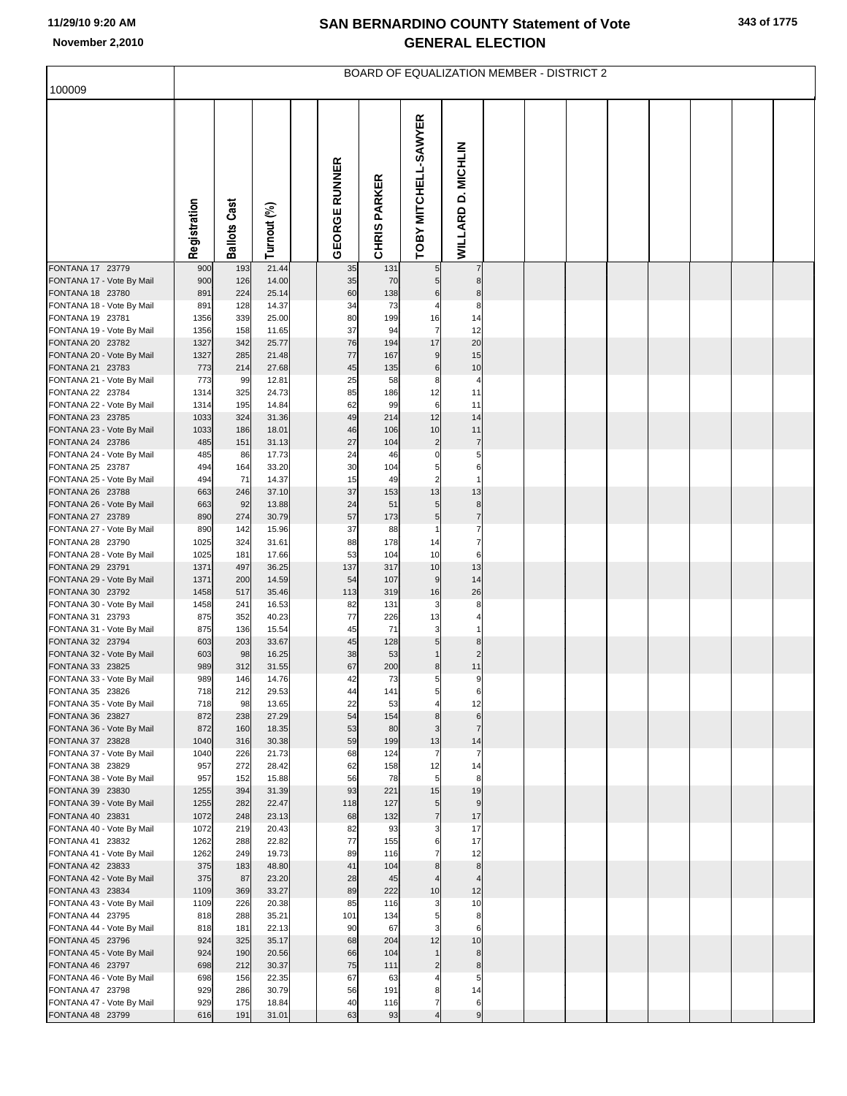| 100009                                        |              |                     |                |                      |                     |                      |                          |  | <b>BOARD OF EQUALIZATION MEMBER - DISTRICT 2</b> |  |  |  |
|-----------------------------------------------|--------------|---------------------|----------------|----------------------|---------------------|----------------------|--------------------------|--|--------------------------------------------------|--|--|--|
|                                               |              |                     |                |                      |                     |                      |                          |  |                                                  |  |  |  |
|                                               | Registration | <b>Ballots Cast</b> | Turnout (%)    | <b>GEORGE RUNNER</b> | <b>CHRIS PARKER</b> | TOBY MITCHELL-SAWYER | WILLARD D. MICHLIN       |  |                                                  |  |  |  |
| FONTANA 17 23779                              | 900          | 193                 | 21.44<br>14.00 | 35                   | 131<br>70           | 5 <sub>5</sub>       | 7                        |  |                                                  |  |  |  |
| FONTANA 17 - Vote By Mail<br>FONTANA 18 23780 | 900<br>891   | 126<br>224          | 25.14          | 35<br>60             | 138                 | 5 <sub>5</sub><br>6  | 8<br>8                   |  |                                                  |  |  |  |
| FONTANA 18 - Vote By Mail                     | 891          | 128                 | 14.37          | 34                   | 73                  |                      | 8                        |  |                                                  |  |  |  |
| FONTANA 19 23781                              | 1356         | 339                 | 25.00          | 80                   | 199                 | 16                   | 14                       |  |                                                  |  |  |  |
| FONTANA 19 - Vote By Mail<br>FONTANA 20 23782 | 1356<br>1327 | 158<br>342          | 11.65<br>25.77 | 37<br>76             | 94<br>194           | $\overline{7}$<br>17 | 12<br>20                 |  |                                                  |  |  |  |
| FONTANA 20 - Vote By Mail                     | 1327         | 285                 | 21.48          | 77                   | 167                 | $\boldsymbol{9}$     | 15                       |  |                                                  |  |  |  |
| FONTANA 21 23783                              | 773          | 214                 | 27.68          | 45                   | 135                 | 6                    | 10                       |  |                                                  |  |  |  |
| FONTANA 21 - Vote By Mail                     | 773          | 99                  | 12.81          | 25                   | 58                  | 8                    | $\overline{\phantom{a}}$ |  |                                                  |  |  |  |
| FONTANA 22 23784                              | 1314         | 325                 | 24.73          | 85                   | 186                 | 12                   | 11                       |  |                                                  |  |  |  |
| FONTANA 22 - Vote By Mail<br>FONTANA 23 23785 | 1314<br>1033 | 195<br>324          | 14.84<br>31.36 | 62<br>49             | 99<br>214           | $6\phantom{1}$<br>12 | 11<br>14                 |  |                                                  |  |  |  |
| FONTANA 23 - Vote By Mail                     | 1033         | 186                 | 18.01          | 46                   | 106                 | 10                   | 11                       |  |                                                  |  |  |  |
| FONTANA 24 23786                              | 485          | 151                 | 31.13          | 27                   | 104                 | $\overline{c}$       | $\overline{7}$           |  |                                                  |  |  |  |
| FONTANA 24 - Vote By Mail                     | 485          | 86                  | 17.73          | 24                   | 46                  | $\mathbf 0$          | 5                        |  |                                                  |  |  |  |
| FONTANA 25 23787<br>FONTANA 25 - Vote By Mail | 494<br>494   | 164<br>71           | 33.20<br>14.37 | 30<br>15             | 104<br>49           | 5<br>$\overline{c}$  | 6<br>1                   |  |                                                  |  |  |  |
| FONTANA 26 23788                              | 663          | 246                 | 37.10          | 37                   | 153                 | 13                   | 13                       |  |                                                  |  |  |  |
| FONTANA 26 - Vote By Mail                     | 663          | 92                  | 13.88          | 24                   | 51                  | 5                    | 8                        |  |                                                  |  |  |  |
| FONTANA 27 23789                              | 890          | 274                 | 30.79          | 57                   | 173                 | 5                    | $\overline{7}$           |  |                                                  |  |  |  |
| FONTANA 27 - Vote By Mail                     | 890<br>1025  | 142<br>324          | 15.96<br>31.61 | 37<br>88             | 88<br>178           |                      | 7<br>7                   |  |                                                  |  |  |  |
| FONTANA 28 23790<br>FONTANA 28 - Vote By Mail | 1025         | 181                 | 17.66          | 53                   | 104                 | 14<br>10             | 6                        |  |                                                  |  |  |  |
| FONTANA 29 23791                              | 1371         | 497                 | 36.25          | 137                  | 317                 | 10                   | 13                       |  |                                                  |  |  |  |
| FONTANA 29 - Vote By Mail                     | 1371         | 200                 | 14.59          | 54                   | 107                 | $\boldsymbol{9}$     | 14                       |  |                                                  |  |  |  |
| FONTANA 30 23792                              | 1458         | 517                 | 35.46          | 113                  | 319                 | 16                   | 26                       |  |                                                  |  |  |  |
| FONTANA 30 - Vote By Mail<br>FONTANA 31 23793 | 1458<br>875  | 241<br>352          | 16.53<br>40.23 | 82<br>77             | 131<br>226          | 3<br>13              | 8                        |  |                                                  |  |  |  |
| FONTANA 31 - Vote By Mail                     | 875          | 136                 | 15.54          | 45                   | 71                  | 3                    |                          |  |                                                  |  |  |  |
| FONTANA 32 23794                              | 603          | 203                 | 33.67          | 45                   | 128                 | 5 <sub>l</sub>       | 8                        |  |                                                  |  |  |  |
| FONTANA 32 - Vote By Mail                     | 603          | 98                  | 16.25          | 38<br>67             | 53                  |                      | 11                       |  |                                                  |  |  |  |
| FONTANA 33 23825<br>FONTANA 33 - Vote By Mail | 989<br>989   | 312<br>146          | 31.55<br>14.76 | 42                   | 200<br>73           | 8<br>5               | 9                        |  |                                                  |  |  |  |
| FONTANA 35 23826                              | 718          | 212                 | 29.53          | 44                   | 141                 | 5                    | 6                        |  |                                                  |  |  |  |
| FONTANA 35 - Vote By Mail                     | 718          | 98                  | 13.65          | 22                   | 53                  | $\overline{4}$       | 12                       |  |                                                  |  |  |  |
| FONTANA 36 23827                              | 872          | 238                 | 27.29          | 54                   | 154                 | 8 <sup>1</sup>       | 6                        |  |                                                  |  |  |  |
| FONTANA 36 - Vote By Mail<br>FONTANA 37 23828 | 872<br>1040  | 160<br>316          | 18.35<br>30.38 | 53<br>59             | 80<br>199           | 3<br>13              | $\overline{7}$<br>14     |  |                                                  |  |  |  |
| FONTANA 37 - Vote By Mail                     | 1040         | 226                 | 21.73          | 68                   | 124                 | $\overline{7}$       | $\overline{7}$           |  |                                                  |  |  |  |
| FONTANA 38 23829                              | 957          | 272                 | 28.42          | 62                   | 158                 | 12                   | 14                       |  |                                                  |  |  |  |
| FONTANA 38 - Vote By Mail                     | 957          | 152<br>394          | 15.88          | 56<br>93             | 78<br>221           | 5 <sub>l</sub><br>15 | 8<br>19                  |  |                                                  |  |  |  |
| FONTANA 39 23830<br>FONTANA 39 - Vote By Mail | 1255<br>1255 | 282                 | 31.39<br>22.47 | 118                  | 127                 | 5 <sub>5</sub>       | 9                        |  |                                                  |  |  |  |
| FONTANA 40 23831                              | 1072         | 248                 | 23.13          | 68                   | 132                 | $\overline{7}$       | 17                       |  |                                                  |  |  |  |
| FONTANA 40 - Vote By Mail                     | 1072         | 219                 | 20.43          | 82                   | 93                  | 3                    | 17                       |  |                                                  |  |  |  |
| FONTANA 41 23832                              | 1262         | 288                 | 22.82          | 77<br>89             | 155                 | 6                    | 17                       |  |                                                  |  |  |  |
| FONTANA 41 - Vote By Mail<br>FONTANA 42 23833 | 1262<br>375  | 249<br>183          | 19.73<br>48.80 | 41                   | 116<br>104          | 7<br>8               | 12<br>8                  |  |                                                  |  |  |  |
| FONTANA 42 - Vote By Mail                     | 375          | 87                  | 23.20          | 28                   | 45                  |                      | 4                        |  |                                                  |  |  |  |
| FONTANA 43 23834                              | 1109         | 369                 | 33.27          | 89                   | 222                 | 10                   | 12                       |  |                                                  |  |  |  |
| FONTANA 43 - Vote By Mail                     | 1109         | 226                 | 20.38          | 85                   | 116                 | 3                    | 10                       |  |                                                  |  |  |  |
| FONTANA 44 23795<br>FONTANA 44 - Vote By Mail | 818<br>818   | 288<br>181          | 35.21<br>22.13 | 101<br>90            | 134<br>67           | 5                    | 8<br>6                   |  |                                                  |  |  |  |
| FONTANA 45 23796                              | 924          | 325                 | 35.17          | 68                   | 204                 | 12                   | 10                       |  |                                                  |  |  |  |
| FONTANA 45 - Vote By Mail                     | 924          | 190                 | 20.56          | 66                   | 104                 |                      | 8                        |  |                                                  |  |  |  |
| FONTANA 46 23797                              | 698          | 212                 | 30.37          | 75                   | 111                 | $\overline{2}$       | 8                        |  |                                                  |  |  |  |
| FONTANA 46 - Vote By Mail<br>FONTANA 47 23798 | 698<br>929   | 156<br>286          | 22.35<br>30.79 | 67<br>56             | 63<br>191           | 8                    | 5<br>14                  |  |                                                  |  |  |  |
| FONTANA 47 - Vote By Mail                     | 929          | 175                 | 18.84          | 40                   | 116                 | 7                    | 6                        |  |                                                  |  |  |  |
| FONTANA 48 23799                              | 616          | 191                 | 31.01          | 63                   | 93                  |                      | 9                        |  |                                                  |  |  |  |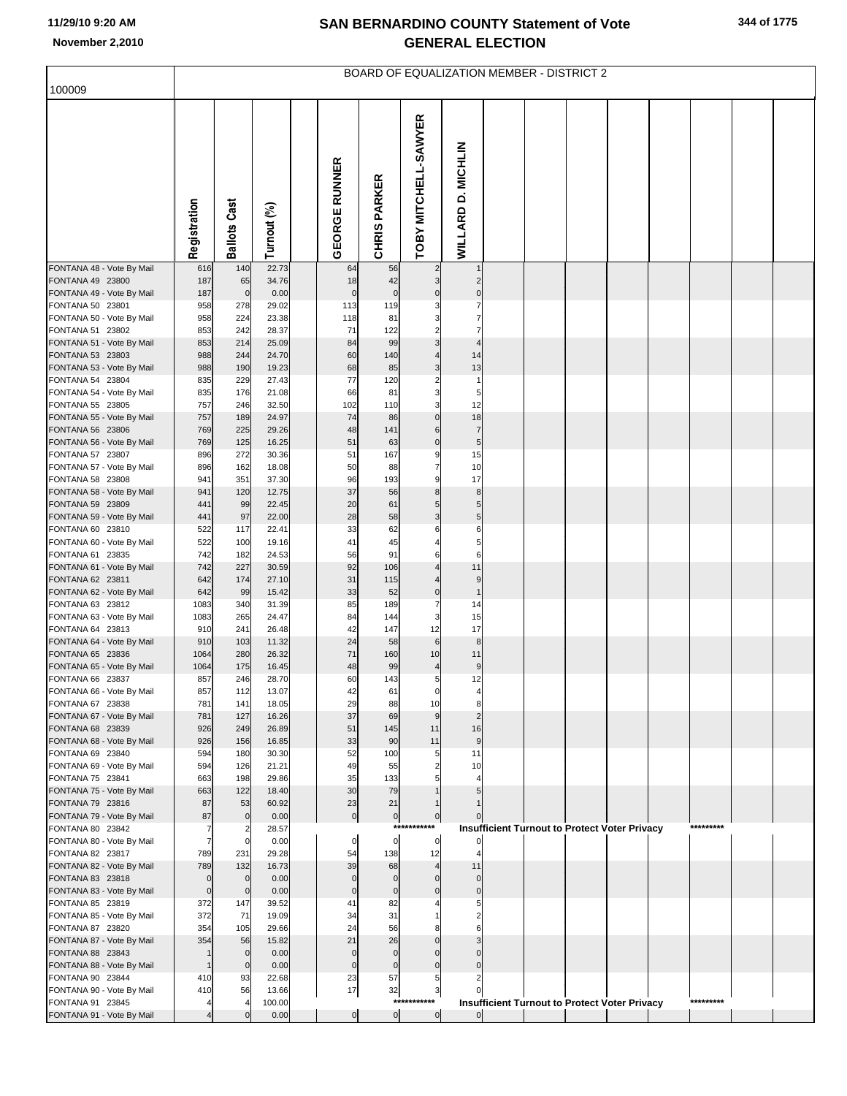|                                                                                                                                                                                                                                                                                                                                                                                                                                                                                                                 |                                                                                                                                   |                                                                                                                                  |                                                                                                                                                              |                                                                                                                                              |                                                                                                                                                                 | BOARD OF EQUALIZATION MEMBER - DISTRICT 2                                                                                                    |                                                                                        |  |                                                                                                              |  |                        |  |
|-----------------------------------------------------------------------------------------------------------------------------------------------------------------------------------------------------------------------------------------------------------------------------------------------------------------------------------------------------------------------------------------------------------------------------------------------------------------------------------------------------------------|-----------------------------------------------------------------------------------------------------------------------------------|----------------------------------------------------------------------------------------------------------------------------------|--------------------------------------------------------------------------------------------------------------------------------------------------------------|----------------------------------------------------------------------------------------------------------------------------------------------|-----------------------------------------------------------------------------------------------------------------------------------------------------------------|----------------------------------------------------------------------------------------------------------------------------------------------|----------------------------------------------------------------------------------------|--|--------------------------------------------------------------------------------------------------------------|--|------------------------|--|
| 100009                                                                                                                                                                                                                                                                                                                                                                                                                                                                                                          |                                                                                                                                   |                                                                                                                                  |                                                                                                                                                              |                                                                                                                                              |                                                                                                                                                                 |                                                                                                                                              |                                                                                        |  |                                                                                                              |  |                        |  |
|                                                                                                                                                                                                                                                                                                                                                                                                                                                                                                                 | Registration                                                                                                                      | <b>Ballots Cast</b>                                                                                                              | Turnout (%)                                                                                                                                                  | <b>GEORGE RUNNER</b>                                                                                                                         | <b>CHRIS PARKER</b>                                                                                                                                             | TOBY MITCHELL-SAWYER                                                                                                                         | WILLARD D. MICHLIN                                                                     |  |                                                                                                              |  |                        |  |
| FONTANA 48 - Vote By Mail                                                                                                                                                                                                                                                                                                                                                                                                                                                                                       | 616                                                                                                                               | 140                                                                                                                              | 22.73                                                                                                                                                        | 64                                                                                                                                           | 56                                                                                                                                                              | $\overline{c}$                                                                                                                               |                                                                                        |  |                                                                                                              |  |                        |  |
| FONTANA 49 23800<br>FONTANA 49 - Vote By Mail                                                                                                                                                                                                                                                                                                                                                                                                                                                                   | 187<br>187                                                                                                                        | 65<br>$\mathbf 0$                                                                                                                | 34.76<br>0.00                                                                                                                                                | 18<br>$\mathbf 0$                                                                                                                            | 42<br>$\pmb{0}$                                                                                                                                                 | 3<br>$\Omega$                                                                                                                                | 2<br>$\Omega$                                                                          |  |                                                                                                              |  |                        |  |
| FONTANA 50 23801                                                                                                                                                                                                                                                                                                                                                                                                                                                                                                | 958                                                                                                                               | 278                                                                                                                              | 29.02                                                                                                                                                        | 113                                                                                                                                          | 119                                                                                                                                                             |                                                                                                                                              |                                                                                        |  |                                                                                                              |  |                        |  |
| FONTANA 50 - Vote By Mail                                                                                                                                                                                                                                                                                                                                                                                                                                                                                       | 958                                                                                                                               | 224                                                                                                                              | 23.38                                                                                                                                                        | 118                                                                                                                                          | 81                                                                                                                                                              |                                                                                                                                              |                                                                                        |  |                                                                                                              |  |                        |  |
| FONTANA 51 23802<br>FONTANA 51 - Vote By Mail                                                                                                                                                                                                                                                                                                                                                                                                                                                                   | 853<br>853                                                                                                                        | 242<br>214                                                                                                                       | 28.37<br>25.09                                                                                                                                               | 71<br>84                                                                                                                                     | 122<br>99                                                                                                                                                       | $\overline{\mathbf{c}}$<br>3                                                                                                                 | 7<br>$\overline{4}$                                                                    |  |                                                                                                              |  |                        |  |
| FONTANA 53 23803                                                                                                                                                                                                                                                                                                                                                                                                                                                                                                | 988                                                                                                                               | 244                                                                                                                              | 24.70                                                                                                                                                        | 60                                                                                                                                           | 140                                                                                                                                                             |                                                                                                                                              | 14                                                                                     |  |                                                                                                              |  |                        |  |
| FONTANA 53 - Vote By Mail                                                                                                                                                                                                                                                                                                                                                                                                                                                                                       | 988                                                                                                                               | 190                                                                                                                              | 19.23                                                                                                                                                        | 68                                                                                                                                           | 85                                                                                                                                                              | 3                                                                                                                                            | 13                                                                                     |  |                                                                                                              |  |                        |  |
| FONTANA 54 23804                                                                                                                                                                                                                                                                                                                                                                                                                                                                                                | 835                                                                                                                               | 229                                                                                                                              | 27.43<br>21.08                                                                                                                                               | 77<br>66                                                                                                                                     | 120                                                                                                                                                             | $\overline{a}$                                                                                                                               | $\overline{1}$<br>5                                                                    |  |                                                                                                              |  |                        |  |
| FONTANA 54 - Vote By Mail<br>FONTANA 55 23805                                                                                                                                                                                                                                                                                                                                                                                                                                                                   | 835<br>757                                                                                                                        | 176<br>246                                                                                                                       | 32.50                                                                                                                                                        | 102                                                                                                                                          | 81<br>110                                                                                                                                                       | 3<br>3                                                                                                                                       | 12                                                                                     |  |                                                                                                              |  |                        |  |
| FONTANA 55 - Vote By Mail                                                                                                                                                                                                                                                                                                                                                                                                                                                                                       | 757                                                                                                                               | 189                                                                                                                              | 24.97                                                                                                                                                        | 74                                                                                                                                           | 86                                                                                                                                                              | $\mathbf 0$                                                                                                                                  | 18                                                                                     |  |                                                                                                              |  |                        |  |
| FONTANA 56 23806                                                                                                                                                                                                                                                                                                                                                                                                                                                                                                | 769                                                                                                                               | 225                                                                                                                              | 29.26                                                                                                                                                        | 48                                                                                                                                           | 141                                                                                                                                                             | 6                                                                                                                                            | $\overline{7}$                                                                         |  |                                                                                                              |  |                        |  |
| FONTANA 56 - Vote By Mail<br>FONTANA 57 23807                                                                                                                                                                                                                                                                                                                                                                                                                                                                   | 769<br>896                                                                                                                        | 125<br>272                                                                                                                       | 16.25<br>30.36                                                                                                                                               | 51<br>51                                                                                                                                     | 63<br>167                                                                                                                                                       | $\mathbf 0$<br>9                                                                                                                             | 5<br>15                                                                                |  |                                                                                                              |  |                        |  |
| FONTANA 57 - Vote By Mail                                                                                                                                                                                                                                                                                                                                                                                                                                                                                       | 896                                                                                                                               | 162                                                                                                                              | 18.08                                                                                                                                                        | 50                                                                                                                                           | 88                                                                                                                                                              | $\overline{7}$                                                                                                                               | 10                                                                                     |  |                                                                                                              |  |                        |  |
| FONTANA 58 23808                                                                                                                                                                                                                                                                                                                                                                                                                                                                                                | 941                                                                                                                               | 351                                                                                                                              | 37.30                                                                                                                                                        | 96                                                                                                                                           | 193                                                                                                                                                             | 9                                                                                                                                            | 17                                                                                     |  |                                                                                                              |  |                        |  |
| FONTANA 58 - Vote By Mail                                                                                                                                                                                                                                                                                                                                                                                                                                                                                       | 941                                                                                                                               | 120                                                                                                                              | 12.75                                                                                                                                                        | 37                                                                                                                                           | 56                                                                                                                                                              | 8                                                                                                                                            | 8                                                                                      |  |                                                                                                              |  |                        |  |
| FONTANA 59 23809<br>FONTANA 59 - Vote By Mail                                                                                                                                                                                                                                                                                                                                                                                                                                                                   | 441<br>441                                                                                                                        | 99<br>97                                                                                                                         | 22.45<br>22.00                                                                                                                                               | 20<br>28                                                                                                                                     | 61<br>58                                                                                                                                                        | 5<br>3                                                                                                                                       | 5<br>5                                                                                 |  |                                                                                                              |  |                        |  |
| FONTANA 60 23810                                                                                                                                                                                                                                                                                                                                                                                                                                                                                                | 522                                                                                                                               | 117                                                                                                                              | 22.41                                                                                                                                                        | 33                                                                                                                                           | 62                                                                                                                                                              | 6                                                                                                                                            | 6                                                                                      |  |                                                                                                              |  |                        |  |
| FONTANA 60 - Vote By Mail                                                                                                                                                                                                                                                                                                                                                                                                                                                                                       | 522                                                                                                                               | 100                                                                                                                              | 19.16                                                                                                                                                        | 41                                                                                                                                           | 45                                                                                                                                                              |                                                                                                                                              | 5                                                                                      |  |                                                                                                              |  |                        |  |
|                                                                                                                                                                                                                                                                                                                                                                                                                                                                                                                 |                                                                                                                                   |                                                                                                                                  |                                                                                                                                                              |                                                                                                                                              |                                                                                                                                                                 |                                                                                                                                              |                                                                                        |  |                                                                                                              |  |                        |  |
| FONTANA 62 23811                                                                                                                                                                                                                                                                                                                                                                                                                                                                                                | 642                                                                                                                               | 174                                                                                                                              | 27.10                                                                                                                                                        | 31                                                                                                                                           | 115                                                                                                                                                             |                                                                                                                                              | 9                                                                                      |  |                                                                                                              |  |                        |  |
| FONTANA 62 - Vote By Mail                                                                                                                                                                                                                                                                                                                                                                                                                                                                                       | 642                                                                                                                               | 99                                                                                                                               | 15.42                                                                                                                                                        | 33                                                                                                                                           | 52                                                                                                                                                              | $\mathbf 0$                                                                                                                                  | $\mathbf{1}$                                                                           |  |                                                                                                              |  |                        |  |
| FONTANA 63 23812                                                                                                                                                                                                                                                                                                                                                                                                                                                                                                | 1083                                                                                                                              | 340                                                                                                                              | 31.39                                                                                                                                                        | 85                                                                                                                                           | 189                                                                                                                                                             | $\overline{7}$                                                                                                                               | 14                                                                                     |  |                                                                                                              |  |                        |  |
|                                                                                                                                                                                                                                                                                                                                                                                                                                                                                                                 |                                                                                                                                   |                                                                                                                                  |                                                                                                                                                              |                                                                                                                                              |                                                                                                                                                                 |                                                                                                                                              |                                                                                        |  |                                                                                                              |  |                        |  |
| FONTANA 64 - Vote By Mail                                                                                                                                                                                                                                                                                                                                                                                                                                                                                       | 910                                                                                                                               | 103                                                                                                                              | 11.32                                                                                                                                                        | 24                                                                                                                                           | 58                                                                                                                                                              | $\,6$                                                                                                                                        | 8                                                                                      |  |                                                                                                              |  |                        |  |
| FONTANA 65 23836                                                                                                                                                                                                                                                                                                                                                                                                                                                                                                | 1064                                                                                                                              | 280                                                                                                                              | 26.32                                                                                                                                                        | 71                                                                                                                                           | 160                                                                                                                                                             | 10                                                                                                                                           | 11                                                                                     |  |                                                                                                              |  |                        |  |
|                                                                                                                                                                                                                                                                                                                                                                                                                                                                                                                 |                                                                                                                                   |                                                                                                                                  |                                                                                                                                                              |                                                                                                                                              |                                                                                                                                                                 |                                                                                                                                              |                                                                                        |  |                                                                                                              |  |                        |  |
|                                                                                                                                                                                                                                                                                                                                                                                                                                                                                                                 | 857                                                                                                                               | 112                                                                                                                              | 13.07                                                                                                                                                        | 42                                                                                                                                           | 61                                                                                                                                                              | $\mathbf 0$                                                                                                                                  |                                                                                        |  |                                                                                                              |  |                        |  |
| FONTANA 67 23838                                                                                                                                                                                                                                                                                                                                                                                                                                                                                                | 781                                                                                                                               | 141                                                                                                                              | 18.05                                                                                                                                                        | 29                                                                                                                                           | 88                                                                                                                                                              | 10                                                                                                                                           | 8                                                                                      |  |                                                                                                              |  |                        |  |
|                                                                                                                                                                                                                                                                                                                                                                                                                                                                                                                 |                                                                                                                                   |                                                                                                                                  |                                                                                                                                                              |                                                                                                                                              |                                                                                                                                                                 |                                                                                                                                              |                                                                                        |  |                                                                                                              |  |                        |  |
|                                                                                                                                                                                                                                                                                                                                                                                                                                                                                                                 |                                                                                                                                   |                                                                                                                                  |                                                                                                                                                              |                                                                                                                                              |                                                                                                                                                                 |                                                                                                                                              |                                                                                        |  |                                                                                                              |  |                        |  |
| FONTANA 69 23840                                                                                                                                                                                                                                                                                                                                                                                                                                                                                                | 594                                                                                                                               | 180                                                                                                                              | 30.30                                                                                                                                                        | 52                                                                                                                                           | 100                                                                                                                                                             | 5                                                                                                                                            | 11                                                                                     |  |                                                                                                              |  |                        |  |
| FONTANA 69 - Vote By Mail                                                                                                                                                                                                                                                                                                                                                                                                                                                                                       | 594                                                                                                                               | 126                                                                                                                              | 21.21                                                                                                                                                        | 49                                                                                                                                           | 55                                                                                                                                                              | 2                                                                                                                                            | 10                                                                                     |  |                                                                                                              |  |                        |  |
|                                                                                                                                                                                                                                                                                                                                                                                                                                                                                                                 |                                                                                                                                   |                                                                                                                                  |                                                                                                                                                              |                                                                                                                                              |                                                                                                                                                                 |                                                                                                                                              |                                                                                        |  |                                                                                                              |  |                        |  |
| FONTANA 79 23816                                                                                                                                                                                                                                                                                                                                                                                                                                                                                                | 87                                                                                                                                | 53                                                                                                                               | 60.92                                                                                                                                                        | 23                                                                                                                                           | 21                                                                                                                                                              |                                                                                                                                              |                                                                                        |  |                                                                                                              |  |                        |  |
| FONTANA 79 - Vote By Mail                                                                                                                                                                                                                                                                                                                                                                                                                                                                                       | 87                                                                                                                                | $\overline{0}$                                                                                                                   | 0.00                                                                                                                                                         | $\overline{0}$                                                                                                                               | $\pmb{0}$                                                                                                                                                       | $\pmb{0}$                                                                                                                                    |                                                                                        |  |                                                                                                              |  |                        |  |
|                                                                                                                                                                                                                                                                                                                                                                                                                                                                                                                 | 7                                                                                                                                 |                                                                                                                                  |                                                                                                                                                              |                                                                                                                                              |                                                                                                                                                                 |                                                                                                                                              |                                                                                        |  |                                                                                                              |  |                        |  |
| FONTANA 82 23817                                                                                                                                                                                                                                                                                                                                                                                                                                                                                                |                                                                                                                                   | 231                                                                                                                              | 29.28                                                                                                                                                        |                                                                                                                                              |                                                                                                                                                                 |                                                                                                                                              |                                                                                        |  |                                                                                                              |  |                        |  |
| FONTANA 82 - Vote By Mail                                                                                                                                                                                                                                                                                                                                                                                                                                                                                       | 789                                                                                                                               | 132                                                                                                                              | 16.73                                                                                                                                                        | 39                                                                                                                                           | 68                                                                                                                                                              | $\overline{4}$                                                                                                                               | 11                                                                                     |  |                                                                                                              |  |                        |  |
| FONTANA 83 23818                                                                                                                                                                                                                                                                                                                                                                                                                                                                                                | $\mathbf 0$                                                                                                                       | $\overline{0}$                                                                                                                   | 0.00                                                                                                                                                         | $\mathbf 0$                                                                                                                                  | $\mathbf 0$                                                                                                                                                     | $\mathbf 0$                                                                                                                                  | $\mathbf{0}$                                                                           |  |                                                                                                              |  |                        |  |
|                                                                                                                                                                                                                                                                                                                                                                                                                                                                                                                 |                                                                                                                                   |                                                                                                                                  |                                                                                                                                                              | 41                                                                                                                                           |                                                                                                                                                                 |                                                                                                                                              |                                                                                        |  |                                                                                                              |  |                        |  |
| FONTANA 85 - Vote By Mail                                                                                                                                                                                                                                                                                                                                                                                                                                                                                       | 372                                                                                                                               | 71                                                                                                                               | 19.09                                                                                                                                                        | 34                                                                                                                                           | 31                                                                                                                                                              |                                                                                                                                              |                                                                                        |  |                                                                                                              |  |                        |  |
| FONTANA 87 23820                                                                                                                                                                                                                                                                                                                                                                                                                                                                                                | 354                                                                                                                               | 105                                                                                                                              | 29.66                                                                                                                                                        | 24                                                                                                                                           | 56                                                                                                                                                              |                                                                                                                                              |                                                                                        |  |                                                                                                              |  |                        |  |
|                                                                                                                                                                                                                                                                                                                                                                                                                                                                                                                 |                                                                                                                                   |                                                                                                                                  |                                                                                                                                                              |                                                                                                                                              |                                                                                                                                                                 |                                                                                                                                              |                                                                                        |  |                                                                                                              |  |                        |  |
| FONTANA 88 - Vote By Mail                                                                                                                                                                                                                                                                                                                                                                                                                                                                                       | $\mathbf{1}$                                                                                                                      | $\Omega$                                                                                                                         | 0.00                                                                                                                                                         | $\mathbf 0$                                                                                                                                  | $\mathbf 0$                                                                                                                                                     | $\Omega$                                                                                                                                     |                                                                                        |  |                                                                                                              |  |                        |  |
| FONTANA 90 23844                                                                                                                                                                                                                                                                                                                                                                                                                                                                                                | 410                                                                                                                               | 93                                                                                                                               | 22.68                                                                                                                                                        | 23                                                                                                                                           | 57                                                                                                                                                              | 5                                                                                                                                            |                                                                                        |  |                                                                                                              |  |                        |  |
| FONTANA 90 - Vote By Mail                                                                                                                                                                                                                                                                                                                                                                                                                                                                                       | 410                                                                                                                               | 56                                                                                                                               | 13.66                                                                                                                                                        | 17                                                                                                                                           | 32                                                                                                                                                              | 3                                                                                                                                            |                                                                                        |  |                                                                                                              |  |                        |  |
|                                                                                                                                                                                                                                                                                                                                                                                                                                                                                                                 |                                                                                                                                   |                                                                                                                                  | 0.00                                                                                                                                                         |                                                                                                                                              |                                                                                                                                                                 |                                                                                                                                              | $\overline{0}$                                                                         |  |                                                                                                              |  |                        |  |
| FONTANA 61 23835<br>FONTANA 61 - Vote By Mail<br>FONTANA 63 - Vote By Mail<br>FONTANA 64 23813<br>FONTANA 65 - Vote By Mail<br>FONTANA 66 23837<br>FONTANA 66 - Vote By Mail<br>FONTANA 67 - Vote By Mail<br>FONTANA 68 23839<br>FONTANA 68 - Vote By Mail<br>FONTANA 75 23841<br>FONTANA 75 - Vote By Mail<br>FONTANA 80 23842<br>FONTANA 80 - Vote By Mail<br>FONTANA 83 - Vote By Mail<br>FONTANA 85 23819<br>FONTANA 87 - Vote By Mail<br>FONTANA 88 23843<br>FONTANA 91 23845<br>FONTANA 91 - Vote By Mail | 742<br>742<br>1083<br>910<br>1064<br>857<br>781<br>926<br>926<br>663<br>663<br>$\overline{7}$<br>789<br>$\mathbf 0$<br>372<br>354 | 182<br>227<br>265<br>241<br>175<br>246<br>127<br>249<br>156<br>198<br>122<br>$\Omega$<br>$\Omega$<br>147<br>56<br>$\overline{0}$ | 24.53<br>30.59<br>24.47<br>26.48<br>16.45<br>28.70<br>16.26<br>26.89<br>16.85<br>29.86<br>18.40<br>28.57<br>0.00<br>0.00<br>39.52<br>15.82<br>0.00<br>100.00 | 56<br>92<br>84<br>42<br>48<br>60<br>37<br>51<br>33<br>35<br>30<br>$\overline{0}$<br>54<br>$\mathbf 0$<br>21<br>$\mathbf 0$<br>$\overline{0}$ | 91<br>106<br>144<br>147<br>99<br>143<br>69<br>145<br>90<br>133<br>79<br>$\mathbf 0$<br>138<br>$\mathbf 0$<br>82<br>26<br>$\mathbf 0$<br>$***$<br>$\overline{0}$ | 3<br>12<br>$\overline{4}$<br>5<br>9<br>11<br>11<br>***********<br>$\overline{0}$<br>12<br>$\Omega$<br>$\Omega$<br>$\Omega$<br>$\overline{0}$ | 6<br>11<br>15<br>17<br>$\boldsymbol{9}$<br>12<br>$\overline{2}$<br>16<br>9<br>$\Omega$ |  | <b>Insufficient Turnout to Protect Voter Privacy</b><br><b>Insufficient Turnout to Protect Voter Privacy</b> |  | *********<br>********* |  |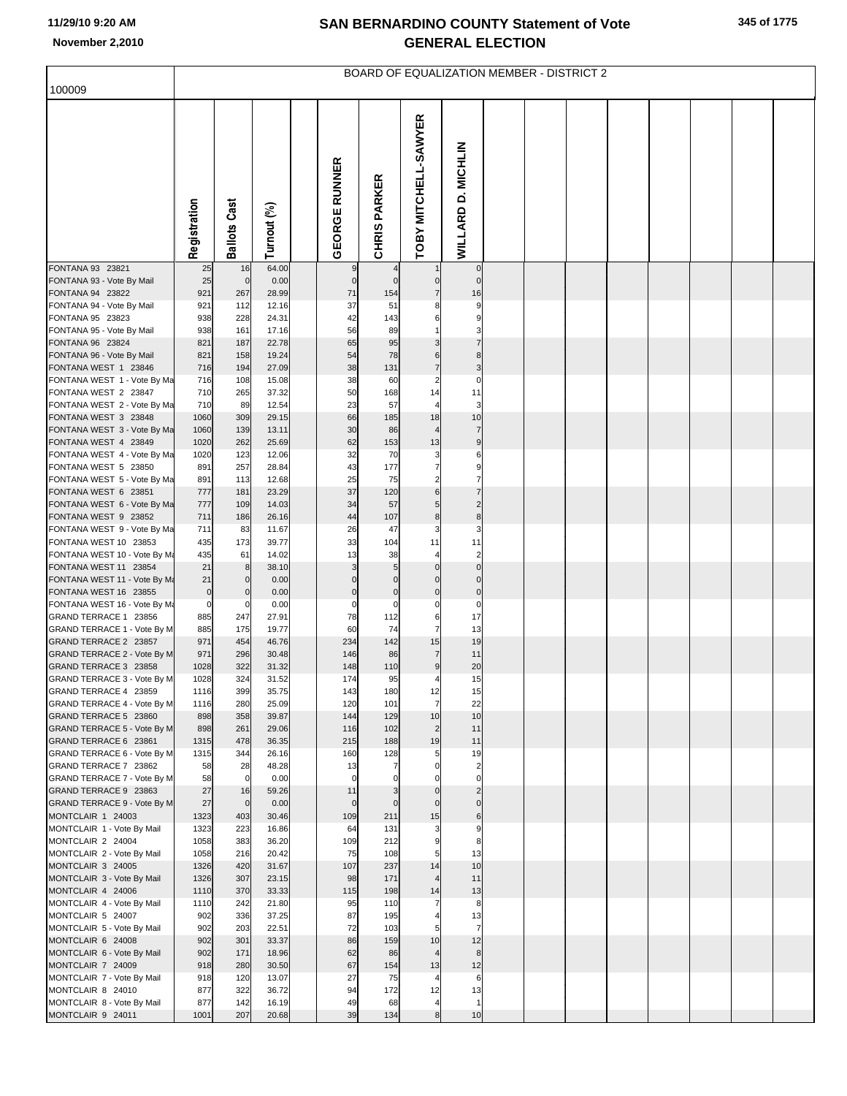| 100009                                                |                       |                      |                |                      |                     |                                    |                               |  | BOARD OF EQUALIZATION MEMBER - DISTRICT 2 |  |  |  |
|-------------------------------------------------------|-----------------------|----------------------|----------------|----------------------|---------------------|------------------------------------|-------------------------------|--|-------------------------------------------|--|--|--|
|                                                       |                       |                      |                |                      |                     |                                    |                               |  |                                           |  |  |  |
|                                                       | Registration          | <b>Ballots Cast</b>  | Turnout (%)    | <b>GEORGE RUNNER</b> | <b>CHRIS PARKER</b> | OBY MITCHELL-SAWYER                | <b>WILLARD D. MICHLIN</b>     |  |                                           |  |  |  |
| FONTANA 93 23821<br>FONTANA 93 - Vote By Mail         | 25<br>25              | 16<br>$\overline{0}$ | 64.00<br>0.00  | 9<br>$\pmb{0}$       | 4<br>$\mathbf 0$    | $\mathbf 0$                        | $\mathbf 0$<br>$\mathbf 0$    |  |                                           |  |  |  |
| FONTANA 94 23822                                      | 921                   | 267                  | 28.99          | 71                   | 154                 | $\overline{7}$                     | 16                            |  |                                           |  |  |  |
| FONTANA 94 - Vote By Mail                             | 921                   | 112                  | 12.16          | 37                   | 51                  | 8                                  | 9                             |  |                                           |  |  |  |
| FONTANA 95 23823<br>FONTANA 95 - Vote By Mail         | 938<br>938            | 228<br>161           | 24.31<br>17.16 | 42<br>56             | 143<br>89           | 6                                  | 9<br>З                        |  |                                           |  |  |  |
| FONTANA 96 23824                                      | 821                   | 187                  | 22.78          | 65                   | 95                  | 3                                  |                               |  |                                           |  |  |  |
| FONTANA 96 - Vote By Mail                             | 821                   | 158                  | 19.24          | 54                   | 78                  | 6                                  | 8                             |  |                                           |  |  |  |
| FONTANA WEST 1 23846                                  | 716<br>716            | 194<br>108           | 27.09<br>15.08 | 38<br>38             | 131<br>60           | $\overline{7}$<br>$\overline{2}$   | 3<br>$\mathbf 0$              |  |                                           |  |  |  |
| FONTANA WEST 1 - Vote By Ma<br>FONTANA WEST 2 23847   | 710                   | 265                  | 37.32          | 50                   | 168                 | 14                                 | 11                            |  |                                           |  |  |  |
| FONTANA WEST 2 - Vote By Ma                           | 710                   | 89                   | 12.54          | 23                   | 57                  | $\overline{4}$                     | 3                             |  |                                           |  |  |  |
| FONTANA WEST 3 23848                                  | 1060                  | 309                  | 29.15          | 66                   | 185                 | 18                                 | 10                            |  |                                           |  |  |  |
| FONTANA WEST 3 - Vote By Ma<br>FONTANA WEST 4 23849   | 1060<br>1020          | 139<br>262           | 13.11<br>25.69 | 30<br>62             | 86<br>153           | 4<br>13                            | $\overline{7}$<br>9           |  |                                           |  |  |  |
| FONTANA WEST 4 - Vote By Ma                           | 1020                  | 123                  | 12.06          | 32                   | 70                  | 3                                  | 6                             |  |                                           |  |  |  |
| FONTANA WEST 5 23850                                  | 891                   | 257                  | 28.84          | 43                   | 177                 | $\overline{7}$                     | 9                             |  |                                           |  |  |  |
| FONTANA WEST 5 - Vote By Ma                           | 891                   | 113                  | 12.68          | 25<br>37             | 75                  | 2                                  |                               |  |                                           |  |  |  |
| FONTANA WEST 6 23851<br>FONTANA WEST 6 - Vote By Ma   | 777<br>777            | 181<br>109           | 23.29<br>14.03 | 34                   | 120<br>57           | 6<br>5                             | $\overline{2}$                |  |                                           |  |  |  |
| FONTANA WEST 9 23852                                  | 711                   | 186                  | 26.16          | 44                   | 107                 | $\bf8$                             | 8                             |  |                                           |  |  |  |
| FONTANA WEST 9 - Vote By Ma                           | 711                   | 83                   | 11.67          | 26                   | 47                  | 3                                  | 3                             |  |                                           |  |  |  |
| FONTANA WEST 10 23853<br>FONTANA WEST 10 - Vote By Ma | 435<br>435            | 173<br>61            | 39.77<br>14.02 | 33<br>13             | 104<br>38           | 11<br>$\overline{4}$               | 11<br>$\overline{\mathbf{c}}$ |  |                                           |  |  |  |
| FONTANA WEST 11 23854                                 | 21                    | 8                    | 38.10          | 3                    | 5                   | $\Omega$                           | $\overline{0}$                |  |                                           |  |  |  |
| FONTANA WEST 11 - Vote By Ma                          | 21                    | $\mathbf{0}$         | 0.00           | $\Omega$             | $\mathbf 0$         | $\Omega$                           | $\overline{0}$                |  |                                           |  |  |  |
| FONTANA WEST 16 23855                                 | $\overline{0}$        | $\mathbf 0$          | 0.00           | $\pmb{0}$            | $\pmb{0}$           | $\mathbf 0$                        | $\pmb{0}$                     |  |                                           |  |  |  |
| FONTANA WEST 16 - Vote By Ma<br>GRAND TERRACE 1 23856 | $\overline{0}$<br>885 | 0<br>247             | 0.00<br>27.91  | $\mathbf 0$<br>78    | $\mathbf 0$<br>112  | 0<br>6                             | 0<br>17                       |  |                                           |  |  |  |
| GRAND TERRACE 1 - Vote By M                           | 885                   | 175                  | 19.77          | 60                   | 74                  | $\overline{7}$                     | 13                            |  |                                           |  |  |  |
| GRAND TERRACE 2 23857                                 | 971                   | 454                  | 46.76          | 234                  | 142                 | 15                                 | 19                            |  |                                           |  |  |  |
| GRAND TERRACE 2 - Vote By M<br>GRAND TERRACE 3 23858  | 971<br>1028           | 296<br>322           | 30.48<br>31.32 | 146<br>148           | 86<br>110           | $\overline{7}$<br>$\boldsymbol{9}$ | 11<br>20                      |  |                                           |  |  |  |
| GRAND TERRACE 3 - Vote By M                           | 1028                  | 324                  | 31.52          | 174                  | 95                  | 4                                  | 15                            |  |                                           |  |  |  |
| GRAND TERRACE 4 23859                                 | 1116                  | 399                  | 35.75          | 143                  | 180                 | 12                                 | 15                            |  |                                           |  |  |  |
| GRAND TERRACE 4 - Vote By M                           | 1116                  | 280                  | 25.09          | 120                  | 101                 | $\overline{7}$                     | 22                            |  |                                           |  |  |  |
| GRAND TERRACE 5 23860<br>GRAND TERRACE 5 - Vote By M  | 898<br>898            | 358<br>261           | 39.87<br>29.06 | 144<br>116           | 129<br>102          | 10<br>2                            | 10<br>11                      |  |                                           |  |  |  |
| GRAND TERRACE 6 23861                                 | 1315                  | 478                  | 36.35          | 215                  | 188                 | 19                                 | 11                            |  |                                           |  |  |  |
| GRAND TERRACE 6 - Vote By M                           | 1315                  | 344                  | 26.16          | 160                  | 128                 | 5                                  | 19                            |  |                                           |  |  |  |
| GRAND TERRACE 7 23862<br>GRAND TERRACE 7 - Vote By M  | 58<br>58              | 28<br>$\mathbf 0$    | 48.28<br>0.00  | 13<br>$\mathbf 0$    | 7<br>$\Omega$       | 0<br>$\Omega$                      | $\overline{c}$<br>$\Omega$    |  |                                           |  |  |  |
| GRAND TERRACE 9 23863                                 | 27                    | 16                   | 59.26          | 11                   | 3                   | $\mathbf 0$                        | $\overline{c}$                |  |                                           |  |  |  |
| GRAND TERRACE 9 - Vote By M                           | 27                    | $\overline{0}$       | 0.00           | $\mathbf 0$          | $\mathbf 0$         | $\mathbf 0$                        | $\mathbf 0$                   |  |                                           |  |  |  |
| MONTCLAIR 1 24003                                     | 1323                  | 403                  | 30.46          | 109                  | 211                 | 15                                 | 6                             |  |                                           |  |  |  |
| MONTCLAIR 1 - Vote By Mail<br>MONTCLAIR 2 24004       | 1323<br>1058          | 223<br>383           | 16.86<br>36.20 | 64<br>109            | 131<br>212          | 3<br>$\boldsymbol{9}$              | 9<br>8                        |  |                                           |  |  |  |
| MONTCLAIR 2 - Vote By Mail                            | 1058                  | 216                  | 20.42          | 75                   | 108                 | 5                                  | 13                            |  |                                           |  |  |  |
| MONTCLAIR 3 24005                                     | 1326                  | 420                  | 31.67          | 107                  | 237                 | 14                                 | 10                            |  |                                           |  |  |  |
| MONTCLAIR 3 - Vote By Mail<br>MONTCLAIR 4 24006       | 1326                  | 307<br>370           | 23.15          | 98<br>115            | 171<br>198          | $\overline{4}$<br>14               | 11                            |  |                                           |  |  |  |
| MONTCLAIR 4 - Vote By Mail                            | 1110<br>1110          | 242                  | 33.33<br>21.80 | 95                   | 110                 | $\overline{7}$                     | 13<br>8                       |  |                                           |  |  |  |
| MONTCLAIR 5 24007                                     | 902                   | 336                  | 37.25          | 87                   | 195                 | 4                                  | 13                            |  |                                           |  |  |  |
| MONTCLAIR 5 - Vote By Mail                            | 902                   | 203                  | 22.51          | 72                   | 103                 | 5                                  | $\overline{7}$                |  |                                           |  |  |  |
| MONTCLAIR 6 24008<br>MONTCLAIR 6 - Vote By Mail       | 902<br>902            | 301<br>171           | 33.37<br>18.96 | 86<br>62             | 159<br>86           | 10<br>$\overline{4}$               | 12<br>8                       |  |                                           |  |  |  |
| MONTCLAIR 7 24009                                     | 918                   | 280                  | 30.50          | 67                   | 154                 | 13                                 | 12                            |  |                                           |  |  |  |
| MONTCLAIR 7 - Vote By Mail                            | 918                   | 120                  | 13.07          | 27                   | 75                  | $\overline{a}$                     | 6                             |  |                                           |  |  |  |
| MONTCLAIR 8 24010                                     | 877                   | 322                  | 36.72          | 94                   | 172                 | 12                                 | 13                            |  |                                           |  |  |  |
| MONTCLAIR 8 - Vote By Mail<br>MONTCLAIR 9 24011       | 877<br>1001           | 142<br>207           | 16.19<br>20.68 | 49<br>39             | 68<br>134           | $\overline{a}$<br>8                | $\mathbf{1}$<br>10            |  |                                           |  |  |  |
|                                                       |                       |                      |                |                      |                     |                                    |                               |  |                                           |  |  |  |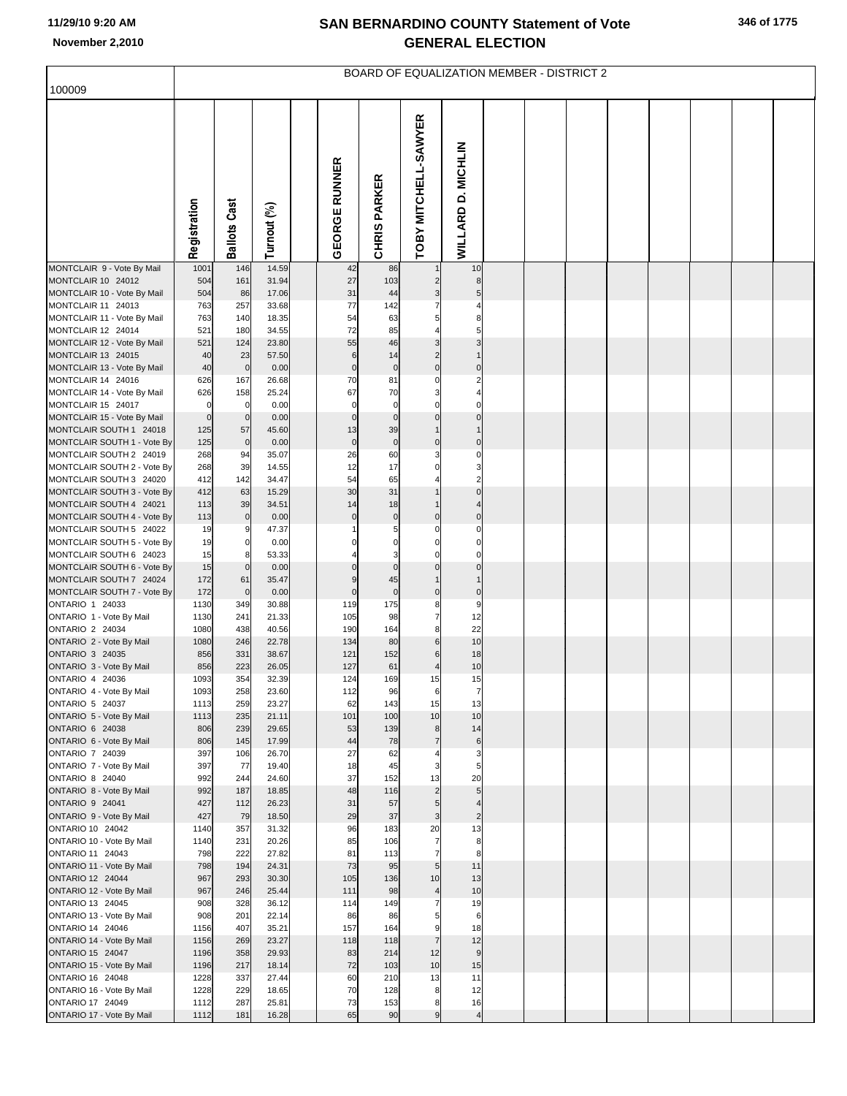| 100009                                                 |                    |                     |                |                      |                     | <b>BOARD OF EQUALIZATION MEMBER - DISTRICT 2</b> |                      |  |  |  |  |
|--------------------------------------------------------|--------------------|---------------------|----------------|----------------------|---------------------|--------------------------------------------------|----------------------|--|--|--|--|
|                                                        |                    |                     |                |                      |                     |                                                  |                      |  |  |  |  |
|                                                        | Registration       | <b>Ballots Cast</b> | Turnout (%)    | <b>GEORGE RUNNER</b> | <b>CHRIS PARKER</b> | TOBY MITCHELL-SAWYER                             | WILLARD D. MICHLIN   |  |  |  |  |
| MONTCLAIR 9 - Vote By Mail                             | 1001               | 146                 | 14.59          | 42                   | 86                  |                                                  | 10                   |  |  |  |  |
| MONTCLAIR 10 24012<br>MONTCLAIR 10 - Vote By Mail      | 504<br>504         | 161<br>86           | 31.94<br>17.06 | 27<br>31             | 103<br>44           | 2<br>3                                           | 8                    |  |  |  |  |
| MONTCLAIR 11 24013                                     | 763                | 257                 | 33.68          | 77                   | 142                 |                                                  |                      |  |  |  |  |
| MONTCLAIR 11 - Vote By Mail                            | 763                | 140                 | 18.35          | 54                   | 63                  | 5                                                |                      |  |  |  |  |
| MONTCLAIR 12 24014                                     | 521                | 180                 | 34.55          | 72                   | 85                  |                                                  |                      |  |  |  |  |
| MONTCLAIR 12 - Vote By Mail<br>MONTCLAIR 13 24015      | 521<br>40          | 124<br>23           | 23.80<br>57.50 | 55<br>$\,6$          | 46<br>14            | 3<br>$\overline{2}$                              |                      |  |  |  |  |
| MONTCLAIR 13 - Vote By Mail                            | 40                 | $\mathbf 0$         | 0.00           | $\pmb{0}$            | $\pmb{0}$           | $\mathbf 0$                                      | $\mathbf 0$          |  |  |  |  |
| MONTCLAIR 14 24016                                     | 626                | 167                 | 26.68          | 70                   | 81                  | 0                                                | 2                    |  |  |  |  |
| MONTCLAIR 14 - Vote By Mail                            | 626                | 158                 | 25.24          | 67                   | 70                  | 3                                                |                      |  |  |  |  |
| MONTCLAIR 15 24017<br>MONTCLAIR 15 - Vote By Mail      | 0                  | $\mathbf 0$         | 0.00           | $\mathbf 0$          | $\mathbf 0$         | C<br>$\mathbf 0$                                 | $\Omega$             |  |  |  |  |
| MONTCLAIR SOUTH 1 24018                                | $\mathbf 0$<br>125 | $\mathbf 0$<br>57   | 0.00<br>45.60  | $\bf 0$<br>13        | $\pmb{0}$<br>39     |                                                  |                      |  |  |  |  |
| MONTCLAIR SOUTH 1 - Vote By                            | 125                | $\overline{0}$      | 0.00           | $\pmb{0}$            | $\pmb{0}$           | $\mathbf 0$                                      | $\mathbf 0$          |  |  |  |  |
| MONTCLAIR SOUTH 2 24019                                | 268                | 94                  | 35.07          | 26                   | 60                  | 3                                                | 0                    |  |  |  |  |
| MONTCLAIR SOUTH 2 - Vote By                            | 268                | 39                  | 14.55          | 12                   | 17                  | $\Omega$                                         | 3                    |  |  |  |  |
| MONTCLAIR SOUTH 3 24020<br>MONTCLAIR SOUTH 3 - Vote By | 412<br>412         | 142<br>63           | 34.47<br>15.29 | 54<br>30             | 65<br>31            |                                                  | $\Omega$             |  |  |  |  |
| MONTCLAIR SOUTH 4 24021                                | 113                | 39                  | 34.51          | 14                   | 18                  |                                                  |                      |  |  |  |  |
| MONTCLAIR SOUTH 4 - Vote By                            | 113                | $\mathbf 0$         | 0.00           | $\mathbf 0$          | $\pmb{0}$           | $\Omega$                                         | $\mathbf 0$          |  |  |  |  |
| MONTCLAIR SOUTH 5 24022                                | 19                 | 9                   | 47.37          |                      | 5                   | 0<br>$\Omega$                                    | $\Omega$<br>$\Omega$ |  |  |  |  |
| MONTCLAIR SOUTH 5 - Vote By<br>MONTCLAIR SOUTH 6 24023 | 19<br>15           | $\mathbf 0$<br>8    | 0.00<br>53.33  |                      | $\mathbf 0$<br>З    |                                                  | C                    |  |  |  |  |
| MONTCLAIR SOUTH 6 - Vote By                            | 15                 | $\mathbf 0$         | 0.00           | $\mathbf 0$          | $\mathbf 0$         | $\Omega$                                         | $\Omega$             |  |  |  |  |
| MONTCLAIR SOUTH 7 24024                                | 172                | 61                  | 35.47          | 9                    | 45                  |                                                  |                      |  |  |  |  |
| MONTCLAIR SOUTH 7 - Vote By<br><b>ONTARIO 1 24033</b>  | 172                | $\mathbf 0$         | 0.00           | $\mathbf 0$          | $\pmb{0}$           | $\mathbf 0$                                      | $\pmb{0}$            |  |  |  |  |
| ONTARIO 1 - Vote By Mail                               | 1130<br>1130       | 349<br>241          | 30.88<br>21.33 | 119<br>105           | 175<br>98           | 8<br>$\overline{7}$                              | 9<br>12              |  |  |  |  |
| ONTARIO 2 24034                                        | 1080               | 438                 | 40.56          | 190                  | 164                 | 8                                                | 22                   |  |  |  |  |
| ONTARIO 2 - Vote By Mail                               | 1080               | 246                 | 22.78          | 134                  | 80                  | 6                                                | 10                   |  |  |  |  |
| ONTARIO 3 24035                                        | 856                | 331                 | 38.67          | 121                  | 152                 | 6                                                | 18                   |  |  |  |  |
| ONTARIO 3 - Vote By Mail<br>ONTARIO 4 24036            | 856<br>1093        | 223<br>354          | 26.05<br>32.39 | 127<br>124           | 61<br>169           | 15                                               | 10<br>15             |  |  |  |  |
| ONTARIO 4 - Vote By Mail                               | 1093               | 258                 | 23.60          | 112                  | 96                  | 6                                                | 7                    |  |  |  |  |
| ONTARIO 5 24037                                        | 1113               | 259                 | 23.27          | 62                   | 143                 | 15                                               | 13                   |  |  |  |  |
| ONTARIO 5 - Vote By Mail                               | 1113               | 235                 | 21.11          | 101                  | 100                 | 10                                               | 10                   |  |  |  |  |
| ONTARIO 6 24038<br>ONTARIO 6 - Vote By Mail            | 806<br>806         | 239<br>145          | 29.65<br>17.99 | 53<br>44             | 139<br>78           | 8<br>$\overline{7}$                              | 14<br>$\,6$          |  |  |  |  |
| ONTARIO 7 24039                                        | 397                | 106                 | 26.70          | 27                   | 62                  |                                                  | 3                    |  |  |  |  |
| ONTARIO 7 - Vote By Mail                               | 397                | 77                  | 19.40          | 18                   | 45                  | 3                                                | 5                    |  |  |  |  |
| ONTARIO 8 24040<br>ONTARIO 8 - Vote By Mail            | 992<br>992         | 244<br>187          | 24.60<br>18.85 | 37<br>48             | 152<br>116          | 13<br>$\overline{2}$                             | 20<br>5              |  |  |  |  |
| ONTARIO 9 24041                                        | 427                | 112                 | 26.23          | 31                   | 57                  | 5                                                | $\overline{4}$       |  |  |  |  |
| ONTARIO 9 - Vote By Mail                               | 427                | 79                  | 18.50          | 29                   | 37                  | $\mathbf{3}$                                     | $\overline{2}$       |  |  |  |  |
| ONTARIO 10 24042                                       | 1140               | 357                 | 31.32          | 96                   | 183                 | 20                                               | 13                   |  |  |  |  |
| ONTARIO 10 - Vote By Mail<br>ONTARIO 11 24043          | 1140<br>798        | 231<br>222          | 20.26<br>27.82 | 85<br>81             | 106<br>113          | $\overline{7}$<br>$\overline{7}$                 | 8<br>8               |  |  |  |  |
| ONTARIO 11 - Vote By Mail                              | 798                | 194                 | 24.31          | 73                   | 95                  | 5 <sub>5</sub>                                   | 11                   |  |  |  |  |
| <b>ONTARIO 12 24044</b>                                | 967                | 293                 | 30.30          | 105                  | 136                 | 10                                               | 13                   |  |  |  |  |
| ONTARIO 12 - Vote By Mail                              | 967                | 246                 | 25.44          | 111                  | 98                  | $\overline{4}$                                   | 10                   |  |  |  |  |
| ONTARIO 13 24045                                       | 908                | 328<br>201          | 36.12          | 114<br>86            | 149                 | $\overline{7}$                                   | 19                   |  |  |  |  |
| ONTARIO 13 - Vote By Mail<br>ONTARIO 14 24046          | 908<br>1156        | 407                 | 22.14<br>35.21 | 157                  | 86<br>164           | 5<br>9                                           | 6<br>18              |  |  |  |  |
| ONTARIO 14 - Vote By Mail                              | 1156               | 269                 | 23.27          | 118                  | 118                 | $\overline{7}$                                   | 12                   |  |  |  |  |
| <b>ONTARIO 15 24047</b>                                | 1196               | 358                 | 29.93          | 83                   | 214                 | 12                                               | $\overline{9}$       |  |  |  |  |
| ONTARIO 15 - Vote By Mail                              | 1196               | 217                 | 18.14          | 72                   | 103                 | 10                                               | 15                   |  |  |  |  |
| ONTARIO 16 24048<br>ONTARIO 16 - Vote By Mail          | 1228<br>1228       | 337<br>229          | 27.44<br>18.65 | 60<br>70             | 210<br>128          | 13<br>8                                          | 11<br>12             |  |  |  |  |
| ONTARIO 17 24049                                       | 1112               | 287                 | 25.81          | 73                   | 153                 | 8                                                | 16                   |  |  |  |  |
| ONTARIO 17 - Vote By Mail                              | 1112               | 181                 | 16.28          | 65                   | 90                  | 9                                                | $\overline{4}$       |  |  |  |  |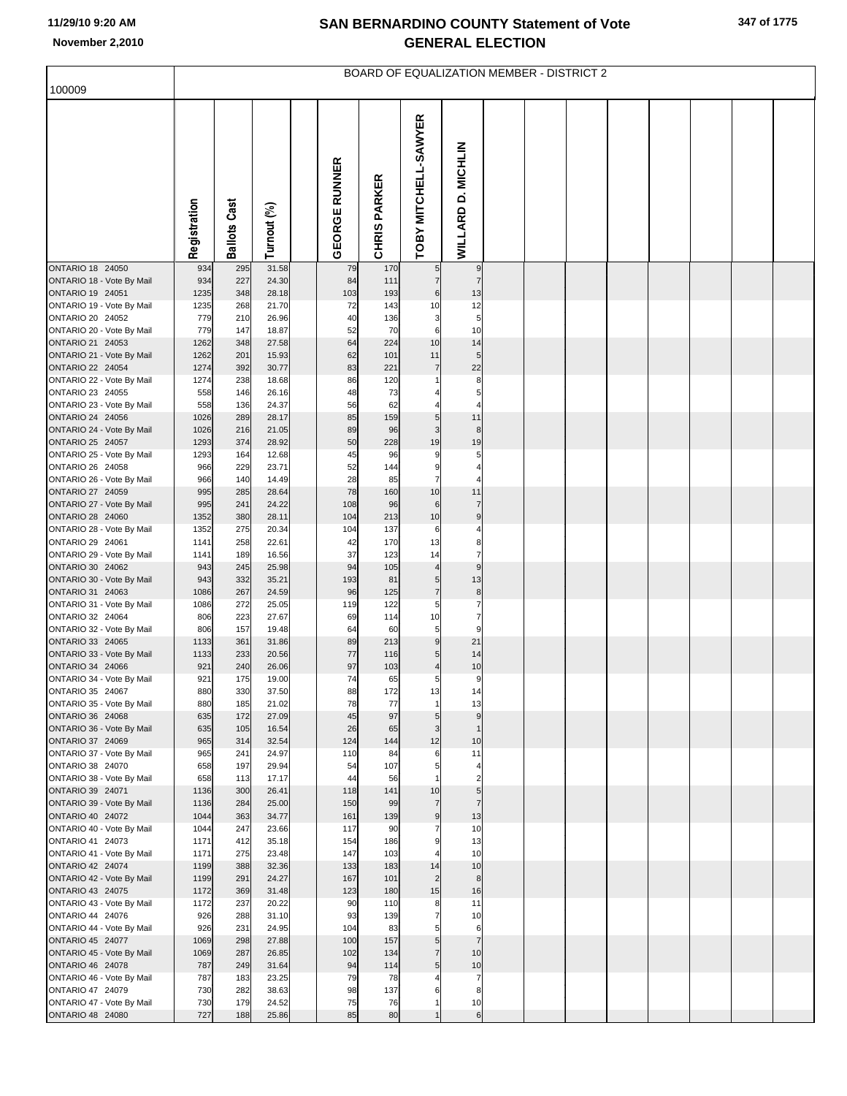| 100009                                               |              |                     |                |                      |                               |                               |                           |  | BOARD OF EQUALIZATION MEMBER - DISTRICT 2 |  |  |  |
|------------------------------------------------------|--------------|---------------------|----------------|----------------------|-------------------------------|-------------------------------|---------------------------|--|-------------------------------------------|--|--|--|
|                                                      |              |                     |                |                      |                               |                               |                           |  |                                           |  |  |  |
|                                                      | Registration | <b>Ballots Cast</b> | Turnout (%)    | <b>GEORGE RUNNER</b> | <b>PARKER</b><br><b>CHRIS</b> | TOBY MITCHELL-SAWYER          | <b>WILLARD D. MICHLIN</b> |  |                                           |  |  |  |
| <b>ONTARIO 18 24050</b>                              | 934          | 295                 | 31.58          | 79                   | 170                           | 5                             | 9                         |  |                                           |  |  |  |
| ONTARIO 18 - Vote By Mail<br>ONTARIO 19 24051        | 934<br>1235  | 227<br>348          | 24.30<br>28.18 | 84<br>103            | 111<br>193                    | $\overline{7}$<br>6           | $\overline{7}$<br>13      |  |                                           |  |  |  |
| ONTARIO 19 - Vote By Mail                            | 1235         | 268                 | 21.70          | 72                   | 143                           | 10                            | 12                        |  |                                           |  |  |  |
| ONTARIO 20 24052                                     | 779          | 210                 | 26.96          | 40                   | 136                           | 3                             | 5                         |  |                                           |  |  |  |
| ONTARIO 20 - Vote By Mail<br>ONTARIO 21 24053        | 779<br>1262  | 147<br>348          | 18.87<br>27.58 | 52<br>64             | 70<br>224                     | 6<br>10                       | 10<br>14                  |  |                                           |  |  |  |
| ONTARIO 21 - Vote By Mail                            | 1262         | 201                 | 15.93          | 62                   | 101                           | 11                            | 5                         |  |                                           |  |  |  |
| ONTARIO 22 24054                                     | 1274         | 392                 | 30.77          | 83                   | 221                           | $\overline{7}$                | 22                        |  |                                           |  |  |  |
| ONTARIO 22 - Vote By Mail                            | 1274         | 238                 | 18.68          | 86                   | 120                           | 1                             | 8                         |  |                                           |  |  |  |
| ONTARIO 23 24055                                     | 558          | 146                 | 26.16          | 48                   | 73                            |                               | 5                         |  |                                           |  |  |  |
| ONTARIO 23 - Vote By Mail<br>ONTARIO 24 24056        | 558<br>1026  | 136<br>289          | 24.37<br>28.17 | 56<br>85             | 62<br>159                     | 5                             | 11                        |  |                                           |  |  |  |
| ONTARIO 24 - Vote By Mail                            | 1026         | 216                 | 21.05          | 89                   | 96                            | 3                             | 8                         |  |                                           |  |  |  |
| <b>ONTARIO 25 24057</b>                              | 1293         | 374                 | 28.92          | 50                   | 228                           | 19                            | 19                        |  |                                           |  |  |  |
| ONTARIO 25 - Vote By Mail                            | 1293         | 164                 | 12.68          | 45                   | 96                            | 9                             | 5                         |  |                                           |  |  |  |
| ONTARIO 26 24058<br>ONTARIO 26 - Vote By Mail        | 966<br>966   | 229<br>140          | 23.71<br>14.49 | 52<br>28             | 144<br>85                     | 9<br>$\overline{7}$           | 4                         |  |                                           |  |  |  |
| ONTARIO 27 24059                                     | 995          | 285                 | 28.64          | 78                   | 160                           | 10                            | 11                        |  |                                           |  |  |  |
| ONTARIO 27 - Vote By Mail                            | 995          | 241                 | 24.22          | 108                  | 96                            | 6                             | 7                         |  |                                           |  |  |  |
| ONTARIO 28 24060                                     | 1352         | 380                 | 28.11          | 104                  | 213                           | 10                            | 9                         |  |                                           |  |  |  |
| ONTARIO 28 - Vote By Mail<br>ONTARIO 29 24061        | 1352<br>1141 | 275<br>258          | 20.34<br>22.61 | 104<br>42            | 137<br>170                    | 6<br>13                       | 4<br>8                    |  |                                           |  |  |  |
| ONTARIO 29 - Vote By Mail                            | 1141         | 189                 | 16.56          | 37                   | 123                           | 14                            | $\overline{7}$            |  |                                           |  |  |  |
| ONTARIO 30 24062                                     | 943          | 245                 | 25.98          | 94                   | 105                           | $\overline{4}$                | 9                         |  |                                           |  |  |  |
| ONTARIO 30 - Vote By Mail                            | 943          | 332                 | 35.21          | 193                  | 81                            | 5                             | 13                        |  |                                           |  |  |  |
| ONTARIO 31 24063<br>ONTARIO 31 - Vote By Mail        | 1086<br>1086 | 267<br>272          | 24.59<br>25.05 | 96<br>119            | 125<br>122                    | $\overline{7}$<br>5           | 8<br>$\overline{7}$       |  |                                           |  |  |  |
| ONTARIO 32 24064                                     | 806          | 223                 | 27.67          | 69                   | 114                           | 10                            | 7                         |  |                                           |  |  |  |
| ONTARIO 32 - Vote By Mail                            | 806          | 157                 | 19.48          | 64                   | 60                            | 5                             | 9                         |  |                                           |  |  |  |
| ONTARIO 33 24065                                     | 1133         | 361                 | 31.86          | 89                   | 213                           | 9                             | 21                        |  |                                           |  |  |  |
| ONTARIO 33 - Vote By Mail<br>ONTARIO 34 24066        | 1133<br>921  | 233<br>240          | 20.56<br>26.06 | 77<br>97             | 116<br>103                    | 5<br>$\overline{\mathcal{L}}$ | 14<br>10                  |  |                                           |  |  |  |
| ONTARIO 34 - Vote By Mail                            | 921          | 175                 | 19.00          | 74                   | 65                            | 5                             | 9                         |  |                                           |  |  |  |
| ONTARIO 35 24067                                     | 880          | 330                 | 37.50          | 88                   | 172                           | 13                            | 14                        |  |                                           |  |  |  |
| ONTARIO 35 - Vote By Mail                            | 880          | 185                 | 21.02          | 78                   | 77                            | $\mathbf{1}$                  | 13                        |  |                                           |  |  |  |
| ONTARIO 36 24068<br>ONTARIO 36 - Vote By Mail        | 635<br>635   | 172<br>105          | 27.09<br>16.54 | 45<br>26             | 97<br>65                      | 5<br>3                        | 9<br>$\mathbf{1}$         |  |                                           |  |  |  |
| ONTARIO 37 24069                                     | 965          | 314                 | 32.54          | 124                  | 144                           | 12                            | 10                        |  |                                           |  |  |  |
| ONTARIO 37 - Vote By Mail                            | 965          | 241                 | 24.97          | 110                  | 84                            | 6                             | 11                        |  |                                           |  |  |  |
| ONTARIO 38 24070                                     | 658          | 197                 | 29.94          | 54                   | 107                           | 5                             |                           |  |                                           |  |  |  |
| ONTARIO 38 - Vote By Mail<br>ONTARIO 39 24071        | 658<br>1136  | 113<br>300          | 17.17<br>26.41 | 44<br>118            | 56<br>141                     | 10                            | 2<br>5 <sub>5</sub>       |  |                                           |  |  |  |
| ONTARIO 39 - Vote By Mail                            | 1136         | 284                 | 25.00          | 150                  | 99                            | $\overline{7}$                | $\overline{7}$            |  |                                           |  |  |  |
| ONTARIO 40 24072                                     | 1044         | 363                 | 34.77          | 161                  | 139                           | 9                             | 13                        |  |                                           |  |  |  |
| ONTARIO 40 - Vote By Mail                            | 1044         | 247                 | 23.66          | 117                  | 90                            | $\overline{7}$                | 10                        |  |                                           |  |  |  |
| ONTARIO 41 24073<br>ONTARIO 41 - Vote By Mail        | 1171<br>1171 | 412<br>275          | 35.18<br>23.48 | 154<br>147           | 186<br>103                    | 9                             | 13<br>10                  |  |                                           |  |  |  |
| <b>ONTARIO 42 24074</b>                              | 1199         | 388                 | 32.36          | 133                  | 183                           | 14                            | 10                        |  |                                           |  |  |  |
| ONTARIO 42 - Vote By Mail                            | 1199         | 291                 | 24.27          | 167                  | 101                           | $\overline{2}$                | 8                         |  |                                           |  |  |  |
| ONTARIO 43 24075                                     | 1172         | 369                 | 31.48          | 123                  | 180                           | 15                            | 16                        |  |                                           |  |  |  |
| ONTARIO 43 - Vote By Mail<br>ONTARIO 44 24076        | 1172<br>926  | 237<br>288          | 20.22<br>31.10 | 90<br>93             | 110<br>139                    | 8<br>$\overline{7}$           | 11<br>10                  |  |                                           |  |  |  |
| ONTARIO 44 - Vote By Mail                            | 926          | 231                 | 24.95          | 104                  | 83                            | 5                             | 6                         |  |                                           |  |  |  |
| <b>ONTARIO 45 24077</b>                              | 1069         | 298                 | 27.88          | 100                  | 157                           | 5                             | $\overline{7}$            |  |                                           |  |  |  |
| ONTARIO 45 - Vote By Mail                            | 1069         | 287                 | 26.85          | 102                  | 134                           | $\overline{7}$                | 10                        |  |                                           |  |  |  |
| <b>ONTARIO 46 24078</b><br>ONTARIO 46 - Vote By Mail | 787<br>787   | 249<br>183          | 31.64<br>23.25 | 94<br>79             | 114<br>78                     | 5                             | 10<br>$\overline{7}$      |  |                                           |  |  |  |
| ONTARIO 47 24079                                     | 730          | 282                 | 38.63          | 98                   | 137                           | 6                             | 8                         |  |                                           |  |  |  |
| ONTARIO 47 - Vote By Mail                            | 730          | 179                 | 24.52          | 75                   | 76                            | 1                             | 10                        |  |                                           |  |  |  |
| ONTARIO 48 24080                                     | 727          | 188                 | 25.86          | 85                   | 80                            |                               | 6                         |  |                                           |  |  |  |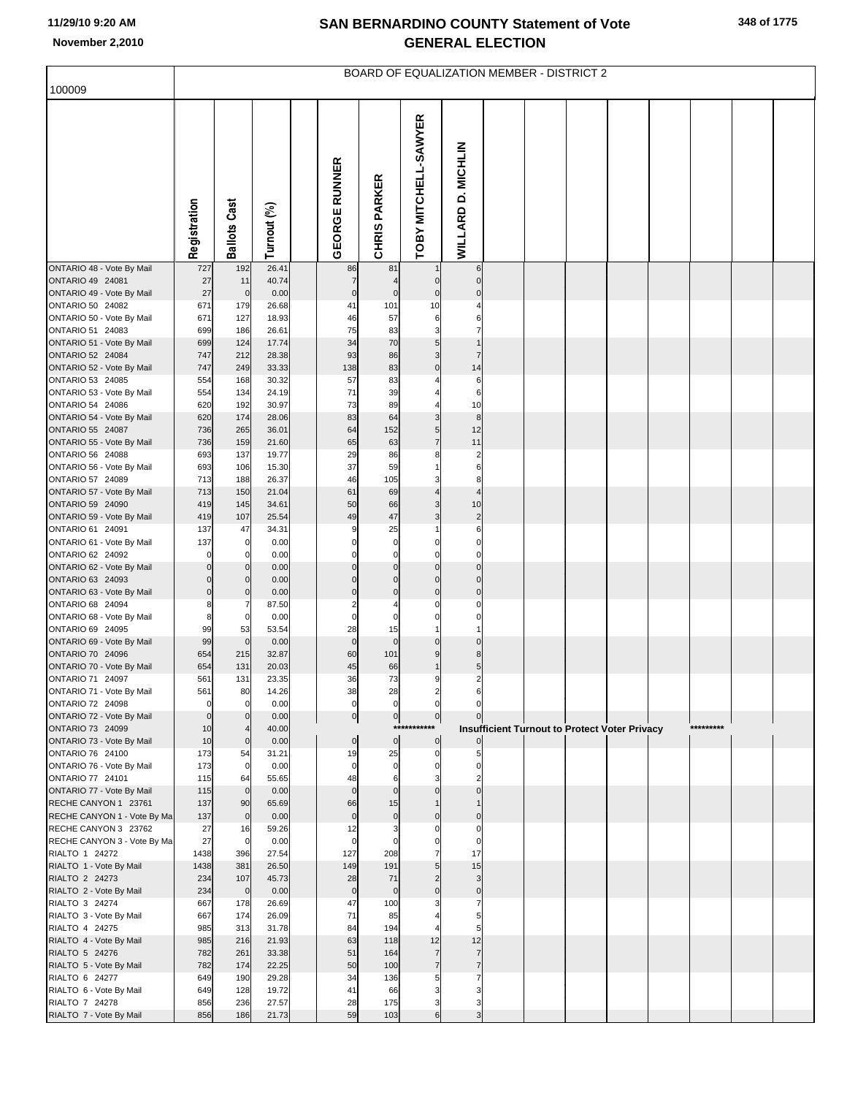| 100009                                              |                            |                      |                |                             |                               |                                  |                                  |  | <b>BOARD OF EQUALIZATION MEMBER - DISTRICT 2</b>     |  |           |  |
|-----------------------------------------------------|----------------------------|----------------------|----------------|-----------------------------|-------------------------------|----------------------------------|----------------------------------|--|------------------------------------------------------|--|-----------|--|
|                                                     |                            |                      |                |                             |                               |                                  |                                  |  |                                                      |  |           |  |
|                                                     | Registration               | <b>Ballots Cast</b>  | Turnout (%)    | <b>GEORGE RUNNER</b>        | <b>CHRIS PARKER</b>           | TOBY MITCHELL-SAWYER             | WILLARD D. MICHLIN               |  |                                                      |  |           |  |
| ONTARIO 48 - Vote By Mail                           | 727                        | 192                  | 26.41          | 86                          | 81                            |                                  | 6                                |  |                                                      |  |           |  |
| ONTARIO 49 24081<br>ONTARIO 49 - Vote By Mail       | 27<br>27                   | 11<br>$\pmb{0}$      | 40.74<br>0.00  | $\overline{7}$<br>$\pmb{0}$ | $\mathbf 0$                   | $\mathbf 0$<br>$\mathbf 0$       | $\mathbf 0$<br>$\Omega$          |  |                                                      |  |           |  |
| ONTARIO 50 24082                                    | 671                        | 179                  | 26.68          | 41                          | 101                           | 10                               |                                  |  |                                                      |  |           |  |
| ONTARIO 50 - Vote By Mail                           | 671                        | 127                  | 18.93          | 46                          | 57                            | 6                                | 6                                |  |                                                      |  |           |  |
| ONTARIO 51 24083<br>ONTARIO 51 - Vote By Mail       | 699                        | 186                  | 26.61          | 75<br>34                    | 83<br>70                      | 3<br>5                           | 7                                |  |                                                      |  |           |  |
| <b>ONTARIO 52 24084</b>                             | 699<br>747                 | 124<br>212           | 17.74<br>28.38 | 93                          | 86                            | 3                                | $\overline{7}$                   |  |                                                      |  |           |  |
| ONTARIO 52 - Vote By Mail                           | 747                        | 249                  | 33.33          | 138                         | 83                            | $\mathbf 0$                      | 14                               |  |                                                      |  |           |  |
| ONTARIO 53 24085                                    | 554                        | 168                  | 30.32          | 57                          | 83                            |                                  | $\,6$                            |  |                                                      |  |           |  |
| ONTARIO 53 - Vote By Mail                           | 554                        | 134                  | 24.19          | 71                          | 39                            |                                  | 6                                |  |                                                      |  |           |  |
| ONTARIO 54 24086<br>ONTARIO 54 - Vote By Mail       | 620<br>620                 | 192<br>174           | 30.97<br>28.06 | 73<br>83                    | 89<br>64                      | 3                                | 10<br>$\bf8$                     |  |                                                      |  |           |  |
| ONTARIO 55 24087                                    | 736                        | 265                  | 36.01          | 64                          | 152                           | 5                                | 12                               |  |                                                      |  |           |  |
| ONTARIO 55 - Vote By Mail                           | 736                        | 159                  | 21.60          | 65                          | 63                            | $\overline{7}$                   | 11                               |  |                                                      |  |           |  |
| ONTARIO 56 24088                                    | 693                        | 137                  | 19.77          | 29                          | 86                            | 8                                | $\overline{c}$                   |  |                                                      |  |           |  |
| ONTARIO 56 - Vote By Mail<br>ONTARIO 57 24089       | 693<br>713                 | 106<br>188           | 15.30<br>26.37 | 37<br>46                    | 59<br>105                     | 3                                | 6<br>8                           |  |                                                      |  |           |  |
| ONTARIO 57 - Vote By Mail                           | 713                        | 150                  | 21.04          | 61                          | 69                            | 4                                | $\overline{4}$                   |  |                                                      |  |           |  |
| ONTARIO 59 24090                                    | 419                        | 145                  | 34.61          | 50                          | 66                            | 3                                | 10                               |  |                                                      |  |           |  |
| ONTARIO 59 - Vote By Mail                           | 419                        | 107                  | 25.54          | 49                          | 47                            | 3                                | $\overline{c}$                   |  |                                                      |  |           |  |
| ONTARIO 61 24091<br>ONTARIO 61 - Vote By Mail       | 137<br>137                 | 47<br>$\mathbf 0$    | 34.31<br>0.00  | $\Omega$                    | 25<br>$\mathbf 0$             | $\Omega$                         | 6<br>0                           |  |                                                      |  |           |  |
| ONTARIO 62 24092                                    | $\mathbf 0$                | 0                    | 0.00           |                             | $\mathbf 0$                   | $\mathbf 0$                      | 0                                |  |                                                      |  |           |  |
| ONTARIO 62 - Vote By Mail                           | $\Omega$                   |                      | 0.00           | $\Omega$                    | $\mathbf 0$                   | $\mathbf 0$                      | $\mathbf 0$                      |  |                                                      |  |           |  |
| ONTARIO 63 24093                                    | $\Omega$                   | $\Omega$             | 0.00           | $\Omega$                    | $\mathbf 0$                   | $\mathbf 0$                      | $\mathbf 0$                      |  |                                                      |  |           |  |
| ONTARIO 63 - Vote By Mail<br>ONTARIO 68 24094       | $\overline{0}$<br>8        | $\Omega$<br>7        | 0.00<br>87.50  | $\mathbf 0$<br>2            | $\mathbf 0$                   | $\mathbf 0$<br>C                 | $\mathbf 0$<br>0                 |  |                                                      |  |           |  |
| ONTARIO 68 - Vote By Mail                           | 8                          | $\mathbf 0$          | 0.00           | $\mathbf 0$                 | $\mathbf 0$                   | $\mathsf{C}$                     | $\Omega$                         |  |                                                      |  |           |  |
| ONTARIO 69 24095                                    | 99                         | 53                   | 53.54          | 28                          | 15                            |                                  |                                  |  |                                                      |  |           |  |
| ONTARIO 69 - Vote By Mail                           | 99                         | $\mathbf 0$          | 0.00           | $\mathbf 0$                 | $\mathbf 0$                   | $\Omega$                         | $\Omega$                         |  |                                                      |  |           |  |
| ONTARIO 70 24096<br>ONTARIO 70 - Vote By Mail       | 654<br>654                 | 215<br>131           | 32.87<br>20.03 | 60<br>45                    | 101<br>66                     | 9                                | 8<br>5                           |  |                                                      |  |           |  |
| ONTARIO 71 24097                                    | 561                        | 131                  | 23.35          | 36                          | 73                            | 9                                | $\overline{2}$                   |  |                                                      |  |           |  |
| ONTARIO 71 - Vote By Mail                           | 561                        | 80                   | 14.26          | 38                          | 28                            | $\overline{2}$                   | 6                                |  |                                                      |  |           |  |
| ONTARIO 72 24098<br>ONTARIO 72 - Vote By Mail       | $\mathbf 0$<br>$\mathbf 0$ | $\mathbf 0$          | 0.00<br>0.00   | $\mathbf 0$                 | $\mathbf 0$<br>$\overline{0}$ | $\mathbf 0$<br>$\pmb{0}$         | $\Omega$                         |  |                                                      |  |           |  |
| ONTARIO 73 24099                                    | 10                         |                      | 40.00          | $\overline{0}$              | $***$                         |                                  |                                  |  | <b>Insufficient Turnout to Protect Voter Privacy</b> |  | ********* |  |
| ONTARIO 73 - Vote By Mail                           | 10                         | $\mathbf 0$          | 0.00           | $\mathbf 0$                 | $\overline{0}$                | $\mathbf 0$                      |                                  |  |                                                      |  |           |  |
| ONTARIO 76 24100                                    | 173                        | 54                   | 31.21          | 19                          | 25                            | $\mathbf 0$                      |                                  |  |                                                      |  |           |  |
| ONTARIO 76 - Vote By Mail<br>ONTARIO 77 24101       | 173<br>115                 | $\overline{0}$<br>64 | 0.00<br>55.65  | $\mathbf 0$<br>48           | $\mathbf 0$<br>6              | $\mathbf 0$                      |                                  |  |                                                      |  |           |  |
| ONTARIO 77 - Vote By Mail                           | 115                        | $\overline{0}$       | 0.00           | $\mathbf{0}$                | $\mathbf 0$                   | $\Omega$                         |                                  |  |                                                      |  |           |  |
| RECHE CANYON 1 23761                                | 137                        | 90                   | 65.69          | 66                          | 15                            |                                  |                                  |  |                                                      |  |           |  |
| RECHE CANYON 1 - Vote By Ma<br>RECHE CANYON 3 23762 | 137<br>27                  | $\overline{0}$       | 0.00<br>59.26  | $\mathbf 0$<br>12           | $\mathbf 0$<br>3              | $\Omega$<br>$\mathsf{C}$         | $\Omega$<br>0                    |  |                                                      |  |           |  |
| RECHE CANYON 3 - Vote By Ma                         | 27                         | 16<br>$\mathbf 0$    | 0.00           | $\mathbf 0$                 | $\mathbf 0$                   | $\Omega$                         | $\Omega$                         |  |                                                      |  |           |  |
| RIALTO 1 24272                                      | 1438                       | 396                  | 27.54          | 127                         | 208                           | $\overline{7}$                   | 17                               |  |                                                      |  |           |  |
| RIALTO 1 - Vote By Mail                             | 1438                       | 381                  | 26.50          | 149                         | 191                           | 5                                | 15                               |  |                                                      |  |           |  |
| RIALTO 2 24273                                      | 234                        | 107                  | 45.73          | 28                          | 71                            | $\overline{2}$<br>$\Omega$       | 3                                |  |                                                      |  |           |  |
| RIALTO 2 - Vote By Mail<br>RIALTO 3 24274           | 234<br>667                 | $\mathbf 0$<br>178   | 0.00<br>26.69  | $\mathbf 0$<br>47           | $\mathbf 0$<br>100            |                                  | $\mathbf 0$<br>7                 |  |                                                      |  |           |  |
| RIALTO 3 - Vote By Mail                             | 667                        | 174                  | 26.09          | 71                          | 85                            |                                  | 5                                |  |                                                      |  |           |  |
| RIALTO 4 24275                                      | 985                        | 313                  | 31.78          | 84                          | 194                           |                                  | 5                                |  |                                                      |  |           |  |
| RIALTO 4 - Vote By Mail                             | 985                        | 216                  | 21.93          | 63                          | 118                           | 12                               | 12                               |  |                                                      |  |           |  |
| RIALTO 5 24276<br>RIALTO 5 - Vote By Mail           | 782<br>782                 | 261<br>174           | 33.38<br>22.25 | 51<br>50                    | 164<br>100                    | $\overline{7}$<br>$\overline{7}$ | $\overline{7}$<br>$\overline{7}$ |  |                                                      |  |           |  |
| RIALTO 6 24277                                      | 649                        | 190                  | 29.28          | 34                          | 136                           | 5                                |                                  |  |                                                      |  |           |  |
| RIALTO 6 - Vote By Mail                             | 649                        | 128                  | 19.72          | 41                          | 66                            | Э                                |                                  |  |                                                      |  |           |  |
| RIALTO 7 24278                                      | 856                        | 236                  | 27.57          | 28                          | 175                           | З                                | 3                                |  |                                                      |  |           |  |
| RIALTO 7 - Vote By Mail                             | 856                        | 186                  | 21.73          | 59                          | 103                           | 6                                | 3                                |  |                                                      |  |           |  |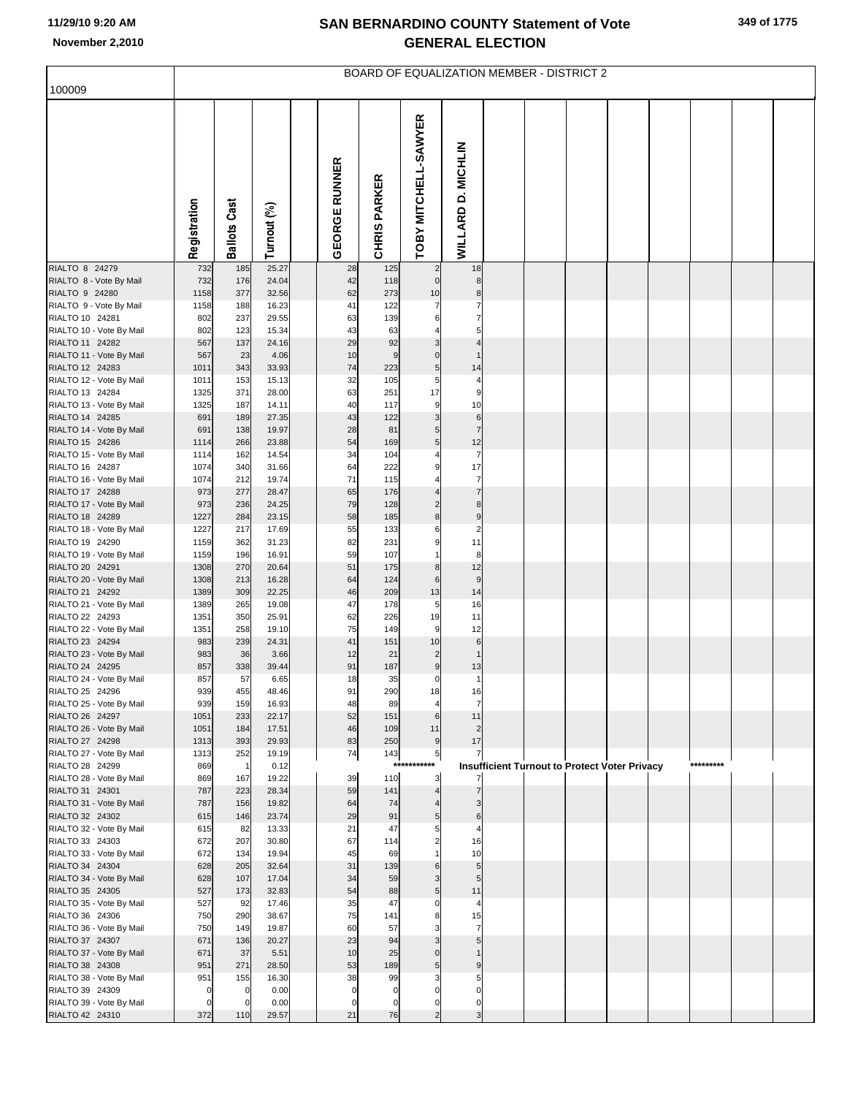|                                             | <b>BOARD OF EQUALIZATION MEMBER - DISTRICT 2</b> |                       |                |  |                      |                     |                         |                      |  |  |                                                      |  |  |           |  |  |
|---------------------------------------------|--------------------------------------------------|-----------------------|----------------|--|----------------------|---------------------|-------------------------|----------------------|--|--|------------------------------------------------------|--|--|-----------|--|--|
| 100009                                      |                                                  |                       |                |  |                      |                     |                         |                      |  |  |                                                      |  |  |           |  |  |
|                                             | Registration                                     | <b>Ballots Cast</b>   | Turnout (%)    |  | <b>GEORGE RUNNER</b> | <b>CHRIS PARKER</b> | TOBY MITCHELL-SAWYER    | WILLARD D. MICHLIN   |  |  |                                                      |  |  |           |  |  |
| RIALTO 8 24279                              | 732                                              | 185                   | 25.27          |  | 28                   | 125                 | $\overline{\mathbf{c}}$ | 18                   |  |  |                                                      |  |  |           |  |  |
| RIALTO 8 - Vote By Mail                     | 732                                              | 176                   | 24.04          |  | 42                   | 118                 | $\mathbf 0$             | 8                    |  |  |                                                      |  |  |           |  |  |
| RIALTO 9 24280<br>RIALTO 9 - Vote By Mail   | 1158<br>1158                                     | 377<br>188            | 32.56<br>16.23 |  | 62<br>41             | 273<br>122          | 10                      | 8<br>7               |  |  |                                                      |  |  |           |  |  |
| RIALTO 10 24281                             | 802                                              | 237                   | 29.55          |  | 63                   | 139                 | 6                       | 7                    |  |  |                                                      |  |  |           |  |  |
| RIALTO 10 - Vote By Mail                    | 802                                              | 123                   | 15.34          |  | 43                   | 63                  |                         | 5                    |  |  |                                                      |  |  |           |  |  |
| RIALTO 11 24282                             | 567                                              | 137                   | 24.16          |  | 29                   | 92                  | 3                       | 4                    |  |  |                                                      |  |  |           |  |  |
| RIALTO 11 - Vote By Mail                    | 567                                              | 23                    | 4.06           |  | 10                   | 9                   | $\mathbf 0$             |                      |  |  |                                                      |  |  |           |  |  |
| RIALTO 12 24283                             | 1011                                             | 343                   | 33.93          |  | 74                   | 223                 | 5                       | 14                   |  |  |                                                      |  |  |           |  |  |
| RIALTO 12 - Vote By Mail<br>RIALTO 13 24284 | 1011<br>1325                                     | 153<br>371            | 15.13<br>28.00 |  | 32<br>63             | 105<br>251          | 5<br>17                 | $\overline{4}$<br>9  |  |  |                                                      |  |  |           |  |  |
| RIALTO 13 - Vote By Mail                    | 1325                                             | 187                   | 14.11          |  | 40                   | 117                 | 9                       | 10                   |  |  |                                                      |  |  |           |  |  |
| RIALTO 14 24285                             | 691                                              | 189                   | 27.35          |  | 43                   | 122                 | 3                       | 6                    |  |  |                                                      |  |  |           |  |  |
| RIALTO 14 - Vote By Mail                    | 691                                              | 138                   | 19.97          |  | 28                   | 81                  | 5                       | $\overline{7}$       |  |  |                                                      |  |  |           |  |  |
| RIALTO 15 24286                             | 1114                                             | 266                   | 23.88          |  | 54                   | 169                 | 5                       | 12                   |  |  |                                                      |  |  |           |  |  |
| RIALTO 15 - Vote By Mail                    | 1114                                             | 162                   | 14.54          |  | 34                   | 104                 |                         | $\overline{7}$       |  |  |                                                      |  |  |           |  |  |
| RIALTO 16 24287                             | 1074<br>1074                                     | 340<br>212            | 31.66<br>19.74 |  | 64<br>71             | 222<br>115          | 9                       | 17<br>$\overline{7}$ |  |  |                                                      |  |  |           |  |  |
| RIALTO 16 - Vote By Mail<br>RIALTO 17 24288 | 973                                              | 277                   | 28.47          |  | 65                   | 176                 |                         | $\overline{7}$       |  |  |                                                      |  |  |           |  |  |
| RIALTO 17 - Vote By Mail                    | 973                                              | 236                   | 24.25          |  | 79                   | 128                 | $\overline{a}$          | 8                    |  |  |                                                      |  |  |           |  |  |
| RIALTO 18 24289                             | 1227                                             | 284                   | 23.15          |  | 58                   | 185                 | 8                       | 9                    |  |  |                                                      |  |  |           |  |  |
| RIALTO 18 - Vote By Mail                    | 1227                                             | 217                   | 17.69          |  | 55                   | 133                 | 6                       | $\overline{a}$       |  |  |                                                      |  |  |           |  |  |
| RIALTO 19 24290                             | 1159                                             | 362                   | 31.23<br>16.91 |  | 82<br>59             | 231                 | 9                       | 11                   |  |  |                                                      |  |  |           |  |  |
| RIALTO 19 - Vote By Mail<br>RIALTO 20 24291 | 1159<br>1308                                     | 196<br>270            | 20.64          |  | 51                   | 107<br>175          | 8                       | 8<br>12              |  |  |                                                      |  |  |           |  |  |
| RIALTO 20 - Vote By Mail                    | 1308                                             | 213                   | 16.28          |  | 64                   | 124                 | 6                       | 9                    |  |  |                                                      |  |  |           |  |  |
| RIALTO 21 24292                             | 1389                                             | 309                   | 22.25          |  | 46                   | 209                 | 13                      | 14                   |  |  |                                                      |  |  |           |  |  |
| RIALTO 21 - Vote By Mail                    | 1389                                             | 265                   | 19.08          |  | 47                   | 178                 | 5                       | 16                   |  |  |                                                      |  |  |           |  |  |
| RIALTO 22 24293                             | 1351                                             | 350                   | 25.91          |  | 62<br>75             | 226                 | 19                      | 11                   |  |  |                                                      |  |  |           |  |  |
| RIALTO 22 - Vote By Mail<br>RIALTO 23 24294 | 1351<br>983                                      | 258<br>239            | 19.10<br>24.31 |  | 41                   | 149<br>151          | 9<br>10                 | 12<br>6              |  |  |                                                      |  |  |           |  |  |
| RIALTO 23 - Vote By Mail                    | 983                                              | 36                    | 3.66           |  | 12                   | 21                  | $\overline{c}$          | $\overline{1}$       |  |  |                                                      |  |  |           |  |  |
| RIALTO 24 24295                             | 857                                              | 338                   | 39.44          |  | 91                   | 187                 | $\boldsymbol{9}$        | 13                   |  |  |                                                      |  |  |           |  |  |
| RIALTO 24 - Vote By Mail                    | 857                                              | 57                    | 6.65           |  | 18                   | 35                  | $\pmb{0}$               | $\mathbf{1}$         |  |  |                                                      |  |  |           |  |  |
| RIALTO 25 24296                             | 939<br>939                                       | 455                   | 48.46<br>16.93 |  | 91<br>48             | 290                 | 18<br>$\overline{4}$    | 16<br>$\overline{7}$ |  |  |                                                      |  |  |           |  |  |
| RIALTO 25 - Vote By Mail<br>RIALTO 26 24297 | 1051                                             | 159<br>233            | 22.17          |  | 52                   | 89<br>151           | $6\phantom{1}$          | 11                   |  |  |                                                      |  |  |           |  |  |
| RIALTO 26 - Vote By Mail                    | 1051                                             | 184                   | 17.51          |  | 46                   | 109                 | 11                      | $\overline{2}$       |  |  |                                                      |  |  |           |  |  |
| RIALTO 27 24298                             | 1313                                             | 393                   | 29.93          |  | 83                   | 250                 | $\boldsymbol{9}$        | 17                   |  |  |                                                      |  |  |           |  |  |
| RIALTO 27 - Vote By Mail                    | 1313                                             | 252                   | 19.19          |  | 74                   | 143<br>$***$        | 5<br>****               | 7                    |  |  |                                                      |  |  |           |  |  |
| RIALTO 28 24299<br>RIALTO 28 - Vote By Mail | 869<br>869                                       | $\overline{1}$<br>167 | 0.12<br>19.22  |  | 39                   | 110                 | 3                       |                      |  |  | <b>Insufficient Turnout to Protect Voter Privacy</b> |  |  | ********* |  |  |
| RIALTO 31 24301                             | 787                                              | 223                   | 28.34          |  | 59                   | 141                 | $\overline{A}$          |                      |  |  |                                                      |  |  |           |  |  |
| RIALTO 31 - Vote By Mail                    | 787                                              | 156                   | 19.82          |  | 64                   | 74                  |                         |                      |  |  |                                                      |  |  |           |  |  |
| RIALTO 32 24302                             | 615                                              | 146                   | 23.74          |  | 29                   | 91                  | 5                       | 6                    |  |  |                                                      |  |  |           |  |  |
| RIALTO 32 - Vote By Mail                    | 615                                              | 82                    | 13.33          |  | 21                   | 47                  | 5                       | 4                    |  |  |                                                      |  |  |           |  |  |
| RIALTO 33 24303<br>RIALTO 33 - Vote By Mail | 672<br>672                                       | 207<br>134            | 30.80<br>19.94 |  | 67<br>45             | 114<br>69           | $\overline{2}$          | 16<br>10             |  |  |                                                      |  |  |           |  |  |
| RIALTO 34 24304                             | 628                                              | 205                   | 32.64          |  | 31                   | 139                 | 6                       | 5                    |  |  |                                                      |  |  |           |  |  |
| RIALTO 34 - Vote By Mail                    | 628                                              | 107                   | 17.04          |  | 34                   | 59                  | 3                       | 5                    |  |  |                                                      |  |  |           |  |  |
| RIALTO 35 24305                             | 527                                              | 173                   | 32.83          |  | 54                   | 88                  | 5                       | 11                   |  |  |                                                      |  |  |           |  |  |
| RIALTO 35 - Vote By Mail                    | 527                                              | 92                    | 17.46          |  | 35                   | 47                  | $\Omega$                | $\overline{4}$       |  |  |                                                      |  |  |           |  |  |
| RIALTO 36 24306                             | 750                                              | 290                   | 38.67          |  | 75<br>60             | 141<br>57           | 8                       | 15<br>$\overline{7}$ |  |  |                                                      |  |  |           |  |  |
| RIALTO 36 - Vote By Mail<br>RIALTO 37 24307 | 750<br>671                                       | 149<br>136            | 19.87<br>20.27 |  | 23                   | 94                  | 3                       | 5                    |  |  |                                                      |  |  |           |  |  |
| RIALTO 37 - Vote By Mail                    | 671                                              | 37                    | 5.51           |  | 10                   | 25                  | $\Omega$                |                      |  |  |                                                      |  |  |           |  |  |
| RIALTO 38 24308                             | 951                                              | 271                   | 28.50          |  | 53                   | 189                 | 5                       | 9                    |  |  |                                                      |  |  |           |  |  |
| RIALTO 38 - Vote By Mail                    | 951                                              | 155                   | 16.30          |  | 38                   | 99                  | 3                       | 5                    |  |  |                                                      |  |  |           |  |  |
| RIALTO 39 24309                             | 0                                                | $\Omega$              | 0.00           |  | $\mathbf 0$          | $\mathbf 0$         | $\Omega$                | $\Omega$             |  |  |                                                      |  |  |           |  |  |
| RIALTO 39 - Vote By Mail<br>RIALTO 42 24310 | 0<br>372                                         | $\Omega$<br>110       | 0.00<br>29.57  |  | $\Omega$<br>21       | 0<br>76             | 0<br>$\overline{c}$     | $\mathbf 0$<br>3     |  |  |                                                      |  |  |           |  |  |
|                                             |                                                  |                       |                |  |                      |                     |                         |                      |  |  |                                                      |  |  |           |  |  |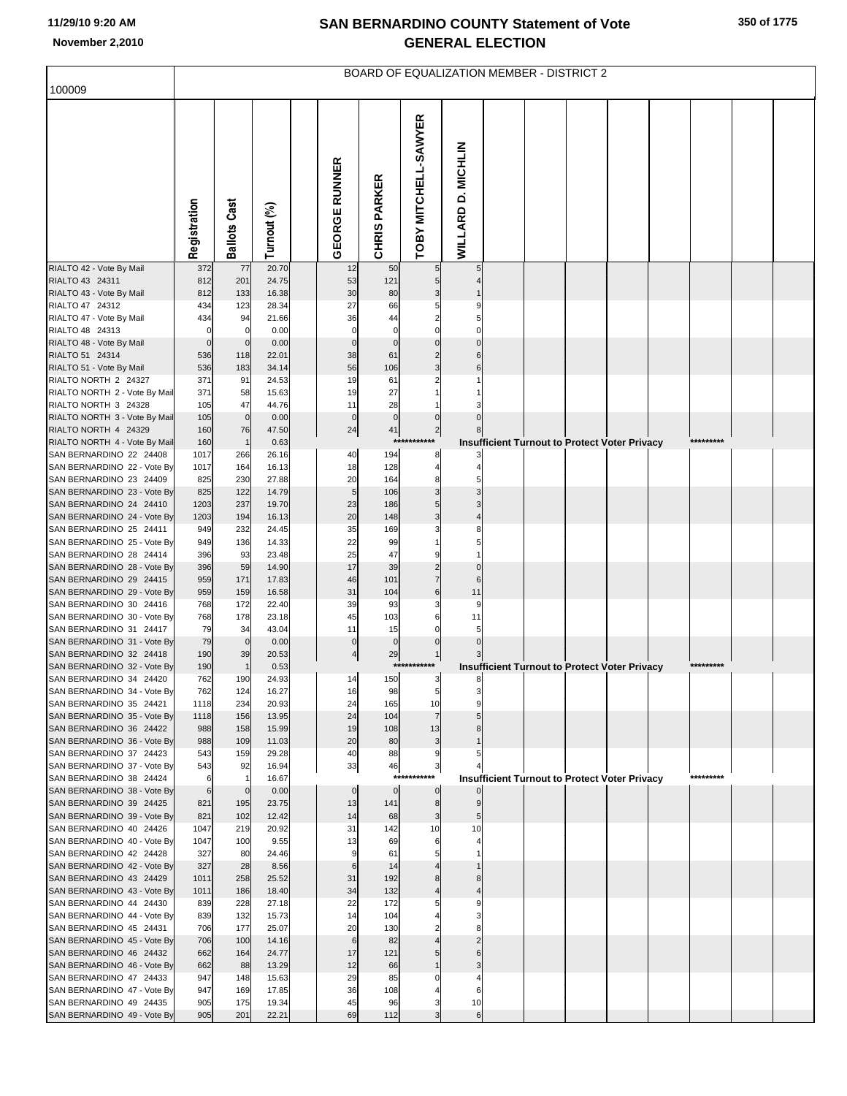|                                                        | BOARD OF EQUALIZATION MEMBER - DISTRICT 2 |              |                |  |                          |                     |                     |                    |  |  |                                                      |  |  |           |  |  |
|--------------------------------------------------------|-------------------------------------------|--------------|----------------|--|--------------------------|---------------------|---------------------|--------------------|--|--|------------------------------------------------------|--|--|-----------|--|--|
| 100009                                                 |                                           |              |                |  |                          |                     |                     |                    |  |  |                                                      |  |  |           |  |  |
|                                                        | Registration                              | Ballots Cast | Turnout (%)    |  | <b>EORGE RUNNER</b><br>O | <b>CHRIS PARKER</b> | OBY MITCHELL-SAWYER | WILLARD D. MICHLIN |  |  |                                                      |  |  |           |  |  |
| RIALTO 42 - Vote By Mail                               | 372                                       | 77           | 20.70          |  | 12                       | 50                  | 5                   | 5                  |  |  |                                                      |  |  |           |  |  |
| RIALTO 43 24311<br>RIALTO 43 - Vote By Mail            | 812<br>812                                | 201<br>133   | 24.75<br>16.38 |  | 53<br>30                 | 121<br>80           | 5                   |                    |  |  |                                                      |  |  |           |  |  |
| RIALTO 47 24312                                        | 434                                       | 123          | 28.34          |  | 27                       | 66                  |                     |                    |  |  |                                                      |  |  |           |  |  |
| RIALTO 47 - Vote By Mail                               | 434                                       | 94           | 21.66          |  | 36                       | 44                  |                     |                    |  |  |                                                      |  |  |           |  |  |
| RIALTO 48 24313                                        |                                           | $\mathbf 0$  | 0.00           |  | $\mathbf 0$              | $\mathsf{C}$        |                     |                    |  |  |                                                      |  |  |           |  |  |
| RIALTO 48 - Vote By Mail                               | $\mathbf 0$                               | $\mathbf 0$  | 0.00           |  | $\mathbf 0$              | $\mathsf{C}$        |                     |                    |  |  |                                                      |  |  |           |  |  |
| RIALTO 51 24314<br>RIALTO 51 - Vote By Mail            | 536<br>536                                | 118<br>183   | 22.01<br>34.14 |  | 38<br>56                 | 61<br>106           | 3                   |                    |  |  |                                                      |  |  |           |  |  |
| RIALTO NORTH 2 24327                                   | 371                                       | 91           | 24.53          |  | 19                       | 61                  |                     |                    |  |  |                                                      |  |  |           |  |  |
| RIALTO NORTH 2 - Vote By Mail                          | 371                                       | 58           | 15.63          |  | 19                       | 27                  |                     |                    |  |  |                                                      |  |  |           |  |  |
| RIALTO NORTH 3 24328                                   | 105                                       | 47           | 44.76          |  | 11                       | 28                  |                     |                    |  |  |                                                      |  |  |           |  |  |
| RIALTO NORTH 3 - Vote By Mail                          | 105                                       | $\mathbf 0$  | 0.00           |  | $\pmb{0}$                | $\pmb{0}$           |                     |                    |  |  |                                                      |  |  |           |  |  |
| RIALTO NORTH 4 24329<br>RIALTO NORTH 4 - Vote By Mail  | 160                                       | 76           | 47.50          |  | 24                       | 41<br>$***$         | $\overline{2}$      |                    |  |  |                                                      |  |  | ********  |  |  |
| SAN BERNARDINO 22 24408                                | 160<br>1017                               | 266          | 0.63<br>26.16  |  | 40                       | 194                 | 8                   |                    |  |  | <b>Insufficient Turnout to Protect Voter Privacy</b> |  |  |           |  |  |
| SAN BERNARDINO 22 - Vote By                            | 1017                                      | 164          | 16.13          |  | 18                       | 128                 | 4                   |                    |  |  |                                                      |  |  |           |  |  |
| SAN BERNARDINO 23 24409                                | 825                                       | 230          | 27.88          |  | 20                       | 164                 |                     |                    |  |  |                                                      |  |  |           |  |  |
| SAN BERNARDINO 23 - Vote By                            | 825                                       | 122          | 14.79          |  | 5                        | 106                 |                     |                    |  |  |                                                      |  |  |           |  |  |
| SAN BERNARDINO 24 24410                                | 1203                                      | 237          | 19.70          |  | 23                       | 186                 |                     |                    |  |  |                                                      |  |  |           |  |  |
| SAN BERNARDINO 24 - Vote By<br>SAN BERNARDINO 25 24411 | 1203<br>949                               | 194<br>232   | 16.13<br>24.45 |  | 20<br>35                 | 148<br>169          | 3                   |                    |  |  |                                                      |  |  |           |  |  |
| SAN BERNARDINO 25 - Vote By                            | 949                                       | 136          | 14.33          |  | 22                       | 99                  |                     |                    |  |  |                                                      |  |  |           |  |  |
| SAN BERNARDINO 28 24414                                | 396                                       | 93           | 23.48          |  | 25                       | 47                  |                     |                    |  |  |                                                      |  |  |           |  |  |
| SAN BERNARDINO 28 - Vote By                            | 396                                       | 59           | 14.90          |  | 17                       | 39                  |                     |                    |  |  |                                                      |  |  |           |  |  |
| SAN BERNARDINO 29 24415                                | 959                                       | 171          | 17.83          |  | 46                       | 101                 | $\overline{7}$      |                    |  |  |                                                      |  |  |           |  |  |
| SAN BERNARDINO 29 - Vote By<br>SAN BERNARDINO 30 24416 | 959<br>768                                | 159<br>172   | 16.58<br>22.40 |  | 31<br>39                 | 104<br>93           | 6<br>3              | 11<br>9            |  |  |                                                      |  |  |           |  |  |
| SAN BERNARDINO 30 - Vote By                            | 768                                       | 178          | 23.18          |  | 45                       | 103                 | 6                   | 11                 |  |  |                                                      |  |  |           |  |  |
| SAN BERNARDINO 31 24417                                | 79                                        | 34           | 43.04          |  | 11                       | 15                  | C                   | 5                  |  |  |                                                      |  |  |           |  |  |
| SAN BERNARDINO 31 - Vote By                            | 79                                        | $\mathbf 0$  | 0.00           |  | $\mathbf 0$              | $\mathbf 0$         |                     |                    |  |  |                                                      |  |  |           |  |  |
| SAN BERNARDINO 32 24418                                | 190                                       | 39           | 20.53          |  | $\overline{\mathbf{r}}$  | 29<br>***           |                     |                    |  |  |                                                      |  |  | ********* |  |  |
| SAN BERNARDINO 32 - Vote By<br>SAN BERNARDINO 34 24420 | 190<br>762                                | 190          | 0.53<br>24.93  |  | 14                       | 150                 | $\mathbf{3}$        |                    |  |  | Insufficient Turnout to Protect Voter Privacy        |  |  |           |  |  |
| SAN BERNARDINO 34 - Vote By                            | 762                                       | 124          | 16.27          |  | 16                       | 98                  | 5                   |                    |  |  |                                                      |  |  |           |  |  |
| SAN BERNARDINO 35 24421                                | 1118                                      | 234          | 20.93          |  | 24                       | 165                 | 10                  |                    |  |  |                                                      |  |  |           |  |  |
| SAN BERNARDINO 35 - Vote By                            | 1118                                      | 156          | 13.95          |  | 24                       | 104                 | $\overline{7}$      |                    |  |  |                                                      |  |  |           |  |  |
| SAN BERNARDINO 36 24422<br>SAN BERNARDINO 36 - Vote By | 988                                       | 158          | 15.99          |  | 19<br>20                 | 108                 | 13                  |                    |  |  |                                                      |  |  |           |  |  |
| SAN BERNARDINO 37 24423                                | 988<br>543                                | 109<br>159   | 11.03<br>29.28 |  | 40                       | 80<br>88            | 3<br>9              |                    |  |  |                                                      |  |  |           |  |  |
| SAN BERNARDINO 37 - Vote By                            | 543                                       | 92           | 16.94          |  | 33                       | 46                  | 3                   |                    |  |  |                                                      |  |  |           |  |  |
| SAN BERNARDINO 38 24424                                | 6                                         |              | 16.67          |  |                          | $***$               |                     |                    |  |  | <b>Insufficient Turnout to Protect Voter Privacy</b> |  |  | ********* |  |  |
| SAN BERNARDINO 38 - Vote By                            | $6\phantom{1}6$                           | $\mathbf 0$  | 0.00           |  | $\mathbf 0$              | $\mathbf 0$         | $\mathbf 0$         |                    |  |  |                                                      |  |  |           |  |  |
| SAN BERNARDINO 39 24425                                | 821                                       | 195          | 23.75          |  | 13                       | 141                 | $\bf 8$             |                    |  |  |                                                      |  |  |           |  |  |
| SAN BERNARDINO 39 - Vote By<br>SAN BERNARDINO 40 24426 | 821<br>1047                               | 102<br>219   | 12.42<br>20.92 |  | 14<br>31                 | 68<br>142           | $\mathbf{3}$<br>10  | 5<br>10            |  |  |                                                      |  |  |           |  |  |
| SAN BERNARDINO 40 - Vote By                            | 1047                                      | 100          | 9.55           |  | 13                       | 69                  | 6                   |                    |  |  |                                                      |  |  |           |  |  |
| SAN BERNARDINO 42 24428                                | 327                                       | 80           | 24.46          |  | 9                        | 61                  | 5                   |                    |  |  |                                                      |  |  |           |  |  |
| SAN BERNARDINO 42 - Vote By                            | 327                                       | 28           | 8.56           |  | 6                        | 14                  |                     |                    |  |  |                                                      |  |  |           |  |  |
| SAN BERNARDINO 43 24429                                | 1011                                      | 258          | 25.52          |  | 31                       | 192                 |                     |                    |  |  |                                                      |  |  |           |  |  |
| SAN BERNARDINO 43 - Vote By<br>SAN BERNARDINO 44 24430 | 1011<br>839                               | 186<br>228   | 18.40<br>27.18 |  | 34<br>22                 | 132<br>172          |                     |                    |  |  |                                                      |  |  |           |  |  |
| SAN BERNARDINO 44 - Vote By                            | 839                                       | 132          | 15.73          |  | 14                       | 104                 |                     |                    |  |  |                                                      |  |  |           |  |  |
| SAN BERNARDINO 45 24431                                | 706                                       | 177          | 25.07          |  | 20                       | 130                 |                     |                    |  |  |                                                      |  |  |           |  |  |
| SAN BERNARDINO 45 - Vote By                            | 706                                       | 100          | 14.16          |  | 6                        | 82                  |                     |                    |  |  |                                                      |  |  |           |  |  |
| SAN BERNARDINO 46 24432                                | 662                                       | 164          | 24.77          |  | 17                       | 121                 |                     |                    |  |  |                                                      |  |  |           |  |  |
| SAN BERNARDINO 46 - Vote By<br>SAN BERNARDINO 47 24433 | 662<br>947                                | 88<br>148    | 13.29<br>15.63 |  | 12<br>29                 | 66<br>85            |                     |                    |  |  |                                                      |  |  |           |  |  |
| SAN BERNARDINO 47 - Vote By                            | 947                                       | 169          | 17.85          |  | 36                       | 108                 |                     |                    |  |  |                                                      |  |  |           |  |  |
| SAN BERNARDINO 49 24435                                | 905                                       | 175          | 19.34          |  | 45                       | 96                  |                     | 10                 |  |  |                                                      |  |  |           |  |  |
| SAN BERNARDINO 49 - Vote By                            | 905                                       | 201          | 22.21          |  | 69                       | 112                 |                     | 6                  |  |  |                                                      |  |  |           |  |  |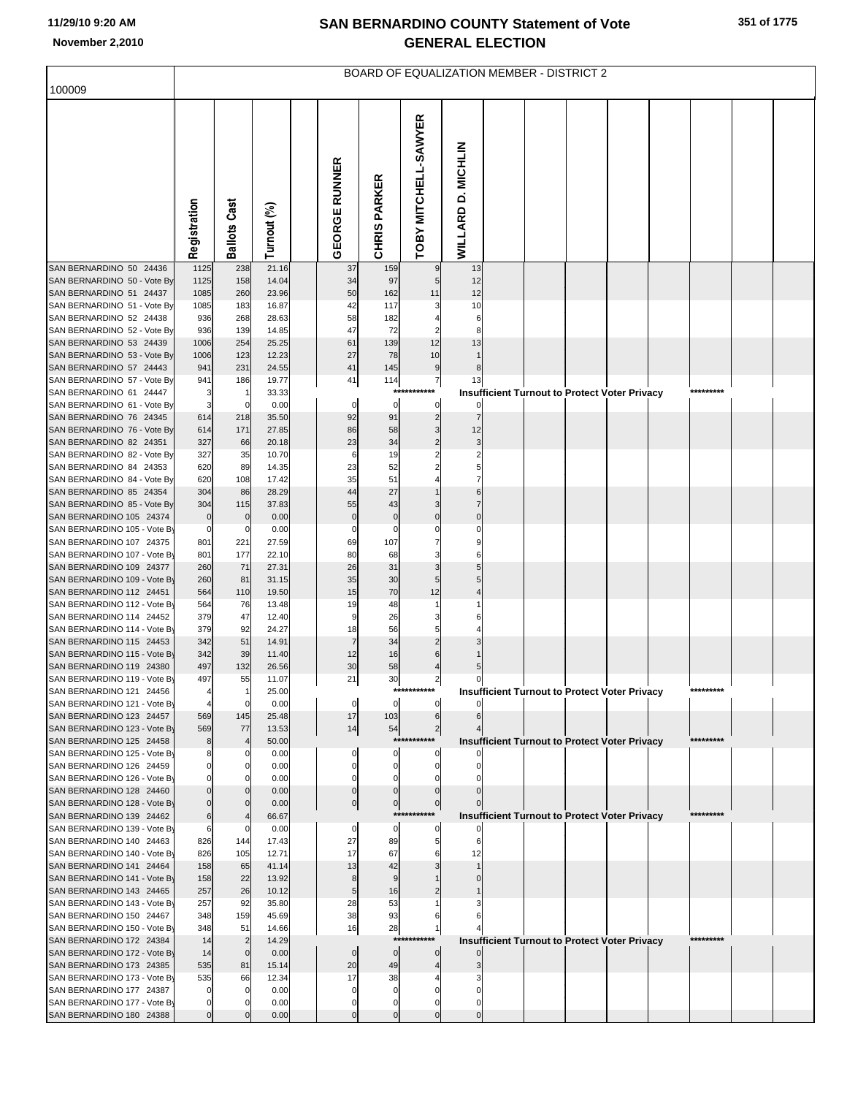|                                                          | <b>BOARD OF EQUALIZATION MEMBER - DISTRICT 2</b> |                     |                |  |                      |                                     |                      |                    |  |  |  |                                                      |  |           |  |  |
|----------------------------------------------------------|--------------------------------------------------|---------------------|----------------|--|----------------------|-------------------------------------|----------------------|--------------------|--|--|--|------------------------------------------------------|--|-----------|--|--|
| 100009                                                   |                                                  |                     |                |  |                      |                                     |                      |                    |  |  |  |                                                      |  |           |  |  |
|                                                          | Registration                                     | <b>Ballots Cast</b> | Turnout (%)    |  | <b>GEORGE RUNNER</b> | <b>PARKER</b><br>CHRIS <sub>I</sub> | TOBY MITCHELL-SAWYER | WILLARD D. MICHLIN |  |  |  |                                                      |  |           |  |  |
| SAN BERNARDINO 50 24436                                  | 1125                                             | 238                 | 21.16          |  | 37                   | 159                                 | 9                    | 13                 |  |  |  |                                                      |  |           |  |  |
| SAN BERNARDINO 50 - Vote By<br>SAN BERNARDINO 51 24437   | 1125<br>1085                                     | 158<br>260          | 14.04<br>23.96 |  | 34<br>50             | 97<br>162                           | 5<br>11              | 12<br>12           |  |  |  |                                                      |  |           |  |  |
| SAN BERNARDINO 51 - Vote By                              | 1085                                             | 183                 | 16.87          |  | 42                   | 117                                 |                      | 10                 |  |  |  |                                                      |  |           |  |  |
| SAN BERNARDINO 52 24438                                  | 936                                              | 268                 | 28.63          |  | 58                   | 182                                 |                      |                    |  |  |  |                                                      |  |           |  |  |
| SAN BERNARDINO 52 - Vote By                              | 936                                              | 139                 | 14.85          |  | 47                   | 72                                  |                      |                    |  |  |  |                                                      |  |           |  |  |
| SAN BERNARDINO 53 24439                                  | 1006                                             | 254                 | 25.25          |  | 61                   | 139                                 | 12                   | 13                 |  |  |  |                                                      |  |           |  |  |
| SAN BERNARDINO 53 - Vote By                              | 1006                                             | 123                 | 12.23          |  | 27                   | 78                                  | 10                   |                    |  |  |  |                                                      |  |           |  |  |
| SAN BERNARDINO 57 24443                                  | 941                                              | 231                 | 24.55          |  | 41                   | 145                                 | $9$                  |                    |  |  |  |                                                      |  |           |  |  |
| SAN BERNARDINO 57 - Vote By<br>SAN BERNARDINO 61 24447   | 941<br>3                                         | 186                 | 19.77<br>33.33 |  | 41                   | 114<br>$***$                        | $\overline{7}$       | 13                 |  |  |  | <b>Insufficient Turnout to Protect Voter Privacy</b> |  |           |  |  |
| SAN BERNARDINO 61 - Vote By                              | 3                                                |                     | 0.00           |  | 0                    | 0                                   | 0                    |                    |  |  |  |                                                      |  |           |  |  |
| SAN BERNARDINO 76 24345                                  | 614                                              | 218                 | 35.50          |  | 92                   | 91                                  | $\overline{2}$       |                    |  |  |  |                                                      |  |           |  |  |
| SAN BERNARDINO 76 - Vote By                              | 614                                              | 171                 | 27.85          |  | 86                   | 58                                  | 3                    | 12                 |  |  |  |                                                      |  |           |  |  |
| SAN BERNARDINO 82 24351                                  | 327                                              | 66                  | 20.18          |  | 23                   | 34                                  | $\overline{2}$       |                    |  |  |  |                                                      |  |           |  |  |
| SAN BERNARDINO 82 - Vote By                              | 327                                              | 35                  | 10.70          |  | 6                    | 19                                  | $\overline{2}$       |                    |  |  |  |                                                      |  |           |  |  |
| SAN BERNARDINO 84 24353                                  | 620                                              | 89                  | 14.35          |  | 23                   | 52                                  |                      |                    |  |  |  |                                                      |  |           |  |  |
| SAN BERNARDINO 84 - Vote By                              | 620                                              | 108                 | 17.42          |  | 35                   | 51                                  |                      |                    |  |  |  |                                                      |  |           |  |  |
| SAN BERNARDINO 85 24354<br>SAN BERNARDINO 85 - Vote By   | 304<br>304                                       | 86<br>115           | 28.29<br>37.83 |  | 44<br>55             | 27<br>43                            |                      |                    |  |  |  |                                                      |  |           |  |  |
| SAN BERNARDINO 105 24374                                 | $\mathbf 0$                                      |                     | 0.00           |  | $\pmb{0}$            | $\mathbf 0$                         | $\Omega$             | $\mathsf{C}$       |  |  |  |                                                      |  |           |  |  |
| SAN BERNARDINO 105 - Vote By                             | $\pmb{0}$                                        |                     | 0.00           |  | C                    |                                     |                      |                    |  |  |  |                                                      |  |           |  |  |
| SAN BERNARDINO 107 24375                                 | 801                                              | 221                 | 27.59          |  | 69                   | 107                                 |                      |                    |  |  |  |                                                      |  |           |  |  |
| SAN BERNARDINO 107 - Vote By                             | 801                                              | 177                 | 22.10          |  | 80                   | 68                                  |                      |                    |  |  |  |                                                      |  |           |  |  |
| SAN BERNARDINO 109 24377                                 | 260                                              | 71                  | 27.31          |  | 26                   | 31                                  | 3                    |                    |  |  |  |                                                      |  |           |  |  |
| SAN BERNARDINO 109 - Vote By<br>SAN BERNARDINO 112 24451 | 260<br>564                                       | 81<br>110           | 31.15<br>19.50 |  | 35<br>15             | 30<br>70                            | 5<br>12              |                    |  |  |  |                                                      |  |           |  |  |
| SAN BERNARDINO 112 - Vote By                             | 564                                              | 76                  | 13.48          |  | 19                   | 48                                  |                      |                    |  |  |  |                                                      |  |           |  |  |
| SAN BERNARDINO 114 24452                                 | 379                                              | 47                  | 12.40          |  | ç                    | 26                                  |                      |                    |  |  |  |                                                      |  |           |  |  |
| SAN BERNARDINO 114 - Vote By                             | 379                                              | 92                  | 24.27          |  | 18                   | 56                                  | 5                    |                    |  |  |  |                                                      |  |           |  |  |
| SAN BERNARDINO 115 24453                                 | 342                                              | 51                  | 14.91          |  | $\overline{7}$       | 34                                  |                      |                    |  |  |  |                                                      |  |           |  |  |
| SAN BERNARDINO 115 - Vote By                             | 342                                              | 39                  | 11.40          |  | 12                   | 16                                  |                      |                    |  |  |  |                                                      |  |           |  |  |
| SAN BERNARDINO 119 24380<br>SAN BERNARDINO 119 - Vote By | 497<br>497                                       | 132<br>55           | 26.56<br>11.07 |  | 30<br>21             | 58<br>30                            | $\overline{2}$       | $\mathbf 0$        |  |  |  |                                                      |  |           |  |  |
| SAN BERNARDINO 121 24456                                 |                                                  |                     | 25.00          |  |                      |                                     | ***********          |                    |  |  |  | <b>Insufficient Turnout to Protect Voter Privacy</b> |  | ********* |  |  |
| SAN BERNARDINO 121 - Vote By                             | $\overline{4}$                                   | 0                   | 0.00           |  | 0                    | 0                                   | 0                    |                    |  |  |  |                                                      |  |           |  |  |
| SAN BERNARDINO 123 24457                                 | 569                                              | 145                 | 25.48          |  | 17                   | 103                                 | 6                    |                    |  |  |  |                                                      |  |           |  |  |
| SAN BERNARDINO 123 - Vote By                             | 569                                              | 77                  | 13.53          |  | 14                   | 54                                  | $\overline{c}$       |                    |  |  |  |                                                      |  |           |  |  |
| SAN BERNARDINO 125 24458                                 | 8                                                |                     | 50.00          |  |                      |                                     | ***********          |                    |  |  |  | <b>Insufficient Turnout to Protect Voter Privacy</b> |  | ********* |  |  |
| SAN BERNARDINO 125 - Vote By<br>SAN BERNARDINO 126 24459 | $\Omega$                                         |                     | 0.00<br>0.00   |  | C                    | 0<br>0                              | $\Omega$             |                    |  |  |  |                                                      |  |           |  |  |
| SAN BERNARDINO 126 - Vote By                             |                                                  |                     | 0.00           |  |                      |                                     |                      |                    |  |  |  |                                                      |  |           |  |  |
| SAN BERNARDINO 128 24460                                 | $\mathbf 0$                                      |                     | 0.00           |  |                      |                                     |                      |                    |  |  |  |                                                      |  |           |  |  |
| SAN BERNARDINO 128 - Vote By                             | $\Omega$                                         |                     | 0.00           |  | $\mathbf 0$          | $\overline{0}$                      | $\mathbf 0$          |                    |  |  |  |                                                      |  |           |  |  |
| SAN BERNARDINO 139 24462                                 | $6\phantom{1}6$                                  |                     | 66.67          |  |                      |                                     | ***********          |                    |  |  |  | <b>Insufficient Turnout to Protect Voter Privacy</b> |  | ********  |  |  |
| SAN BERNARDINO 139 - Vote By<br>SAN BERNARDINO 140 24463 | 6<br>826                                         | 144                 | 0.00<br>17.43  |  | 0<br>27              | 0<br>89                             |                      |                    |  |  |  |                                                      |  |           |  |  |
| SAN BERNARDINO 140 - Vote By                             | 826                                              | 105                 | 12.71          |  | 17                   | 67                                  |                      | 12                 |  |  |  |                                                      |  |           |  |  |
| SAN BERNARDINO 141 24464                                 | 158                                              | 65                  | 41.14          |  | 13                   | 42                                  |                      |                    |  |  |  |                                                      |  |           |  |  |
| SAN BERNARDINO 141 - Vote By                             | 158                                              | 22                  | 13.92          |  | 8                    | 9                                   |                      |                    |  |  |  |                                                      |  |           |  |  |
| SAN BERNARDINO 143 24465                                 | 257                                              | 26                  | 10.12          |  | 5                    | 16                                  |                      |                    |  |  |  |                                                      |  |           |  |  |
| SAN BERNARDINO 143 - Vote By                             | 257                                              | 92                  | 35.80          |  | 28                   | 53                                  |                      |                    |  |  |  |                                                      |  |           |  |  |
| SAN BERNARDINO 150 24467                                 | 348                                              | 159                 | 45.69          |  | 38                   | 93                                  |                      |                    |  |  |  |                                                      |  |           |  |  |
| SAN BERNARDINO 150 - Vote By<br>SAN BERNARDINO 172 24384 | 348<br>14                                        | 51                  | 14.66<br>14.29 |  | 16                   | 28<br>***                           |                      |                    |  |  |  |                                                      |  | ********* |  |  |
| SAN BERNARDINO 172 - Vote By                             | 14                                               | $\mathbf 0$         | 0.00           |  | $\mathbf 0$          | $\mathbf 0$                         | $\mathbf{0}$         |                    |  |  |  | <b>Insufficient Turnout to Protect Voter Privacy</b> |  |           |  |  |
| SAN BERNARDINO 173 24385                                 | 535                                              | 81                  | 15.14          |  | 20                   | 49                                  |                      |                    |  |  |  |                                                      |  |           |  |  |
| SAN BERNARDINO 173 - Vote By                             | 535                                              | 66                  | 12.34          |  | 17                   | 38                                  |                      |                    |  |  |  |                                                      |  |           |  |  |
| SAN BERNARDINO 177 24387                                 |                                                  |                     | 0.00           |  | C                    |                                     |                      |                    |  |  |  |                                                      |  |           |  |  |
| SAN BERNARDINO 177 - Vote By                             | 0                                                |                     | 0.00           |  |                      |                                     |                      |                    |  |  |  |                                                      |  |           |  |  |
| SAN BERNARDINO 180 24388                                 | $\mathbf 0$                                      |                     | 0.00           |  | C                    | $\Omega$                            |                      |                    |  |  |  |                                                      |  |           |  |  |